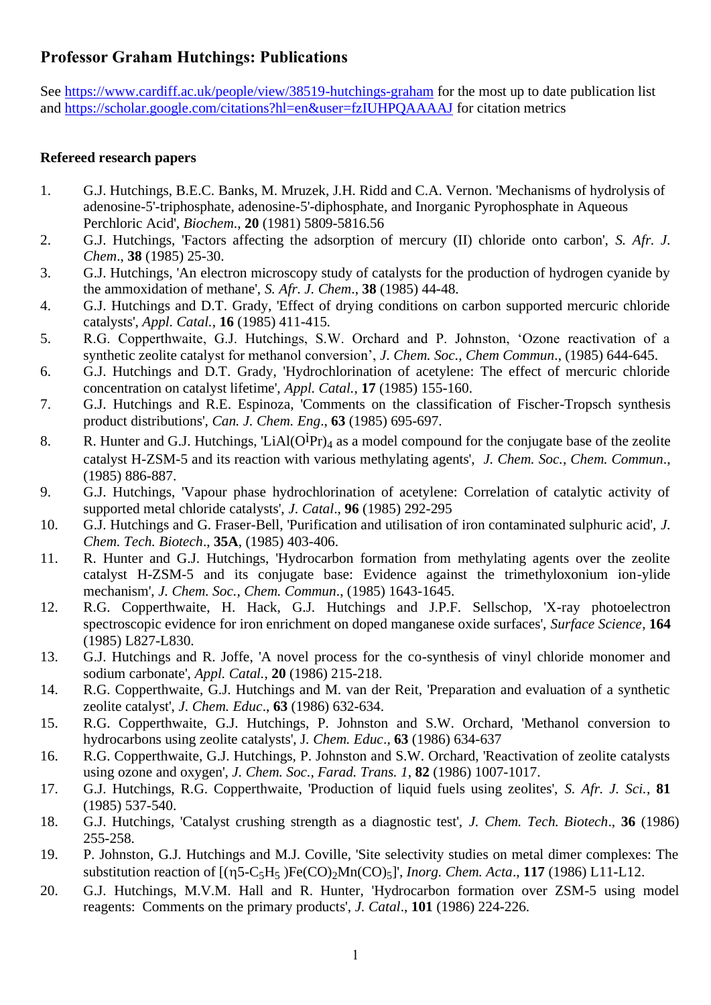# **Professor Graham Hutchings: Publications**

See<https://www.cardiff.ac.uk/people/view/38519-hutchings-graham> for the most up to date publication list and<https://scholar.google.com/citations?hl=en&user=fzIUHPQAAAAJ> for citation metrics

#### **Refereed research papers**

- 1. G.J. Hutchings, B.E.C. Banks, M. Mruzek, J.H. Ridd and C.A. Vernon. 'Mechanisms of hydrolysis of adenosine-5'-triphosphate, adenosine-5'-diphosphate, and Inorganic Pyrophosphate in Aqueous Perchloric Acid', *Biochem*., **20** (1981) 5809-5816.56
- 2. G.J. Hutchings, 'Factors affecting the adsorption of mercury (II) chloride onto carbon', *S. Afr. J. Chem*., **38** (1985) 25-30.
- 3. G.J. Hutchings, 'An electron microscopy study of catalysts for the production of hydrogen cyanide by the ammoxidation of methane', *S. Afr. J. Chem*., **38** (1985) 44-48.
- 4. G.J. Hutchings and D.T. Grady, 'Effect of drying conditions on carbon supported mercuric chloride catalysts', *Appl. Catal.*, **16** (1985) 411-415.
- 5. R.G. Copperthwaite, G.J. Hutchings, S.W. Orchard and P. Johnston, 'Ozone reactivation of a synthetic zeolite catalyst for methanol conversion', *J. Chem. Soc., Chem Commun*., (1985) 644-645.
- 6. G.J. Hutchings and D.T. Grady, 'Hydrochlorination of acetylene: The effect of mercuric chloride concentration on catalyst lifetime', *Appl. Catal.*, **17** (1985) 155-160.
- 7. G.J. Hutchings and R.E. Espinoza, 'Comments on the classification of Fischer-Tropsch synthesis product distributions', *Can. J. Chem. Eng*., **63** (1985) 695-697.
- 8. R. Hunter and G.J. Hutchings, 'LiAl( $\dot{O}^{i}Pr$ ) as a model compound for the conjugate base of the zeolite catalyst H-ZSM-5 and its reaction with various methylating agents', *J. Chem. Soc., Chem. Commun*., (1985) 886-887.
- 9. G.J. Hutchings, 'Vapour phase hydrochlorination of acetylene: Correlation of catalytic activity of supported metal chloride catalysts', *J. Catal*., **96** (1985) 292-295
- 10. G.J. Hutchings and G. Fraser-Bell, 'Purification and utilisation of iron contaminated sulphuric acid', *J. Chem. Tech. Biotech*., **35A**, (1985) 403-406.
- 11. R. Hunter and G.J. Hutchings, 'Hydrocarbon formation from methylating agents over the zeolite catalyst H-ZSM-5 and its conjugate base: Evidence against the trimethyloxonium ion-ylide mechanism', *J. Chem. Soc., Chem. Commun*., (1985) 1643-1645.
- 12. R.G. Copperthwaite, H. Hack, G.J. Hutchings and J.P.F. Sellschop, 'X-ray photoelectron spectroscopic evidence for iron enrichment on doped manganese oxide surfaces', *Surface Science*, **164** (1985) L827-L830.
- 13. G.J. Hutchings and R. Joffe, 'A novel process for the co-synthesis of vinyl chloride monomer and sodium carbonate', *Appl. Catal.*, **20** (1986) 215-218.
- 14. R.G. Copperthwaite, G.J. Hutchings and M. van der Reit, 'Preparation and evaluation of a synthetic zeolite catalyst', *J. Chem. Educ*., **63** (1986) 632-634.
- 15. R.G. Copperthwaite, G.J. Hutchings, P. Johnston and S.W. Orchard, 'Methanol conversion to hydrocarbons using zeolite catalysts', J*. Chem. Educ*., **63** (1986) 634-637
- 16. R.G. Copperthwaite, G.J. Hutchings, P. Johnston and S.W. Orchard, 'Reactivation of zeolite catalysts using ozone and oxygen', *J. Chem. Soc., Farad. Trans. 1*, **82** (1986) 1007-1017.
- 17. G.J. Hutchings, R.G. Copperthwaite, 'Production of liquid fuels using zeolites', *S. Afr. J. Sci.*, **81** (1985) 537-540.
- 18. G.J. Hutchings, 'Catalyst crushing strength as a diagnostic test', *J. Chem. Tech. Biotech*., **36** (1986) 255-258.
- 19. P. Johnston, G.J. Hutchings and M.J. Coville, 'Site selectivity studies on metal dimer complexes: The substitution reaction of  $[(\eta 5-C_5H_5)Fe(CO)_2Mn(CO)_5]$ , *Inorg. Chem. Acta.*, 117 (1986) L11-L12.
- 20. G.J. Hutchings, M.V.M. Hall and R. Hunter, 'Hydrocarbon formation over ZSM-5 using model reagents: Comments on the primary products', *J. Catal*., **101** (1986) 224-226.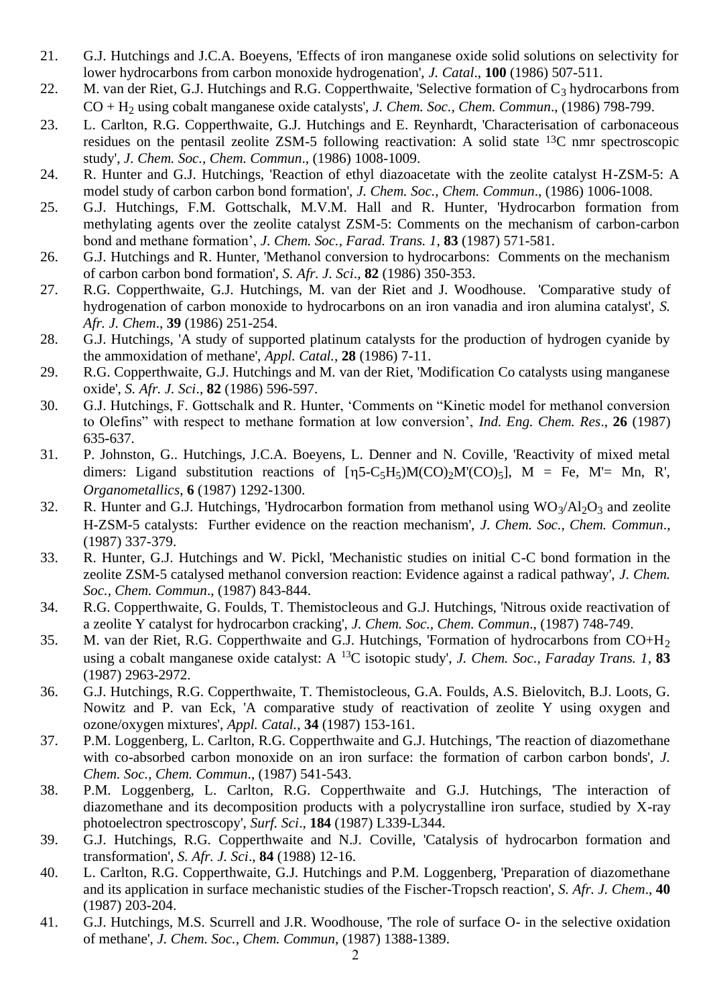- 21. G.J. Hutchings and J.C.A. Boeyens, 'Effects of iron manganese oxide solid solutions on selectivity for lower hydrocarbons from carbon monoxide hydrogenation', *J. Catal*., **100** (1986) 507-511.
- 22. M. van der Riet, G.J. Hutchings and R.G. Copperthwaite, 'Selective formation of  $C_3$  hydrocarbons from CO + H<sup>2</sup> using cobalt manganese oxide catalysts', *J. Chem. Soc., Chem. Commun*., (1986) 798-799.
- 23. L. Carlton, R.G. Copperthwaite, G.J. Hutchings and E. Reynhardt, 'Characterisation of carbonaceous residues on the pentasil zeolite ZSM-5 following reactivation: A solid state 13C nmr spectroscopic study', *J. Chem. Soc., Chem. Commun*., (1986) 1008-1009.
- 24. R. Hunter and G.J. Hutchings, 'Reaction of ethyl diazoacetate with the zeolite catalyst H-ZSM-5: A model study of carbon carbon bond formation', *J. Chem. Soc., Chem. Commun*., (1986) 1006-1008.
- 25. G.J. Hutchings, F.M. Gottschalk, M.V.M. Hall and R. Hunter, 'Hydrocarbon formation from methylating agents over the zeolite catalyst ZSM-5: Comments on the mechanism of carbon-carbon bond and methane formation', *J. Chem. Soc., Farad. Trans. 1*, **83** (1987) 571-581.
- 26. G.J. Hutchings and R. Hunter, 'Methanol conversion to hydrocarbons: Comments on the mechanism of carbon carbon bond formation', *S. Afr. J. Sci*., **82** (1986) 350-353.
- 27. R.G. Copperthwaite, G.J. Hutchings, M. van der Riet and J. Woodhouse. 'Comparative study of hydrogenation of carbon monoxide to hydrocarbons on an iron vanadia and iron alumina catalyst', *S. Afr. J. Chem*., **39** (1986) 251-254.
- 28. G.J. Hutchings, 'A study of supported platinum catalysts for the production of hydrogen cyanide by the ammoxidation of methane', *Appl. Catal.*, **28** (1986) 7-11.
- 29. R.G. Copperthwaite, G.J. Hutchings and M. van der Riet, 'Modification Co catalysts using manganese oxide', *S. Afr. J. Sci*., **82** (1986) 596-597.
- 30. G.J. Hutchings, F. Gottschalk and R. Hunter, 'Comments on "Kinetic model for methanol conversion to Olefins" with respect to methane formation at low conversion', *Ind. Eng. Chem. Res*., **26** (1987) 635-637.
- 31. P. Johnston, G.. Hutchings, J.C.A. Boeyens, L. Denner and N. Coville, 'Reactivity of mixed metal dimers: Ligand substitution reactions of  $[\eta 5-C_5H_5]M(CO)_2M'(CO)_5$ ,  $M = Fe$ ,  $M'= Mn$ , R', *Organometallics*, **6** (1987) 1292-1300.
- 32. R. Hunter and G.J. Hutchings, 'Hydrocarbon formation from methanol using  $WO_3/Al_2O_3$  and zeolite H-ZSM-5 catalysts: Further evidence on the reaction mechanism', *J. Chem. Soc., Chem. Commun*., (1987) 337-379.
- 33. R. Hunter, G.J. Hutchings and W. Pickl, 'Mechanistic studies on initial C-C bond formation in the zeolite ZSM-5 catalysed methanol conversion reaction: Evidence against a radical pathway', *J. Chem. Soc., Chem. Commun*., (1987) 843-844.
- 34. R.G. Copperthwaite, G. Foulds, T. Themistocleous and G.J. Hutchings, 'Nitrous oxide reactivation of a zeolite Y catalyst for hydrocarbon cracking', *J. Chem. Soc., Chem. Commun*., (1987) 748-749.
- 35. M. van der Riet, R.G. Copperthwaite and G.J. Hutchings, 'Formation of hydrocarbons from CO+H<sup>2</sup> using a cobalt manganese oxide catalyst: A <sup>13</sup>C isotopic study', *J. Chem. Soc., Faraday Trans. 1*, **83** (1987) 2963-2972.
- 36. G.J. Hutchings, R.G. Copperthwaite, T. Themistocleous, G.A. Foulds, A.S. Bielovitch, B.J. Loots, G. Nowitz and P. van Eck, 'A comparative study of reactivation of zeolite Y using oxygen and ozone/oxygen mixtures', *Appl. Catal.*, **34** (1987) 153-161.
- 37. P.M. Loggenberg, L. Carlton, R.G. Copperthwaite and G.J. Hutchings, 'The reaction of diazomethane with co-absorbed carbon monoxide on an iron surface: the formation of carbon carbon bonds', *J. Chem. Soc., Chem. Commun*., (1987) 541-543.
- 38. P.M. Loggenberg, L. Carlton, R.G. Copperthwaite and G.J. Hutchings, 'The interaction of diazomethane and its decomposition products with a polycrystalline iron surface, studied by X-ray photoelectron spectroscopy', *Surf. Sci*., **184** (1987) L339-L344.
- 39. G.J. Hutchings, R.G. Copperthwaite and N.J. Coville, 'Catalysis of hydrocarbon formation and transformation', *S. Afr. J. Sci*., **84** (1988) 12-16.
- 40. L. Carlton, R.G. Copperthwaite, G.J. Hutchings and P.M. Loggenberg, 'Preparation of diazomethane and its application in surface mechanistic studies of the Fischer-Tropsch reaction', *S. Afr. J. Chem*., **40** (1987) 203-204.
- 41. G.J. Hutchings, M.S. Scurrell and J.R. Woodhouse, 'The role of surface O- in the selective oxidation of methane', *J. Chem. Soc., Chem. Commun*, (1987) 1388-1389.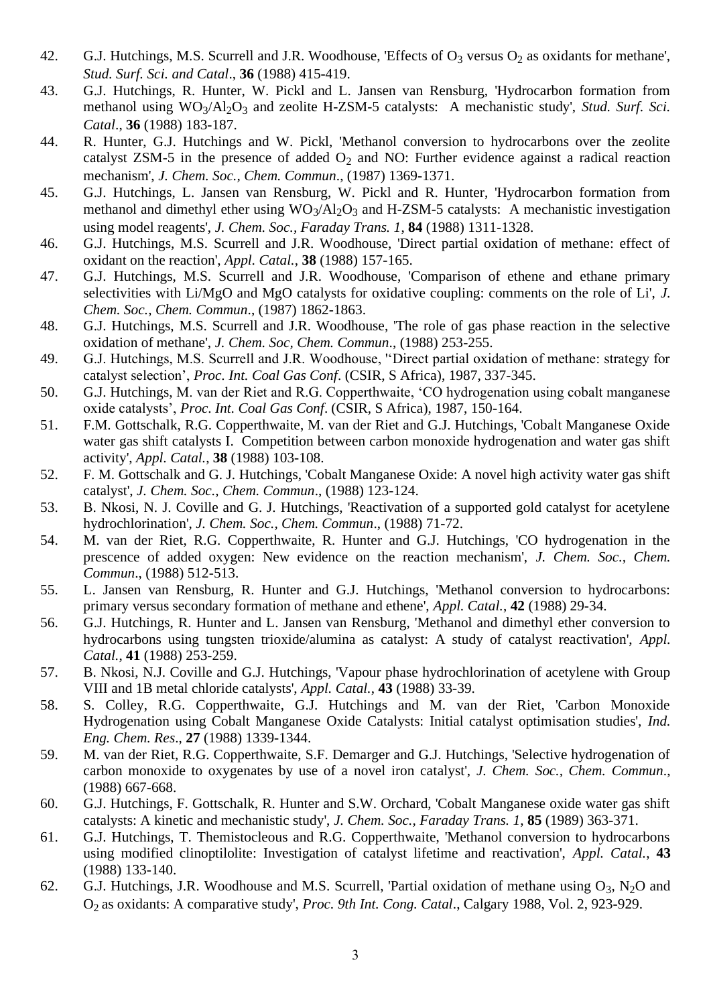- 42. G.J. Hutchings, M.S. Scurrell and J.R. Woodhouse, 'Effects of  $O_3$  versus  $O_2$  as oxidants for methane', *Stud. Surf. Sci. and Catal*., **36** (1988) 415-419.
- 43. G.J. Hutchings, R. Hunter, W. Pickl and L. Jansen van Rensburg, 'Hydrocarbon formation from methanol using WO<sub>3</sub>/Al<sub>2</sub>O<sub>3</sub> and zeolite H-ZSM-5 catalysts: A mechanistic study', *Stud. Surf. Sci. Catal*., **36** (1988) 183-187.
- 44. R. Hunter, G.J. Hutchings and W. Pickl, 'Methanol conversion to hydrocarbons over the zeolite catalyst ZSM-5 in the presence of added  $O_2$  and NO: Further evidence against a radical reaction mechanism', *J. Chem. Soc., Chem. Commun*., (1987) 1369-1371.
- 45. G.J. Hutchings, L. Jansen van Rensburg, W. Pickl and R. Hunter, 'Hydrocarbon formation from methanol and dimethyl ether using  $WO_3/Al_2O_3$  and H-ZSM-5 catalysts: A mechanistic investigation using model reagents', *J. Chem. Soc., Faraday Trans. 1*, **84** (1988) 1311-1328.
- 46. G.J. Hutchings, M.S. Scurrell and J.R. Woodhouse, 'Direct partial oxidation of methane: effect of oxidant on the reaction', *Appl. Catal.*, **38** (1988) 157-165.
- 47. G.J. Hutchings, M.S. Scurrell and J.R. Woodhouse, 'Comparison of ethene and ethane primary selectivities with Li/MgO and MgO catalysts for oxidative coupling: comments on the role of Li', *J. Chem. Soc., Chem. Commun*., (1987) 1862-1863.
- 48. G.J. Hutchings, M.S. Scurrell and J.R. Woodhouse, 'The role of gas phase reaction in the selective oxidation of methane', *J. Chem. Soc, Chem. Commun*., (1988) 253-255.
- 49. G.J. Hutchings, M.S. Scurrell and J.R. Woodhouse, ''Direct partial oxidation of methane: strategy for catalyst selection', *Proc. Int. Coal Gas Conf*. (CSIR, S Africa), 1987, 337-345.
- 50. G.J. Hutchings, M. van der Riet and R.G. Copperthwaite, 'CO hydrogenation using cobalt manganese oxide catalysts', *Proc. Int. Coal Gas Conf*. (CSIR, S Africa), 1987, 150-164.
- 51. F.M. Gottschalk, R.G. Copperthwaite, M. van der Riet and G.J. Hutchings, 'Cobalt Manganese Oxide water gas shift catalysts I. Competition between carbon monoxide hydrogenation and water gas shift activity', *Appl. Catal.*, **38** (1988) 103-108.
- 52. F. M. Gottschalk and G. J. Hutchings, 'Cobalt Manganese Oxide: A novel high activity water gas shift catalyst', *J. Chem. Soc., Chem. Commun*., (1988) 123-124.
- 53. B. Nkosi, N. J. Coville and G. J. Hutchings, 'Reactivation of a supported gold catalyst for acetylene hydrochlorination', *J. Chem. Soc., Chem. Commun*., (1988) 71-72.
- 54. M. van der Riet, R.G. Copperthwaite, R. Hunter and G.J. Hutchings, 'CO hydrogenation in the prescence of added oxygen: New evidence on the reaction mechanism', *J. Chem. Soc., Chem. Commun*., (1988) 512-513.
- 55. L. Jansen van Rensburg, R. Hunter and G.J. Hutchings, 'Methanol conversion to hydrocarbons: primary versus secondary formation of methane and ethene', *Appl. Catal.*, **42** (1988) 29-34.
- 56. G.J. Hutchings, R. Hunter and L. Jansen van Rensburg, 'Methanol and dimethyl ether conversion to hydrocarbons using tungsten trioxide/alumina as catalyst: A study of catalyst reactivation', *Appl. Catal.*, **41** (1988) 253-259.
- 57. B. Nkosi, N.J. Coville and G.J. Hutchings, 'Vapour phase hydrochlorination of acetylene with Group VIII and 1B metal chloride catalysts', *Appl. Catal.*, **43** (1988) 33-39.
- 58. S. Colley, R.G. Copperthwaite, G.J. Hutchings and M. van der Riet, 'Carbon Monoxide Hydrogenation using Cobalt Manganese Oxide Catalysts: Initial catalyst optimisation studies', *Ind. Eng. Chem. Res*., **27** (1988) 1339-1344.
- 59. M. van der Riet, R.G. Copperthwaite, S.F. Demarger and G.J. Hutchings, 'Selective hydrogenation of carbon monoxide to oxygenates by use of a novel iron catalyst', *J. Chem. Soc., Chem. Commun*., (1988) 667-668.
- 60. G.J. Hutchings, F. Gottschalk, R. Hunter and S.W. Orchard, 'Cobalt Manganese oxide water gas shift catalysts: A kinetic and mechanistic study', *J. Chem. Soc., Faraday Trans. 1*, **85** (1989) 363-371.
- 61. G.J. Hutchings, T. Themistocleous and R.G. Copperthwaite, 'Methanol conversion to hydrocarbons using modified clinoptilolite: Investigation of catalyst lifetime and reactivation', *Appl. Catal.*, **43**  (1988) 133-140.
- 62. G.J. Hutchings, J.R. Woodhouse and M.S. Scurrell, 'Partial oxidation of methane using  $O_3$ , N<sub>2</sub>O and O<sup>2</sup> as oxidants: A comparative study', *Proc. 9th Int. Cong. Catal*., Calgary 1988, Vol. 2, 923-929.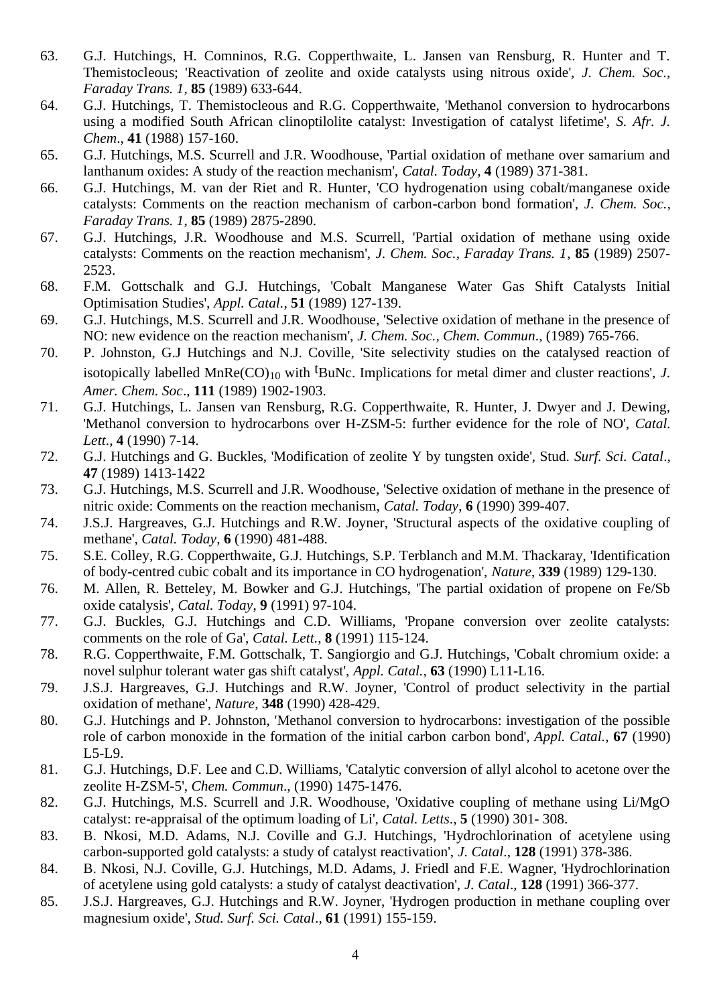- 63. G.J. Hutchings, H. Comninos, R.G. Copperthwaite, L. Jansen van Rensburg, R. Hunter and T. Themistocleous; 'Reactivation of zeolite and oxide catalysts using nitrous oxide', *J. Chem. Soc., Faraday Trans. 1*, **85** (1989) 633-644.
- 64. G.J. Hutchings, T. Themistocleous and R.G. Copperthwaite, 'Methanol conversion to hydrocarbons using a modified South African clinoptilolite catalyst: Investigation of catalyst lifetime', *S. Afr. J. Chem*., **41** (1988) 157-160.
- 65. G.J. Hutchings, M.S. Scurrell and J.R. Woodhouse, 'Partial oxidation of methane over samarium and lanthanum oxides: A study of the reaction mechanism', *Catal. Today*, **4** (1989) 371-381.
- 66. G.J. Hutchings, M. van der Riet and R. Hunter, 'CO hydrogenation using cobalt/manganese oxide catalysts: Comments on the reaction mechanism of carbon-carbon bond formation', *J. Chem. Soc., Faraday Trans. 1*, **85** (1989) 2875-2890.
- 67. G.J. Hutchings, J.R. Woodhouse and M.S. Scurrell, 'Partial oxidation of methane using oxide catalysts: Comments on the reaction mechanism', *J. Chem. Soc., Faraday Trans. 1*, **85** (1989) 2507- 2523.
- 68. F.M. Gottschalk and G.J. Hutchings, 'Cobalt Manganese Water Gas Shift Catalysts Initial Optimisation Studies', *Appl. Catal.*, **51** (1989) 127-139.
- 69. G.J. Hutchings, M.S. Scurrell and J.R. Woodhouse, 'Selective oxidation of methane in the presence of NO: new evidence on the reaction mechanism', *J. Chem. Soc., Chem. Commun*., (1989) 765-766.
- 70. P. Johnston, G.J Hutchings and N.J. Coville, 'Site selectivity studies on the catalysed reaction of isotopically labelled MnRe(CO)<sub>10</sub> with <sup>t</sup>BuNc. Implications for metal dimer and cluster reactions', *J. Amer. Chem. Soc*., **111** (1989) 1902-1903.
- 71. G.J. Hutchings, L. Jansen van Rensburg, R.G. Copperthwaite, R. Hunter, J. Dwyer and J. Dewing, 'Methanol conversion to hydrocarbons over H-ZSM-5: further evidence for the role of NO', *Catal. Lett*., **4** (1990) 7-14.
- 72. G.J. Hutchings and G. Buckles, 'Modification of zeolite Y by tungsten oxide', Stud. *Surf. Sci. Catal*., **47** (1989) 1413-1422
- 73. G.J. Hutchings, M.S. Scurrell and J.R. Woodhouse, 'Selective oxidation of methane in the presence of nitric oxide: Comments on the reaction mechanism, *Catal. Today*, **6** (1990) 399-407.
- 74. J.S.J. Hargreaves, G.J. Hutchings and R.W. Joyner, 'Structural aspects of the oxidative coupling of methane', *Catal. Today*, **6** (1990) 481-488.
- 75. S.E. Colley, R.G. Copperthwaite, G.J. Hutchings, S.P. Terblanch and M.M. Thackaray, 'Identification of body-centred cubic cobalt and its importance in CO hydrogenation', *Nature*, **339** (1989) 129-130.
- 76. M. Allen, R. Betteley, M. Bowker and G.J. Hutchings, 'The partial oxidation of propene on Fe/Sb oxide catalysis', *Catal. Today*, **9** (1991) 97-104.
- 77. G.J. Buckles, G.J. Hutchings and C.D. Williams, 'Propane conversion over zeolite catalysts: comments on the role of Ga', *Catal. Lett.*, **8** (1991) 115-124.
- 78. R.G. Copperthwaite, F.M. Gottschalk, T. Sangiorgio and G.J. Hutchings, 'Cobalt chromium oxide: a novel sulphur tolerant water gas shift catalyst', *Appl. Catal.*, **63** (1990) L11-L16.
- 79. J.S.J. Hargreaves, G.J. Hutchings and R.W. Joyner, 'Control of product selectivity in the partial oxidation of methane', *Nature*, **348** (1990) 428-429.
- 80. G.J. Hutchings and P. Johnston, 'Methanol conversion to hydrocarbons: investigation of the possible role of carbon monoxide in the formation of the initial carbon carbon bond', *Appl. Catal.*, **67** (1990) L5-L9.
- 81. G.J. Hutchings, D.F. Lee and C.D. Williams, 'Catalytic conversion of allyl alcohol to acetone over the zeolite H-ZSM-5', *Chem. Commun*., (1990) 1475-1476.
- 82. G.J. Hutchings, M.S. Scurrell and J.R. Woodhouse, 'Oxidative coupling of methane using Li/MgO catalyst: re-appraisal of the optimum loading of Li', *Catal. Letts*., **5** (1990) 301- 308.
- 83. B. Nkosi, M.D. Adams, N.J. Coville and G.J. Hutchings, 'Hydrochlorination of acetylene using carbon-supported gold catalysts: a study of catalyst reactivation', *J. Catal*., **128** (1991) 378-386.
- 84. B. Nkosi, N.J. Coville, G.J. Hutchings, M.D. Adams, J. Friedl and F.E. Wagner, 'Hydrochlorination of acetylene using gold catalysts: a study of catalyst deactivation', *J. Catal*., **128** (1991) 366-377.
- 85. J.S.J. Hargreaves, G.J. Hutchings and R.W. Joyner, 'Hydrogen production in methane coupling over magnesium oxide', *Stud. Surf. Sci. Catal*., **61** (1991) 155-159.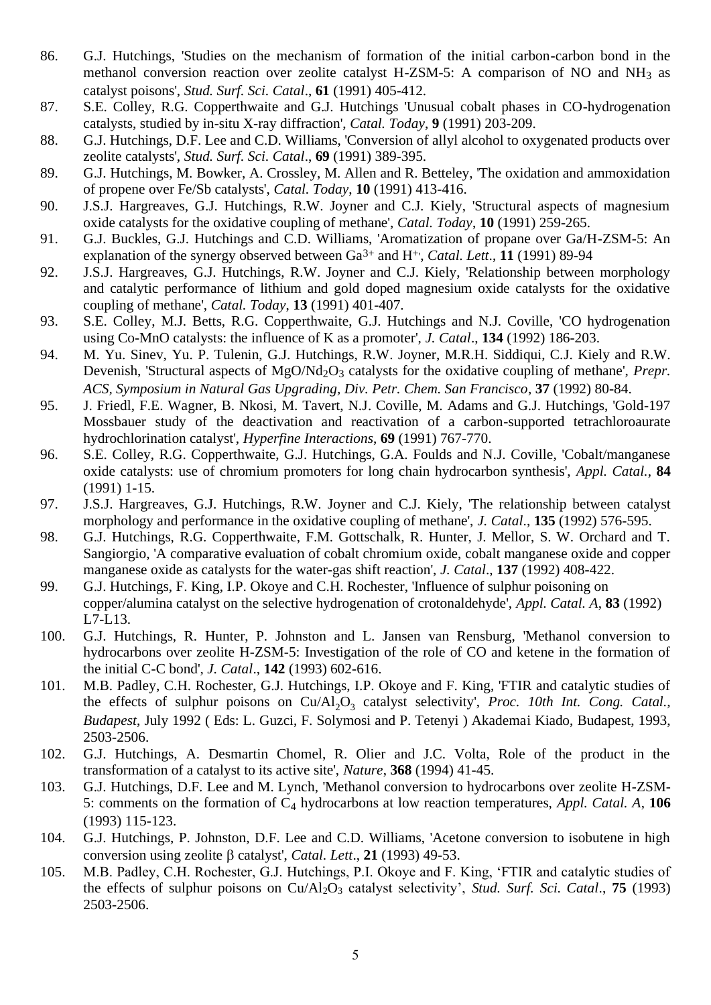- 86. G.J. Hutchings, 'Studies on the mechanism of formation of the initial carbon-carbon bond in the methanol conversion reaction over zeolite catalyst H-ZSM-5: A comparison of NO and NH<sub>3</sub> as catalyst poisons', *Stud. Surf. Sci. Catal*., **61** (1991) 405-412.
- 87. S.E. Colley, R.G. Copperthwaite and G.J. Hutchings 'Unusual cobalt phases in CO-hydrogenation catalysts, studied by in-situ X-ray diffraction', *Catal. Today*, **9** (1991) 203-209.
- 88. G.J. Hutchings, D.F. Lee and C.D. Williams, 'Conversion of allyl alcohol to oxygenated products over zeolite catalysts', *Stud. Surf. Sci. Catal*., **69** (1991) 389-395.
- 89. G.J. Hutchings, M. Bowker, A. Crossley, M. Allen and R. Betteley, 'The oxidation and ammoxidation of propene over Fe/Sb catalysts', *Catal. Today*, **10** (1991) 413-416.
- 90. J.S.J. Hargreaves, G.J. Hutchings, R.W. Joyner and C.J. Kiely, 'Structural aspects of magnesium oxide catalysts for the oxidative coupling of methane', *Catal. Today*, **10** (1991) 259-265.
- 91. G.J. Buckles, G.J. Hutchings and C.D. Williams, 'Aromatization of propane over Ga/H-ZSM-5: An explanation of the synergy observed between Ga<sup>3+</sup> and H<sup>+</sup>', *Catal. Lett.*, **11** (1991) 89-94
- 92. J.S.J. Hargreaves, G.J. Hutchings, R.W. Joyner and C.J. Kiely, 'Relationship between morphology and catalytic performance of lithium and gold doped magnesium oxide catalysts for the oxidative coupling of methane', *Catal. Today*, **13** (1991) 401-407.
- 93. S.E. Colley, M.J. Betts, R.G. Copperthwaite, G.J. Hutchings and N.J. Coville, 'CO hydrogenation using Co-MnO catalysts: the influence of K as a promoter', *J. Catal*., **134** (1992) 186-203.
- 94. M. Yu. Sinev, Yu. P. Tulenin, G.J. Hutchings, R.W. Joyner, M.R.H. Siddiqui, C.J. Kiely and R.W. Devenish, 'Structural aspects of MgO/Nd<sub>2</sub>O<sub>3</sub> catalysts for the oxidative coupling of methane', *Prepr. ACS, Symposium in Natural Gas Upgrading, Div. Petr. Chem. San Francisco*, **37** (1992) 80-84.
- 95. J. Friedl, F.E. Wagner, B. Nkosi, M. Tavert, N.J. Coville, M. Adams and G.J. Hutchings, 'Gold-197 Mossbauer study of the deactivation and reactivation of a carbon-supported tetrachloroaurate hydrochlorination catalyst', *Hyperfine Interactions*, **69** (1991) 767-770.
- 96. S.E. Colley, R.G. Copperthwaite, G.J. Hutchings, G.A. Foulds and N.J. Coville, 'Cobalt/manganese oxide catalysts: use of chromium promoters for long chain hydrocarbon synthesis', *Appl. Catal.*, **84** (1991) 1-15.
- 97. J.S.J. Hargreaves, G.J. Hutchings, R.W. Joyner and C.J. Kiely, 'The relationship between catalyst morphology and performance in the oxidative coupling of methane', *J. Catal*., **135** (1992) 576-595.
- 98. G.J. Hutchings, R.G. Copperthwaite, F.M. Gottschalk, R. Hunter, J. Mellor, S. W. Orchard and T. Sangiorgio, 'A comparative evaluation of cobalt chromium oxide, cobalt manganese oxide and copper manganese oxide as catalysts for the water-gas shift reaction', *J. Catal*., **137** (1992) 408-422.
- 99. G.J. Hutchings, F. King, I.P. Okoye and C.H. Rochester, 'Influence of sulphur poisoning on copper/alumina catalyst on the selective hydrogenation of crotonaldehyde', *Appl. Catal. A*, **83** (1992) L7-L13.
- 100. G.J. Hutchings, R. Hunter, P. Johnston and L. Jansen van Rensburg, 'Methanol conversion to hydrocarbons over zeolite H-ZSM-5: Investigation of the role of CO and ketene in the formation of the initial C-C bond', *J. Catal*., **142** (1993) 602-616.
- 101. M.B. Padley, C.H. Rochester, G.J. Hutchings, I.P. Okoye and F. King, 'FTIR and catalytic studies of the effects of sulphur poisons on Cu/Al<sub>2</sub>O<sub>3</sub> catalyst selectivity', *Proc. 10th Int. Cong. Catal.*, *Budapest*, July 1992 ( Eds: L. Guzci, F. Solymosi and P. Tetenyi ) Akademai Kiado, Budapest, 1993, 2503-2506.
- 102. G.J. Hutchings, A. Desmartin Chomel, R. Olier and J.C. Volta, Role of the product in the transformation of a catalyst to its active site', *Nature*, **368** (1994) 41-45.
- 103. G.J. Hutchings, D.F. Lee and M. Lynch, 'Methanol conversion to hydrocarbons over zeolite H-ZSM-5: comments on the formation of C<sup>4</sup> hydrocarbons at low reaction temperatures, *Appl. Catal. A*, **106** (1993) 115-123.
- 104. G.J. Hutchings, P. Johnston, D.F. Lee and C.D. Williams, 'Acetone conversion to isobutene in high conversion using zeolite  $\beta$  catalyst', *Catal. Lett.*, **21** (1993) 49-53.
- 105. M.B. Padley, C.H. Rochester, G.J. Hutchings, P.I. Okoye and F. King, 'FTIR and catalytic studies of the effects of sulphur poisons on Cu/Al2O<sup>3</sup> catalyst selectivity', *Stud. Surf. Sci. Catal*., **75** (1993) 2503-2506.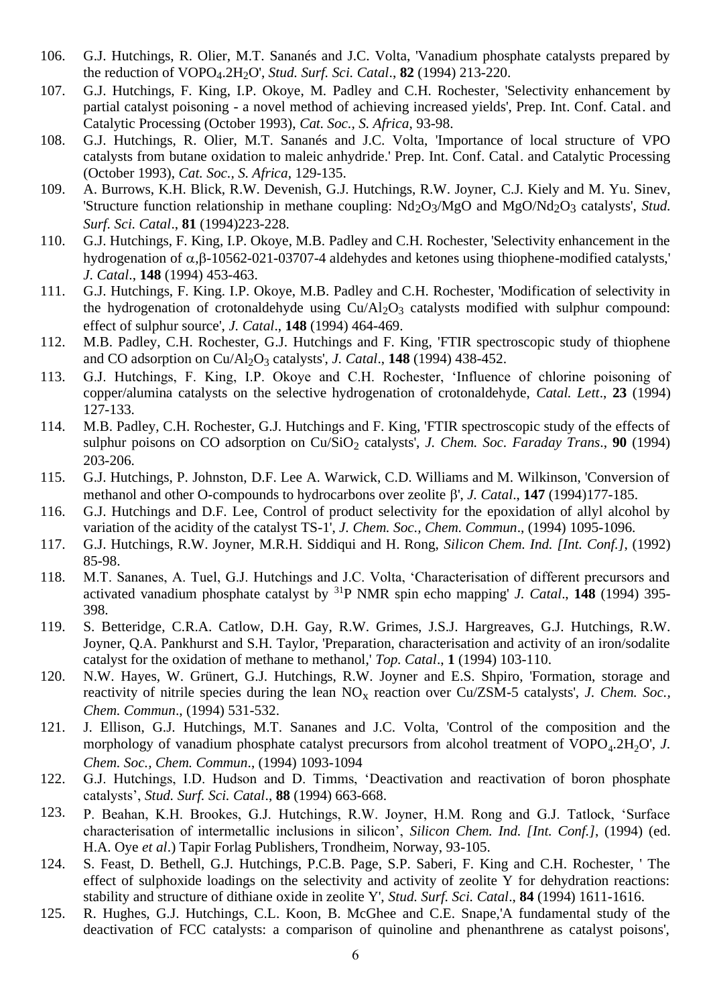- 106. G.J. Hutchings, R. Olier, M.T. Sananés and J.C. Volta, 'Vanadium phosphate catalysts prepared by the reduction of VOPO<sub>4</sub>.2H<sub>2</sub>O', *Stud. Surf. Sci. Catal.*, **82** (1994) 213-220.
- 107. G.J. Hutchings, F. King, I.P. Okoye, M. Padley and C.H. Rochester, 'Selectivity enhancement by partial catalyst poisoning - a novel method of achieving increased yields', Prep. Int. Conf. Catal. and Catalytic Processing (October 1993), *Cat. Soc., S. Africa*, 93-98.
- 108. G.J. Hutchings, R. Olier, M.T. Sananés and J.C. Volta, 'Importance of local structure of VPO catalysts from butane oxidation to maleic anhydride.' Prep. Int. Conf. Catal. and Catalytic Processing (October 1993), *Cat. Soc., S. Africa*, 129-135.
- 109. A. Burrows, K.H. Blick, R.W. Devenish, G.J. Hutchings, R.W. Joyner, C.J. Kiely and M. Yu. Sinev, 'Structure function relationship in methane coupling: Nd<sub>2</sub>O<sub>3</sub>/MgO and MgO/Nd<sub>2</sub>O<sub>3</sub> catalysts', *Stud. Surf. Sci. Catal*., **81** (1994)223-228.
- 110. G.J. Hutchings, F. King, I.P. Okoye, M.B. Padley and C.H. Rochester, 'Selectivity enhancement in the hydrogenation of  $\alpha$ , B-10562-021-03707-4 aldehydes and ketones using thiophene-modified catalysts,' *J. Catal*., **148** (1994) 453-463.
- 111. G.J. Hutchings, F. King. I.P. Okoye, M.B. Padley and C.H. Rochester, 'Modification of selectivity in the hydrogenation of crotonaldehyde using  $Cu/Al<sub>2</sub>O<sub>3</sub>$  catalysts modified with sulphur compound: effect of sulphur source', *J. Catal*., **148** (1994) 464-469.
- 112. M.B. Padley, C.H. Rochester, G.J. Hutchings and F. King, 'FTIR spectroscopic study of thiophene and CO adsorption on Cu/Al<sub>2</sub>O<sub>3</sub> catalysts', *J. Catal.*, **148** (1994) 438-452.
- 113. G.J. Hutchings, F. King, I.P. Okoye and C.H. Rochester, 'Influence of chlorine poisoning of copper/alumina catalysts on the selective hydrogenation of crotonaldehyde, *Catal. Lett*., **23** (1994) 127-133.
- 114. M.B. Padley, C.H. Rochester, G.J. Hutchings and F. King, 'FTIR spectroscopic study of the effects of sulphur poisons on CO adsorption on Cu/SiO<sub>2</sub> catalysts', *J. Chem. Soc. Faraday Trans.*, 90 (1994) 203-206.
- 115. G.J. Hutchings, P. Johnston, D.F. Lee A. Warwick, C.D. Williams and M. Wilkinson, 'Conversion of methanol and other O-compounds to hydrocarbons over zeolite  $\beta'$ , *J. Catal.*, **147** (1994)177-185.
- 116. G.J. Hutchings and D.F. Lee, Control of product selectivity for the epoxidation of allyl alcohol by variation of the acidity of the catalyst TS-1', *J. Chem. Soc., Chem. Commun*., (1994) 1095-1096.
- 117. G.J. Hutchings, R.W. Joyner, M.R.H. Siddiqui and H. Rong, *Silicon Chem. Ind. [Int. Conf.]*, (1992) 85-98.
- 118. M.T. Sananes, A. Tuel, G.J. Hutchings and J.C. Volta, 'Characterisation of different precursors and activated vanadium phosphate catalyst by <sup>31</sup>P NMR spin echo mapping' *J. Catal*., **148** (1994) 395- 398.
- 119. S. Betteridge, C.R.A. Catlow, D.H. Gay, R.W. Grimes, J.S.J. Hargreaves, G.J. Hutchings, R.W. Joyner, Q.A. Pankhurst and S.H. Taylor, 'Preparation, characterisation and activity of an iron/sodalite catalyst for the oxidation of methane to methanol,' *Top. Catal*., **1** (1994) 103-110.
- 120. N.W. Hayes, W. Grünert, G.J. Hutchings, R.W. Joyner and E.S. Shpiro, 'Formation, storage and reactivity of nitrile species during the lean  $NO_x$  reaction over Cu/ZSM-5 catalysts', *J. Chem. Soc.*, *Chem. Commun*., (1994) 531-532.
- 121. J. Ellison, G.J. Hutchings, M.T. Sananes and J.C. Volta, 'Control of the composition and the morphology of vanadium phosphate catalyst precursors from alcohol treatment of VOPO<sub>4</sub>.2H<sub>2</sub>O', *J. Chem. Soc., Chem. Commun*., (1994) 1093-1094
- 122. G.J. Hutchings, I.D. Hudson and D. Timms, 'Deactivation and reactivation of boron phosphate catalysts', *Stud. Surf. Sci. Catal*., **88** (1994) 663-668.
- 123. P. Beahan, K.H. Brookes, G.J. Hutchings, R.W. Joyner, H.M. Rong and G.J. Tatlock, 'Surface characterisation of intermetallic inclusions in silicon', *Silicon Chem. Ind. [Int. Conf.]*, (1994) (ed. H.A. Oye *et al*.) Tapir Forlag Publishers, Trondheim, Norway, 93-105.
- 124. S. Feast, D. Bethell, G.J. Hutchings, P.C.B. Page, S.P. Saberi, F. King and C.H. Rochester, ' The effect of sulphoxide loadings on the selectivity and activity of zeolite Y for dehydration reactions: stability and structure of dithiane oxide in zeolite Y', *Stud. Surf. Sci. Catal*., **84** (1994) 1611-1616.
- 125. R. Hughes, G.J. Hutchings, C.L. Koon, B. McGhee and C.E. Snape,'A fundamental study of the deactivation of FCC catalysts: a comparison of quinoline and phenanthrene as catalyst poisons',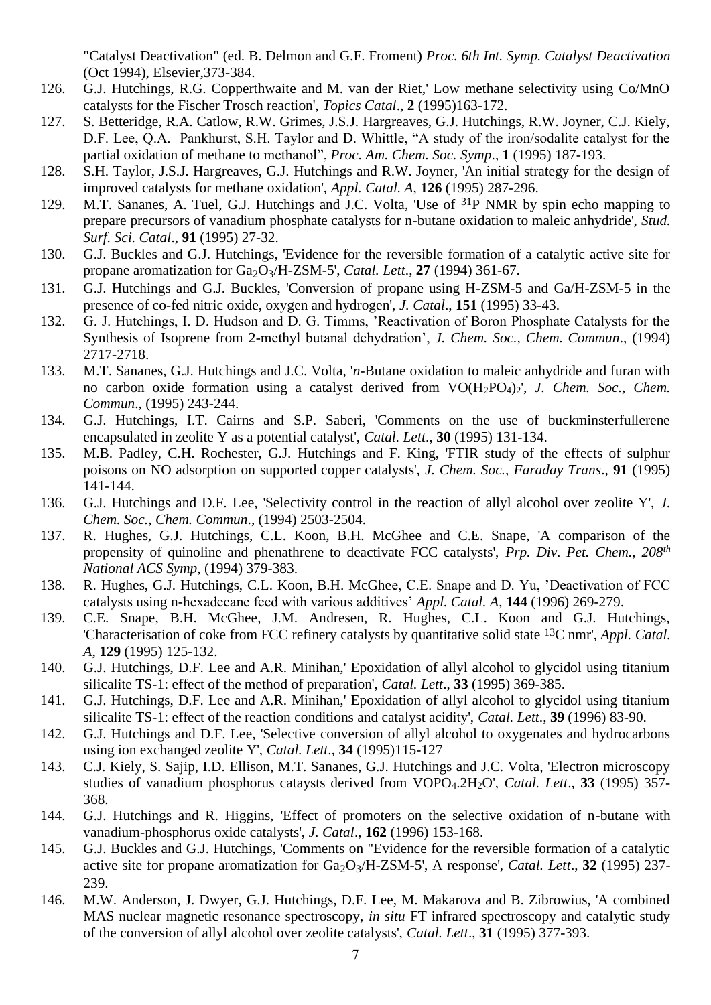"Catalyst Deactivation" (ed. B. Delmon and G.F. Froment) *Proc. 6th Int. Symp. Catalyst Deactivation* (Oct 1994), Elsevier,373-384.

- 126. G.J. Hutchings, R.G. Copperthwaite and M. van der Riet,' Low methane selectivity using Co/MnO catalysts for the Fischer Trosch reaction', *Topics Catal*., **2** (1995)163-172.
- 127. S. Betteridge, R.A. Catlow, R.W. Grimes, J.S.J. Hargreaves, G.J. Hutchings, R.W. Joyner, C.J. Kiely, D.F. Lee, Q.A. Pankhurst, S.H. Taylor and D. Whittle, "A study of the iron/sodalite catalyst for the partial oxidation of methane to methanol", *Proc. Am. Chem. Soc. Symp*., **1** (1995) 187-193.
- 128. S.H. Taylor, J.S.J. Hargreaves, G.J. Hutchings and R.W. Joyner, 'An initial strategy for the design of improved catalysts for methane oxidation', *Appl. Catal. A*, **126** (1995) 287-296.
- 129. M.T. Sananes, A. Tuel, G.J. Hutchings and J.C. Volta, 'Use of 31P NMR by spin echo mapping to prepare precursors of vanadium phosphate catalysts for n-butane oxidation to maleic anhydride', *Stud. Surf. Sci. Catal*., **91** (1995) 27-32.
- 130. G.J. Buckles and G.J. Hutchings, 'Evidence for the reversible formation of a catalytic active site for propane aromatization for  $Ga_2O_3/H$ -ZSM-5', *Catal. Lett.*, **27** (1994) 361-67.
- 131. G.J. Hutchings and G.J. Buckles, 'Conversion of propane using H-ZSM-5 and Ga/H-ZSM-5 in the presence of co-fed nitric oxide, oxygen and hydrogen', *J. Catal*., **151** (1995) 33-43.
- 132. G. J. Hutchings, I. D. Hudson and D. G. Timms, 'Reactivation of Boron Phosphate Catalysts for the Synthesis of Isoprene from 2-methyl butanal dehydration', *J. Chem. Soc., Chem. Commun*., (1994) 2717-2718.
- 133. M.T. Sananes, G.J. Hutchings and J.C. Volta, '*n*-Butane oxidation to maleic anhydride and furan with no carbon oxide formation using a catalyst derived from VO(H2PO4)2', *J. Chem. Soc., Chem. Commun*., (1995) 243-244.
- 134. G.J. Hutchings, I.T. Cairns and S.P. Saberi, 'Comments on the use of buckminsterfullerene encapsulated in zeolite Y as a potential catalyst', *Catal. Lett*., **30** (1995) 131-134.
- 135. M.B. Padley, C.H. Rochester, G.J. Hutchings and F. King, 'FTIR study of the effects of sulphur poisons on NO adsorption on supported copper catalysts', *J. Chem. Soc., Faraday Trans*., **91** (1995) 141-144.
- 136. G.J. Hutchings and D.F. Lee, 'Selectivity control in the reaction of allyl alcohol over zeolite Y', *J. Chem. Soc., Chem. Commun*., (1994) 2503-2504.
- 137. R. Hughes, G.J. Hutchings, C.L. Koon, B.H. McGhee and C.E. Snape, 'A comparison of the propensity of quinoline and phenathrene to deactivate FCC catalysts', *Prp. Div. Pet. Chem., 208th National ACS Symp*, (1994) 379-383.
- 138. R. Hughes, G.J. Hutchings, C.L. Koon, B.H. McGhee, C.E. Snape and D. Yu, 'Deactivation of FCC catalysts using n-hexadecane feed with various additives' *Appl. Catal. A*, **144** (1996) 269-279.
- 139. C.E. Snape, B.H. McGhee, J.M. Andresen, R. Hughes, C.L. Koon and G.J. Hutchings, 'Characterisation of coke from FCC refinery catalysts by quantitative solid state 13C nmr', *Appl. Catal. A*, **129** (1995) 125-132.
- 140. G.J. Hutchings, D.F. Lee and A.R. Minihan,' Epoxidation of allyl alcohol to glycidol using titanium silicalite TS-1: effect of the method of preparation', *Catal. Lett*., **33** (1995) 369-385.
- 141. G.J. Hutchings, D.F. Lee and A.R. Minihan,' Epoxidation of allyl alcohol to glycidol using titanium silicalite TS-1: effect of the reaction conditions and catalyst acidity', *Catal. Lett*., **39** (1996) 83-90.
- 142. G.J. Hutchings and D.F. Lee, 'Selective conversion of allyl alcohol to oxygenates and hydrocarbons using ion exchanged zeolite Y', *Catal. Lett*., **34** (1995)115-127
- 143. C.J. Kiely, S. Sajip, I.D. Ellison, M.T. Sananes, G.J. Hutchings and J.C. Volta, 'Electron microscopy studies of vanadium phosphorus cataysts derived from VOPO<sub>4</sub>.2H<sub>2</sub>O', *Catal. Lett.*, 33 (1995) 357-368.
- 144. G.J. Hutchings and R. Higgins, 'Effect of promoters on the selective oxidation of n-butane with vanadium-phosphorus oxide catalysts', *J. Catal*., **162** (1996) 153-168.
- 145. G.J. Buckles and G.J. Hutchings, 'Comments on "Evidence for the reversible formation of a catalytic active site for propane aromatization for  $Ga_2O_3/H$ -ZSM-5', A response', *Catal. Lett.*, 32 (1995) 237-239.
- 146. M.W. Anderson, J. Dwyer, G.J. Hutchings, D.F. Lee, M. Makarova and B. Zibrowius, 'A combined MAS nuclear magnetic resonance spectroscopy, *in situ* FT infrared spectroscopy and catalytic study of the conversion of allyl alcohol over zeolite catalysts', *Catal. Lett*., **31** (1995) 377-393.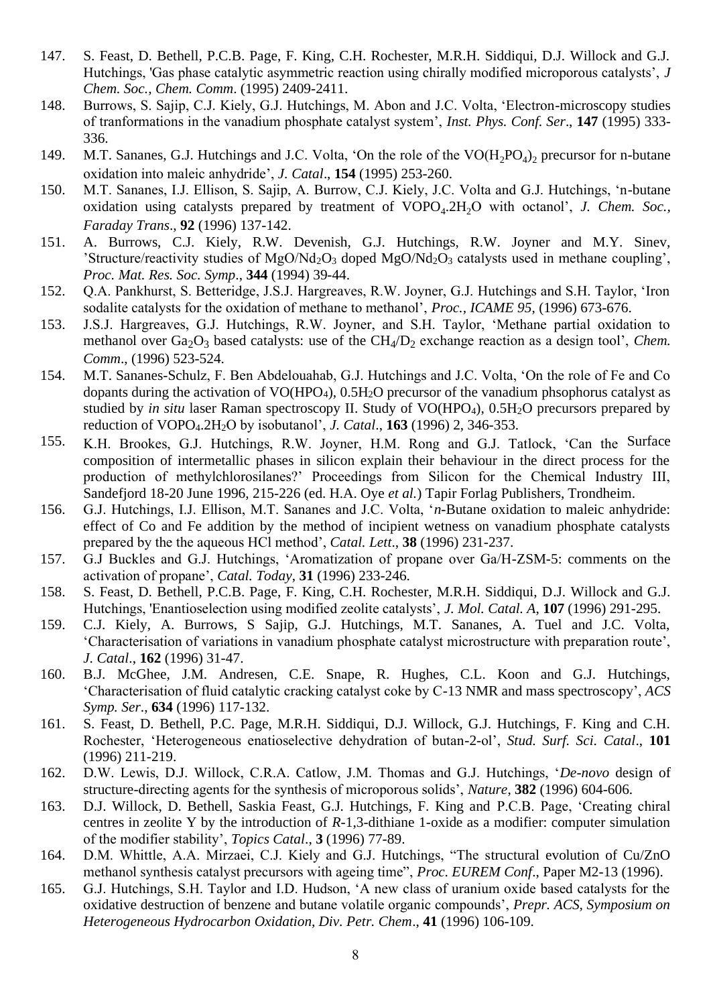- 147. S. Feast, D. Bethell, P.C.B. Page, F. King, C.H. Rochester, M.R.H. Siddiqui, D.J. Willock and G.J. Hutchings, 'Gas phase catalytic asymmetric reaction using chirally modified microporous catalysts', *J Chem. Soc., Chem. Comm*. (1995) 2409-2411.
- 148. Burrows, S. Sajip, C.J. Kiely, G.J. Hutchings, M. Abon and J.C. Volta, 'Electron-microscopy studies of tranformations in the vanadium phosphate catalyst system', *Inst. Phys. Conf. Ser*., **147** (1995) 333- 336.
- 149. M.T. Sananes, G.J. Hutchings and J.C. Volta, 'On the role of the  $VO(H_2PO_4)_2$  precursor for n-butane oxidation into maleic anhydride', *J. Catal*., **154** (1995) 253-260.
- 150. M.T. Sananes, I.J. Ellison, S. Sajip, A. Burrow, C.J. Kiely, J.C. Volta and G.J. Hutchings, 'n-butane oxidation using catalysts prepared by treatment of VOPO<sub>4</sub>.2H<sub>2</sub>O with octanol', *J. Chem. Soc.*, *Faraday Trans*., **92** (1996) 137-142.
- 151. A. Burrows, C.J. Kiely, R.W. Devenish, G.J. Hutchings, R.W. Joyner and M.Y. Sinev, 'Structure/reactivity studies of  $MgO/Nd_2O_3$  doped  $MgO/Nd_2O_3$  catalysts used in methane coupling', *Proc. Mat. Res. Soc. Symp*., **344** (1994) 39-44.
- 152. Q.A. Pankhurst, S. Betteridge, J.S.J. Hargreaves, R.W. Joyner, G.J. Hutchings and S.H. Taylor, 'Iron sodalite catalysts for the oxidation of methane to methanol', *Proc., ICAME 95*, (1996) 673-676.
- 153. J.S.J. Hargreaves, G.J. Hutchings, R.W. Joyner, and S.H. Taylor, 'Methane partial oxidation to methanol over Ga<sub>2</sub>O<sub>3</sub> based catalysts: use of the CH<sub>4</sub>/D<sub>2</sub> exchange reaction as a design tool', *Chem. Comm*., (1996) 523-524.
- 154. M.T. Sananes-Schulz, F. Ben Abdelouahab, G.J. Hutchings and J.C. Volta, 'On the role of Fe and Co dopants during the activation of  $VO(HPO<sub>4</sub>)$ ,  $0.5H<sub>2</sub>O$  precursor of the vanadium phsophorus catalyst as studied by *in situ* laser Raman spectroscopy II. Study of VO(HPO<sub>4</sub>), 0.5H<sub>2</sub>O precursors prepared by reduction of VOPO4.2H2O by isobutanol', *J. Catal*., **163** (1996) 2, 346-353.
- 155. K.H. Brookes, G.J. Hutchings, R.W. Joyner, H.M. Rong and G.J. Tatlock, 'Can the Surface composition of intermetallic phases in silicon explain their behaviour in the direct process for the production of methylchlorosilanes?' Proceedings from Silicon for the Chemical Industry III, Sandefjord 18-20 June 1996, 215-226 (ed. H.A. Oye *et al.*) Tapir Forlag Publishers, Trondheim.
- 156. G.J. Hutchings, I.J. Ellison, M.T. Sananes and J.C. Volta, '*n*-Butane oxidation to maleic anhydride: effect of Co and Fe addition by the method of incipient wetness on vanadium phosphate catalysts prepared by the the aqueous HCl method', *Catal. Lett*., **38** (1996) 231-237.
- 157. G.J Buckles and G.J. Hutchings, 'Aromatization of propane over Ga/H-ZSM-5: comments on the activation of propane', *Catal. Today*, **31** (1996) 233-246.
- 158. S. Feast, D. Bethell, P.C.B. Page, F. King, C.H. Rochester, M.R.H. Siddiqui, D.J. Willock and G.J. Hutchings, 'Enantioselection using modified zeolite catalysts', *J. Mol. Catal. A*, **107** (1996) 291-295.
- 159. C.J. Kiely, A. Burrows, S Sajip, G.J. Hutchings, M.T. Sananes, A. Tuel and J.C. Volta, 'Characterisation of variations in vanadium phosphate catalyst microstructure with preparation route', *J. Catal*., **162** (1996) 31-47.
- 160. B.J. McGhee, J.M. Andresen, C.E. Snape, R. Hughes, C.L. Koon and G.J. Hutchings, 'Characterisation of fluid catalytic cracking catalyst coke by C-13 NMR and mass spectroscopy', *ACS Symp. Ser*., **634** (1996) 117-132.
- 161. S. Feast, D. Bethell, P.C. Page, M.R.H. Siddiqui, D.J. Willock, G.J. Hutchings, F. King and C.H. Rochester, 'Heterogeneous enatioselective dehydration of butan-2-ol', *Stud. Surf. Sci. Catal*., **101** (1996) 211-219.
- 162. D.W. Lewis, D.J. Willock, C.R.A. Catlow, J.M. Thomas and G.J. Hutchings, '*De-novo* design of structure-directing agents for the synthesis of microporous solids', *Nature*, **382** (1996) 604-606.
- 163. D.J. Willock, D. Bethell, Saskia Feast, G.J. Hutchings, F. King and P.C.B. Page, 'Creating chiral centres in zeolite Y by the introduction of *R*-1,3-dithiane 1-oxide as a modifier: computer simulation of the modifier stability', *Topics Catal*., **3** (1996) 77-89.
- 164. D.M. Whittle, A.A. Mirzaei, C.J. Kiely and G.J. Hutchings, "The structural evolution of Cu/ZnO methanol synthesis catalyst precursors with ageing time", *Proc. EUREM Conf*., Paper M2-13 (1996).
- 165. G.J. Hutchings, S.H. Taylor and I.D. Hudson, 'A new class of uranium oxide based catalysts for the oxidative destruction of benzene and butane volatile organic compounds', *Prepr. ACS, Symposium on Heterogeneous Hydrocarbon Oxidation, Div. Petr. Chem*., **41** (1996) 106-109.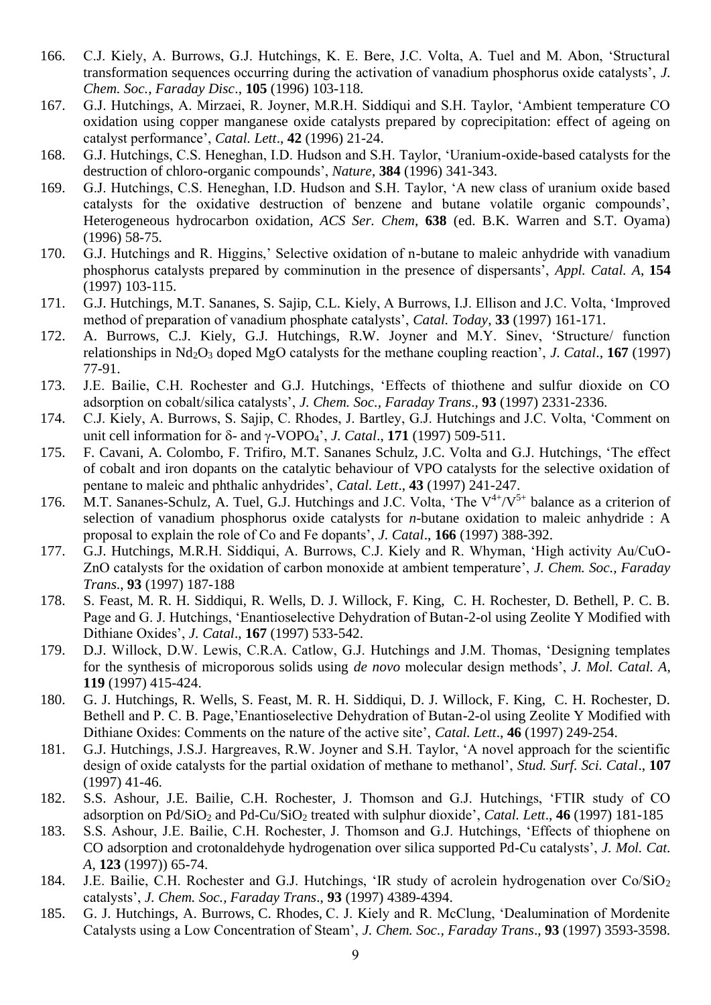- 166. C.J. Kiely, A. Burrows, G.J. Hutchings, K. E. Bere, J.C. Volta, A. Tuel and M. Abon, 'Structural transformation sequences occurring during the activation of vanadium phosphorus oxide catalysts', *J. Chem. Soc., Faraday Disc*., **105** (1996) 103-118.
- 167. G.J. Hutchings, A. Mirzaei, R. Joyner, M.R.H. Siddiqui and S.H. Taylor, 'Ambient temperature CO oxidation using copper manganese oxide catalysts prepared by coprecipitation: effect of ageing on catalyst performance', *Catal. Lett*., **42** (1996) 21-24.
- 168. G.J. Hutchings, C.S. Heneghan, I.D. Hudson and S.H. Taylor, 'Uranium-oxide-based catalysts for the destruction of chloro-organic compounds', *Nature*, **384** (1996) 341-343.
- 169. G.J. Hutchings, C.S. Heneghan, I.D. Hudson and S.H. Taylor, 'A new class of uranium oxide based catalysts for the oxidative destruction of benzene and butane volatile organic compounds', Heterogeneous hydrocarbon oxidation, *ACS Ser. Chem*, **638** (ed. B.K. Warren and S.T. Oyama) (1996) 58-75.
- 170. G.J. Hutchings and R. Higgins,' Selective oxidation of n-butane to maleic anhydride with vanadium phosphorus catalysts prepared by comminution in the presence of dispersants', *Appl. Catal. A*, **154** (1997) 103-115.
- 171. G.J. Hutchings, M.T. Sananes, S. Sajip, C.L. Kiely, A Burrows, I.J. Ellison and J.C. Volta, 'Improved method of preparation of vanadium phosphate catalysts', *Catal. Today*, **33** (1997) 161-171.
- 172. A. Burrows, C.J. Kiely, G.J. Hutchings, R.W. Joyner and M.Y. Sinev, 'Structure/ function relationships in Nd2O<sup>3</sup> doped MgO catalysts for the methane coupling reaction', *J. Catal*., **167** (1997) 77-91.
- 173. J.E. Bailie, C.H. Rochester and G.J. Hutchings, 'Effects of thiothene and sulfur dioxide on CO adsorption on cobalt/silica catalysts', *J. Chem. Soc., Faraday Trans*., **93** (1997) 2331-2336.
- 174. C.J. Kiely, A. Burrows, S. Sajip, C. Rhodes, J. Bartley, G.J. Hutchings and J.C. Volta, 'Comment on unit cell information for  $\delta$ - and  $\gamma$ -VOPO<sub>4</sub>', *J. Catal.*, **171** (1997) 509-511.
- 175. F. Cavani, A. Colombo, F. Trifiro, M.T. Sananes Schulz, J.C. Volta and G.J. Hutchings, 'The effect of cobalt and iron dopants on the catalytic behaviour of VPO catalysts for the selective oxidation of pentane to maleic and phthalic anhydrides', *Catal. Lett*., **43** (1997) 241-247.
- 176. M.T. Sananes-Schulz, A. Tuel, G.J. Hutchings and J.C. Volta, 'The  $V^{4+}/V^{5+}$  balance as a criterion of selection of vanadium phosphorus oxide catalysts for *n*-butane oxidation to maleic anhydride : A proposal to explain the role of Co and Fe dopants', *J. Catal*., **166** (1997) 388-392.
- 177. G.J. Hutchings, M.R.H. Siddiqui, A. Burrows, C.J. Kiely and R. Whyman, 'High activity Au/CuO-ZnO catalysts for the oxidation of carbon monoxide at ambient temperature', *J. Chem. Soc., Faraday Trans*., **93** (1997) 187-188
- 178. S. Feast, M. R. H. Siddiqui, R. Wells, D. J. Willock, F. King, C. H. Rochester, D. Bethell, P. C. B. Page and G. J. Hutchings, 'Enantioselective Dehydration of Butan-2-ol using Zeolite Y Modified with Dithiane Oxides', *J. Catal*., **167** (1997) 533-542.
- 179. D.J. Willock, D.W. Lewis, C.R.A. Catlow, G.J. Hutchings and J.M. Thomas, 'Designing templates for the synthesis of microporous solids using *de novo* molecular design methods', *J. Mol. Catal. A*, **119** (1997) 415-424.
- 180. G. J. Hutchings, R. Wells, S. Feast, M. R. H. Siddiqui, D. J. Willock, F. King, C. H. Rochester, D. Bethell and P. C. B. Page,'Enantioselective Dehydration of Butan-2-ol using Zeolite Y Modified with Dithiane Oxides: Comments on the nature of the active site', *Catal. Lett*., **46** (1997) 249-254.
- 181. G.J. Hutchings, J.S.J. Hargreaves, R.W. Joyner and S.H. Taylor, 'A novel approach for the scientific design of oxide catalysts for the partial oxidation of methane to methanol', *Stud. Surf. Sci. Catal*., **107** (1997) 41-46.
- 182. S.S. Ashour, J.E. Bailie, C.H. Rochester, J. Thomson and G.J. Hutchings, 'FTIR study of CO adsorption on Pd/SiO<sub>2</sub> and Pd-Cu/SiO<sub>2</sub> treated with sulphur dioxide', *Catal. Lett.*, 46 (1997) 181-185
- 183. S.S. Ashour, J.E. Bailie, C.H. Rochester, J. Thomson and G.J. Hutchings, 'Effects of thiophene on CO adsorption and crotonaldehyde hydrogenation over silica supported Pd-Cu catalysts', *J. Mol. Cat. A*, **123** (1997)) 65-74.
- 184. J.E. Bailie, C.H. Rochester and G.J. Hutchings, 'IR study of acrolein hydrogenation over Co/SiO<sub>2</sub> catalysts', *J. Chem. Soc., Faraday Trans*., **93** (1997) 4389-4394.
- 185. G. J. Hutchings, A. Burrows, C. Rhodes, C. J. Kiely and R. McClung, 'Dealumination of Mordenite Catalysts using a Low Concentration of Steam', *J. Chem. Soc., Faraday Trans*., **93** (1997) 3593-3598.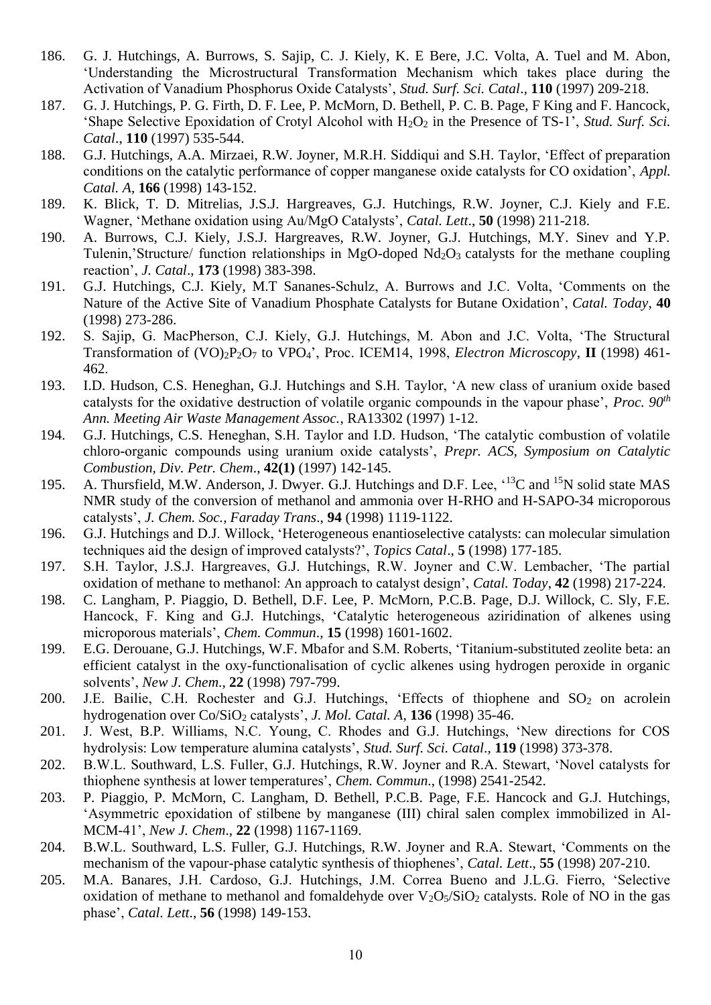- 186. G. J. Hutchings, A. Burrows, S. Sajip, C. J. Kiely, K. E Bere, J.C. Volta, A. Tuel and M. Abon, 'Understanding the Microstructural Transformation Mechanism which takes place during the Activation of Vanadium Phosphorus Oxide Catalysts', *Stud. Surf. Sci. Catal*., **110** (1997) 209-218.
- 187. G. J. Hutchings, P. G. Firth, D. F. Lee, P. McMorn, D. Bethell, P. C. B. Page, F King and F. Hancock, 'Shape Selective Epoxidation of Crotyl Alcohol with H2O<sup>2</sup> in the Presence of TS-1', *Stud. Surf. Sci. Catal*., **110** (1997) 535-544.
- 188. G.J. Hutchings, A.A. Mirzaei, R.W. Joyner, M.R.H. Siddiqui and S.H. Taylor, 'Effect of preparation conditions on the catalytic performance of copper manganese oxide catalysts for CO oxidation', *Appl. Catal. A*, **166** (1998) 143-152.
- 189. K. Blick, T. D. Mitrelias, J.S.J. Hargreaves, G.J. Hutchings, R.W. Joyner, C.J. Kiely and F.E. Wagner, 'Methane oxidation using Au/MgO Catalysts', *Catal. Lett*., **50** (1998) 211-218.
- 190. A. Burrows, C.J. Kiely, J.S.J. Hargreaves, R.W. Joyner, G.J. Hutchings, M.Y. Sinev and Y.P. Tulenin,'Structure/ function relationships in MgO-doped  $Nd_2O_3$  catalysts for the methane coupling reaction', *J. Catal*., **173** (1998) 383-398.
- 191. G.J. Hutchings, C.J. Kiely, M.T Sananes-Schulz, A. Burrows and J.C. Volta, 'Comments on the Nature of the Active Site of Vanadium Phosphate Catalysts for Butane Oxidation', *Catal. Today*, **40** (1998) 273-286.
- 192. S. Sajip, G. MacPherson, C.J. Kiely, G.J. Hutchings, M. Abon and J.C. Volta, 'The Structural Transformation of (VO)2P2O<sup>7</sup> to VPO4', Proc. ICEM14, 1998, *Electron Microscopy*, **II** (1998) 461- 462.
- 193. I.D. Hudson, C.S. Heneghan, G.J. Hutchings and S.H. Taylor, 'A new class of uranium oxide based catalysts for the oxidative destruction of volatile organic compounds in the vapour phase', *Proc. 90th Ann. Meeting Air Waste Management Assoc.*, RA13302 (1997) 1-12.
- 194. G.J. Hutchings, C.S. Heneghan, S.H. Taylor and I.D. Hudson, 'The catalytic combustion of volatile chloro-organic compounds using uranium oxide catalysts', *Prepr. ACS, Symposium on Catalytic Combustion, Div. Petr. Chem*., **42(1)** (1997) 142-145.
- 195. A. Thursfield, M.W. Anderson, J. Dwyer. G.J. Hutchings and D.F. Lee, '<sup>13</sup>C and <sup>15</sup>N solid state MAS NMR study of the conversion of methanol and ammonia over H-RHO and H-SAPO-34 microporous catalysts', *J. Chem. Soc., Faraday Trans*., **94** (1998) 1119-1122.
- 196. G.J. Hutchings and D.J. Willock, 'Heterogeneous enantioselective catalysts: can molecular simulation techniques aid the design of improved catalysts?', *Topics Catal*., **5** (1998) 177-185.
- 197. S.H. Taylor, J.S.J. Hargreaves, G.J. Hutchings, R.W. Joyner and C.W. Lembacher, 'The partial oxidation of methane to methanol: An approach to catalyst design', *Catal. Today*, **42** (1998) 217-224.
- 198. C. Langham, P. Piaggio, D. Bethell, D.F. Lee, P. McMorn, P.C.B. Page, D.J. Willock, C. Sly, F.E. Hancock, F. King and G.J. Hutchings, 'Catalytic heterogeneous aziridination of alkenes using microporous materials', *Chem. Commun*., **15** (1998) 1601-1602.
- 199. E.G. Derouane, G.J. Hutchings, W.F. Mbafor and S.M. Roberts, 'Titanium-substituted zeolite beta: an efficient catalyst in the oxy-functionalisation of cyclic alkenes using hydrogen peroxide in organic solvents', *New J. Chem*., **22** (1998) 797-799.
- 200. J.E. Bailie, C.H. Rochester and G.J. Hutchings, 'Effects of thiophene and  $SO_2$  on acrolein hydrogenation over Co/SiO<sup>2</sup> catalysts', *J. Mol. Catal. A*, **136** (1998) 35-46.
- 201. J. West, B.P. Williams, N.C. Young, C. Rhodes and G.J. Hutchings, 'New directions for COS hydrolysis: Low temperature alumina catalysts', *Stud. Surf. Sci. Catal*., **119** (1998) 373-378.
- 202. B.W.L. Southward, L.S. Fuller, G.J. Hutchings, R.W. Joyner and R.A. Stewart, 'Novel catalysts for thiophene synthesis at lower temperatures', *Chem. Commun*., (1998) 2541-2542.
- 203. P. Piaggio, P. McMorn, C. Langham, D. Bethell, P.C.B. Page, F.E. Hancock and G.J. Hutchings, 'Asymmetric epoxidation of stilbene by manganese (III) chiral salen complex immobilized in Al-MCM-41', *New J. Chem*., **22** (1998) 1167-1169.
- 204. B.W.L. Southward, L.S. Fuller, G.J. Hutchings, R.W. Joyner and R.A. Stewart, 'Comments on the mechanism of the vapour-phase catalytic synthesis of thiophenes', *Catal. Lett*., **55** (1998) 207-210.
- 205. M.A. Banares, J.H. Cardoso, G.J. Hutchings, J.M. Correa Bueno and J.L.G. Fierro, 'Selective oxidation of methane to methanol and fomaldehyde over  $V_2O_5/SiO_2$  catalysts. Role of NO in the gas phase', *Catal. Lett*., **56** (1998) 149-153.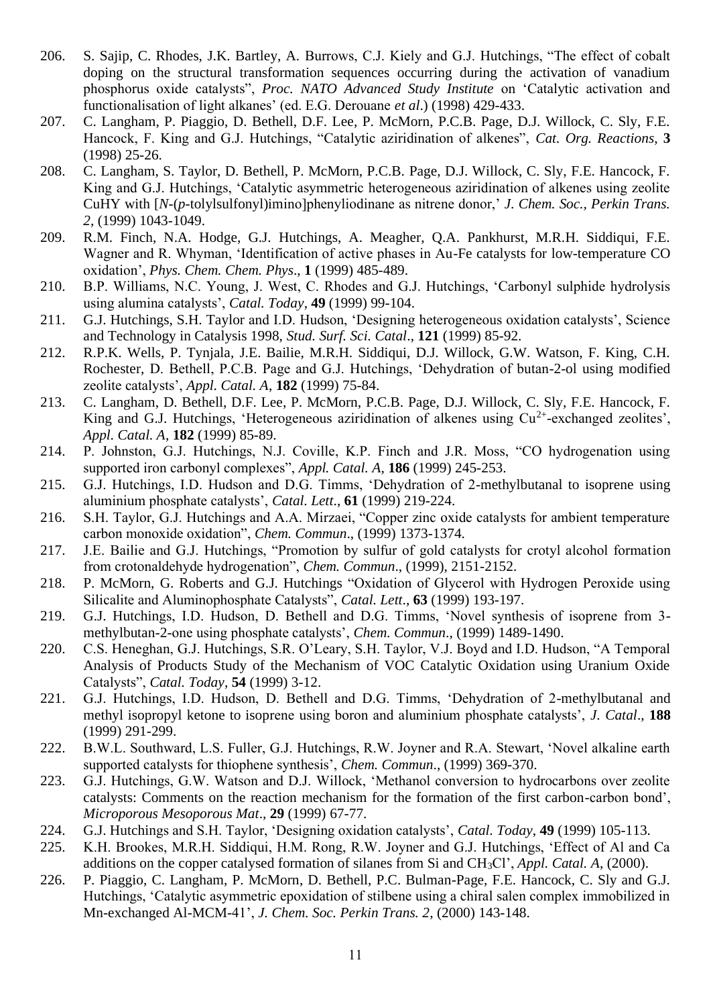- 206. S. Sajip, C. Rhodes, J.K. Bartley, A. Burrows, C.J. Kiely and G.J. Hutchings, "The effect of cobalt doping on the structural transformation sequences occurring during the activation of vanadium phosphorus oxide catalysts", *Proc. NATO Advanced Study Institute* on 'Catalytic activation and functionalisation of light alkanes' (ed. E.G. Derouane *et al*.) (1998) 429-433.
- 207. C. Langham, P. Piaggio, D. Bethell, D.F. Lee, P. McMorn, P.C.B. Page, D.J. Willock, C. Sly, F.E. Hancock, F. King and G.J. Hutchings, "Catalytic aziridination of alkenes", *Cat. Org. Reactions*, **3** (1998) 25-26.
- 208. C. Langham, S. Taylor, D. Bethell, P. McMorn, P.C.B. Page, D.J. Willock, C. Sly, F.E. Hancock, F. King and G.J. Hutchings, 'Catalytic asymmetric heterogeneous aziridination of alkenes using zeolite CuHY with [*N*-(*p*-tolylsulfonyl)imino]phenyliodinane as nitrene donor,' *J. Chem. Soc., Perkin Trans. 2*, (1999) 1043-1049.
- 209. R.M. Finch, N.A. Hodge, G.J. Hutchings, A. Meagher, Q.A. Pankhurst, M.R.H. Siddiqui, F.E. Wagner and R. Whyman, 'Identification of active phases in Au-Fe catalysts for low-temperature CO oxidation', *Phys. Chem. Chem. Phys*., **1** (1999) 485-489.
- 210. B.P. Williams, N.C. Young, J. West, C. Rhodes and G.J. Hutchings, 'Carbonyl sulphide hydrolysis using alumina catalysts', *Catal. Today*, **49** (1999) 99-104.
- 211. G.J. Hutchings, S.H. Taylor and I.D. Hudson, 'Designing heterogeneous oxidation catalysts', Science and Technology in Catalysis 1998, *Stud. Surf. Sci. Catal*., **121** (1999) 85-92.
- 212. R.P.K. Wells, P. Tynjala, J.E. Bailie, M.R.H. Siddiqui, D.J. Willock, G.W. Watson, F. King, C.H. Rochester, D. Bethell, P.C.B. Page and G.J. Hutchings, 'Dehydration of butan-2-ol using modified zeolite catalysts', *Appl. Catal. A*, **182** (1999) 75-84.
- 213. C. Langham, D. Bethell, D.F. Lee, P. McMorn, P.C.B. Page, D.J. Willock, C. Sly, F.E. Hancock, F. King and G.J. Hutchings, 'Heterogeneous aziridination of alkenes using  $Cu^{2+}$ -exchanged zeolites', *Appl. Catal. A*, **182** (1999) 85-89.
- 214. P. Johnston, G.J. Hutchings, N.J. Coville, K.P. Finch and J.R. Moss, "CO hydrogenation using supported iron carbonyl complexes", *Appl. Catal. A*, **186** (1999) 245-253.
- 215. G.J. Hutchings, I.D. Hudson and D.G. Timms, 'Dehydration of 2-methylbutanal to isoprene using aluminium phosphate catalysts', *Catal. Lett*., **61** (1999) 219-224.
- 216. S.H. Taylor, G.J. Hutchings and A.A. Mirzaei, "Copper zinc oxide catalysts for ambient temperature carbon monoxide oxidation", *Chem. Commun*., (1999) 1373-1374.
- 217. J.E. Bailie and G.J. Hutchings, "Promotion by sulfur of gold catalysts for crotyl alcohol formation from crotonaldehyde hydrogenation", *Chem. Commun*., (1999), 2151-2152.
- 218. P. McMorn, G. Roberts and G.J. Hutchings "Oxidation of Glycerol with Hydrogen Peroxide using Silicalite and Aluminophosphate Catalysts", *Catal. Lett*., **63** (1999) 193-197.
- 219. G.J. Hutchings, I.D. Hudson, D. Bethell and D.G. Timms, 'Novel synthesis of isoprene from 3 methylbutan-2-one using phosphate catalysts', *Chem. Commun*., (1999) 1489-1490.
- 220. C.S. Heneghan, G.J. Hutchings, S.R. O'Leary, S.H. Taylor, V.J. Boyd and I.D. Hudson, "A Temporal Analysis of Products Study of the Mechanism of VOC Catalytic Oxidation using Uranium Oxide Catalysts", *Catal. Today*, **54** (1999) 3-12.
- 221. G.J. Hutchings, I.D. Hudson, D. Bethell and D.G. Timms, 'Dehydration of 2-methylbutanal and methyl isopropyl ketone to isoprene using boron and aluminium phosphate catalysts', *J. Catal*., **188** (1999) 291-299.
- 222. B.W.L. Southward, L.S. Fuller, G.J. Hutchings, R.W. Joyner and R.A. Stewart, 'Novel alkaline earth supported catalysts for thiophene synthesis', *Chem. Commun*., (1999) 369-370.
- 223. G.J. Hutchings, G.W. Watson and D.J. Willock, 'Methanol conversion to hydrocarbons over zeolite catalysts: Comments on the reaction mechanism for the formation of the first carbon-carbon bond', *Microporous Mesoporous Mat*., **29** (1999) 67-77.
- 224. G.J. Hutchings and S.H. Taylor, 'Designing oxidation catalysts', *Catal. Today*, **49** (1999) 105-113.
- 225. K.H. Brookes, M.R.H. Siddiqui, H.M. Rong, R.W. Joyner and G.J. Hutchings, 'Effect of Al and Ca additions on the copper catalysed formation of silanes from Si and CH3Cl', *Appl. Catal. A*, (2000).
- 226. P. Piaggio, C. Langham, P. McMorn, D. Bethell, P.C. Bulman-Page, F.E. Hancock, C. Sly and G.J. Hutchings, 'Catalytic asymmetric epoxidation of stilbene using a chiral salen complex immobilized in Mn-exchanged Al-MCM-41', *J. Chem. Soc. Perkin Trans. 2*, (2000) 143-148.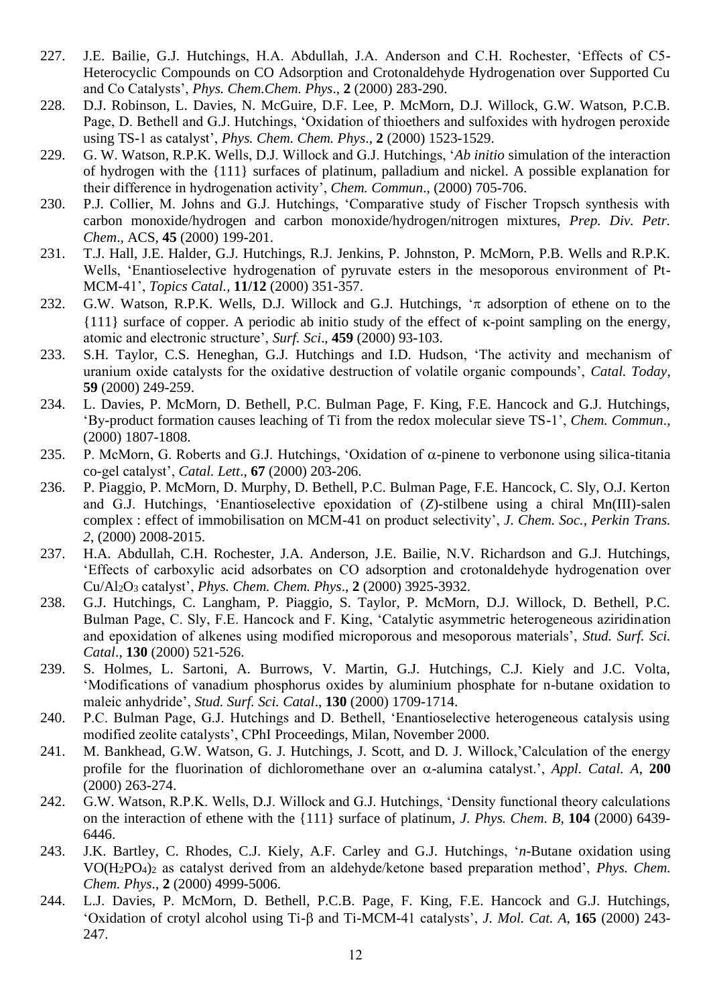- 227. J.E. Bailie, G.J. Hutchings, H.A. Abdullah, J.A. Anderson and C.H. Rochester, 'Effects of C5- Heterocyclic Compounds on CO Adsorption and Crotonaldehyde Hydrogenation over Supported Cu and Co Catalysts', *Phys. Chem.Chem. Phys*., **2** (2000) 283-290.
- 228. D.J. Robinson, L. Davies, N. McGuire, D.F. Lee, P. McMorn, D.J. Willock, G.W. Watson, P.C.B. Page, D. Bethell and G.J. Hutchings, 'Oxidation of thioethers and sulfoxides with hydrogen peroxide using TS-1 as catalyst', *Phys. Chem. Chem. Phys*., **2** (2000) 1523-1529.
- 229. G. W. Watson, R.P.K. Wells, D.J. Willock and G.J. Hutchings, '*Ab initio* simulation of the interaction of hydrogen with the {111} surfaces of platinum, palladium and nickel. A possible explanation for their difference in hydrogenation activity', *Chem. Commun*., (2000) 705-706.
- 230. P.J. Collier, M. Johns and G.J. Hutchings, 'Comparative study of Fischer Tropsch synthesis with carbon monoxide/hydrogen and carbon monoxide/hydrogen/nitrogen mixtures, *Prep. Div. Petr. Chem*., ACS, **45** (2000) 199-201.
- 231. T.J. Hall, J.E. Halder, G.J. Hutchings, R.J. Jenkins, P. Johnston, P. McMorn, P.B. Wells and R.P.K. Wells, 'Enantioselective hydrogenation of pyruvate esters in the mesoporous environment of Pt-MCM-41', *Topics Catal.*, **11/12** (2000) 351-357.
- 232. G.W. Watson, R.P.K. Wells, D.J. Willock and G.J. Hutchings,  $\pi$  adsorption of ethene on to the  $\{111\}$  surface of copper. A periodic ab initio study of the effect of  $\kappa$ -point sampling on the energy, atomic and electronic structure', *Surf. Sci*., **459** (2000) 93-103.
- 233. S.H. Taylor, C.S. Heneghan, G.J. Hutchings and I.D. Hudson, 'The activity and mechanism of uranium oxide catalysts for the oxidative destruction of volatile organic compounds', *Catal. Today*, **59** (2000) 249-259.
- 234. L. Davies, P. McMorn, D. Bethell, P.C. Bulman Page, F. King, F.E. Hancock and G.J. Hutchings, 'By-product formation causes leaching of Ti from the redox molecular sieve TS-1', *Chem. Commun*., (2000) 1807-1808.
- 235. P. McMorn, G. Roberts and G.J. Hutchings, 'Oxidation of  $\alpha$ -pinene to verbonone using silica-titania co-gel catalyst', *Catal. Lett*., **67** (2000) 203-206.
- 236. P. Piaggio, P. McMorn, D. Murphy, D. Bethell, P.C. Bulman Page, F.E. Hancock, C. Sly, O.J. Kerton and G.J. Hutchings, 'Enantioselective epoxidation of (*Z*)-stilbene using a chiral Mn(III)-salen complex : effect of immobilisation on MCM-41 on product selectivity', *J. Chem. Soc., Perkin Trans. 2*, (2000) 2008-2015.
- 237. H.A. Abdullah, C.H. Rochester, J.A. Anderson, J.E. Bailie, N.V. Richardson and G.J. Hutchings, 'Effects of carboxylic acid adsorbates on CO adsorption and crotonaldehyde hydrogenation over Cu/Al2O<sup>3</sup> catalyst', *Phys. Chem. Chem. Phys*., **2** (2000) 3925-3932.
- 238. G.J. Hutchings, C. Langham, P. Piaggio, S. Taylor, P. McMorn, D.J. Willock, D. Bethell, P.C. Bulman Page, C. Sly, F.E. Hancock and F. King, 'Catalytic asymmetric heterogeneous aziridination and epoxidation of alkenes using modified microporous and mesoporous materials', *Stud. Surf. Sci. Catal*., **130** (2000) 521-526.
- 239. S. Holmes, L. Sartoni, A. Burrows, V. Martin, G.J. Hutchings, C.J. Kiely and J.C. Volta, 'Modifications of vanadium phosphorus oxides by aluminium phosphate for n-butane oxidation to maleic anhydride', *Stud. Surf. Sci. Catal*., **130** (2000) 1709-1714.
- 240. P.C. Bulman Page, G.J. Hutchings and D. Bethell, 'Enantioselective heterogeneous catalysis using modified zeolite catalysts', CPhI Proceedings, Milan, November 2000.
- 241. M. Bankhead, G.W. Watson, G. J. Hutchings, J. Scott, and D. J. Willock,'Calculation of the energy profile for the fluorination of dichloromethane over an  $\alpha$ -alumina catalyst.', *Appl. Catal. A*, **200** (2000) 263-274.
- 242. G.W. Watson, R.P.K. Wells, D.J. Willock and G.J. Hutchings, 'Density functional theory calculations on the interaction of ethene with the {111} surface of platinum, *J. Phys. Chem*. *B*, **104** (2000) 6439- 6446.
- 243. J.K. Bartley, C. Rhodes, C.J. Kiely, A.F. Carley and G.J. Hutchings, '*n*-Butane oxidation using VO(H2PO4)<sup>2</sup> as catalyst derived from an aldehyde/ketone based preparation method', *Phys. Chem. Chem. Phys*., **2** (2000) 4999-5006.
- 244. L.J. Davies, P. McMorn, D. Bethell, P.C.B. Page, F. King, F.E. Hancock and G.J. Hutchings, 'Oxidation of crotyl alcohol using Ti- $\beta$  and Ti-MCM-41 catalysts', *J. Mol. Cat. A*, **165** (2000) 243-247.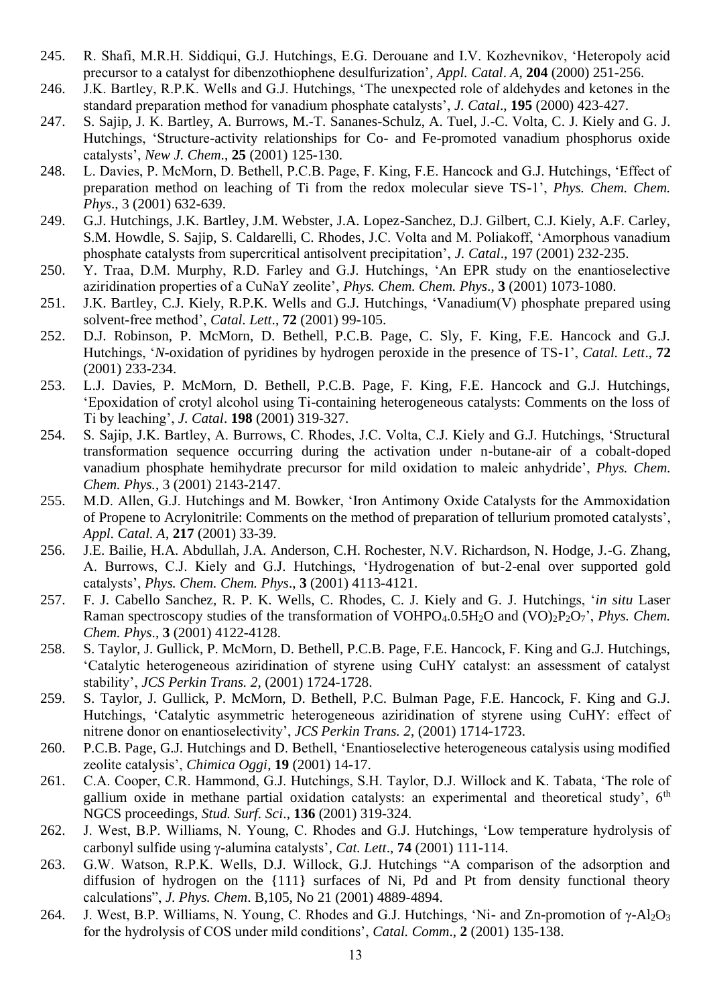- 245. R. Shafi, M.R.H. Siddiqui, G.J. Hutchings, E.G. Derouane and I.V. Kozhevnikov, 'Heteropoly acid precursor to a catalyst for dibenzothiophene desulfurization', *Appl. Catal*. *A*, **204** (2000) 251-256.
- 246. J.K. Bartley, R.P.K. Wells and G.J. Hutchings, 'The unexpected role of aldehydes and ketones in the standard preparation method for vanadium phosphate catalysts', *J. Catal*., **195** (2000) 423-427.
- 247. S. Sajip, J. K. Bartley, A. Burrows, M.-T. Sananes-Schulz, A. Tuel, J.-C. Volta, C. J. Kiely and G. J. Hutchings, 'Structure-activity relationships for Co- and Fe-promoted vanadium phosphorus oxide catalysts', *New J. Chem*., **25** (2001) 125-130.
- 248. L. Davies, P. McMorn, D. Bethell, P.C.B. Page, F. King, F.E. Hancock and G.J. Hutchings, 'Effect of preparation method on leaching of Ti from the redox molecular sieve TS-1', *Phys. Chem. Chem. Phys*., 3 (2001) 632-639.
- 249. G.J. Hutchings, J.K. Bartley, J.M. Webster, J.A. Lopez-Sanchez, D.J. Gilbert, C.J. Kiely, A.F. Carley, S.M. Howdle, S. Sajip, S. Caldarelli, C. Rhodes, J.C. Volta and M. Poliakoff, 'Amorphous vanadium phosphate catalysts from supercritical antisolvent precipitation', *J. Catal*., 197 (2001) 232-235.
- 250. Y. Traa, D.M. Murphy, R.D. Farley and G.J. Hutchings, 'An EPR study on the enantioselective aziridination properties of a CuNaY zeolite', *Phys. Chem. Chem. Phys*., **3** (2001) 1073-1080.
- 251. J.K. Bartley, C.J. Kiely, R.P.K. Wells and G.J. Hutchings, 'Vanadium(V) phosphate prepared using solvent-free method', *Catal. Lett*., **72** (2001) 99-105.
- 252. D.J. Robinson, P. McMorn, D. Bethell, P.C.B. Page, C. Sly, F. King, F.E. Hancock and G.J. Hutchings, '*N*-oxidation of pyridines by hydrogen peroxide in the presence of TS-1', *Catal. Lett*., **72** (2001) 233-234.
- 253. L.J. Davies, P. McMorn, D. Bethell, P.C.B. Page, F. King, F.E. Hancock and G.J. Hutchings, 'Epoxidation of crotyl alcohol using Ti-containing heterogeneous catalysts: Comments on the loss of Ti by leaching', *J. Catal*. **198** (2001) 319-327.
- 254. S. Sajip, J.K. Bartley, A. Burrows, C. Rhodes, J.C. Volta, C.J. Kiely and G.J. Hutchings, 'Structural transformation sequence occurring during the activation under n-butane-air of a cobalt-doped vanadium phosphate hemihydrate precursor for mild oxidation to maleic anhydride', *Phys. Chem. Chem. Phys.*, 3 (2001) 2143-2147.
- 255. M.D. Allen, G.J. Hutchings and M. Bowker, 'Iron Antimony Oxide Catalysts for the Ammoxidation of Propene to Acrylonitrile: Comments on the method of preparation of tellurium promoted catalysts', *Appl. Catal. A*, **217** (2001) 33-39.
- 256. J.E. Bailie, H.A. Abdullah, J.A. Anderson, C.H. Rochester, N.V. Richardson, N. Hodge, J.-G. Zhang, A. Burrows, C.J. Kiely and G.J. Hutchings, 'Hydrogenation of but-2-enal over supported gold catalysts', *Phys. Chem. Chem. Phys*., **3** (2001) 4113-4121.
- 257. F. J. Cabello Sanchez, R. P. K. Wells, C. Rhodes, C. J. Kiely and G. J. Hutchings, '*in situ* Laser Raman spectroscopy studies of the transformation of VOHPO<sub>4</sub>.0.5H<sub>2</sub>O and (VO)<sub>2</sub>P<sub>2</sub>O<sub>7</sub>', *Phys. Chem. Chem. Phys*., **3** (2001) 4122-4128.
- 258. S. Taylor, J. Gullick, P. McMorn, D. Bethell, P.C.B. Page, F.E. Hancock, F. King and G.J. Hutchings, 'Catalytic heterogeneous aziridination of styrene using CuHY catalyst: an assessment of catalyst stability', *JCS Perkin Trans. 2*, (2001) 1724-1728.
- 259. S. Taylor, J. Gullick, P. McMorn, D. Bethell, P.C. Bulman Page, F.E. Hancock, F. King and G.J. Hutchings, 'Catalytic asymmetric heterogeneous aziridination of styrene using CuHY: effect of nitrene donor on enantioselectivity', *JCS Perkin Trans. 2*, (2001) 1714-1723.
- 260. P.C.B. Page, G.J. Hutchings and D. Bethell, 'Enantioselective heterogeneous catalysis using modified zeolite catalysis', *Chimica Oggi*, **19** (2001) 14-17.
- 261. C.A. Cooper, C.R. Hammond, G.J. Hutchings, S.H. Taylor, D.J. Willock and K. Tabata, 'The role of gallium oxide in methane partial oxidation catalysts: an experimental and theoretical study',  $6<sup>th</sup>$ NGCS proceedings, *Stud. Surf. Sci*., **136** (2001) 319-324.
- 262. J. West, B.P. Williams, N. Young, C. Rhodes and G.J. Hutchings, 'Low temperature hydrolysis of carbonyl sulfide using  $\gamma$ -alumina catalysts', *Cat. Lett.*, **74** (2001) 111-114.
- 263. G.W. Watson, R.P.K. Wells, D.J. Willock, G.J. Hutchings "A comparison of the adsorption and diffusion of hydrogen on the {111} surfaces of Ni, Pd and Pt from density functional theory calculations", *J. Phys. Chem*. B,105, No 21 (2001) 4889-4894.
- 264. J. West, B.P. Williams, N. Young, C. Rhodes and G.J. Hutchings, 'Ni- and Zn-promotion of  $\gamma$ -Al<sub>2</sub>O<sub>3</sub> for the hydrolysis of COS under mild conditions', *Catal. Comm*., **2** (2001) 135-138.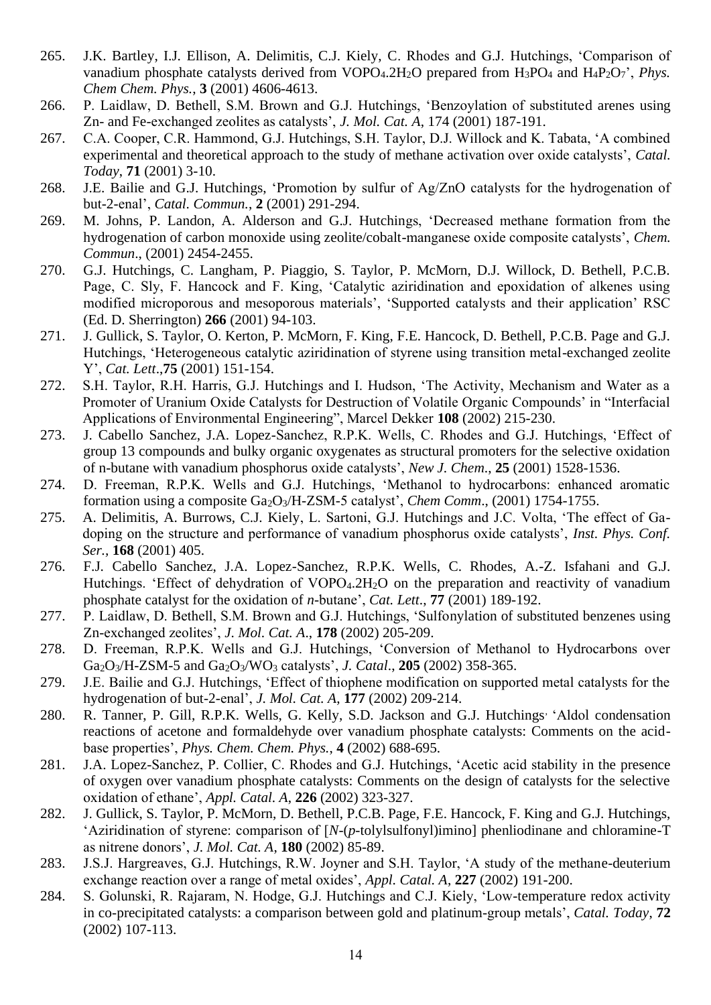- 265. J.K. Bartley, I.J. Ellison, A. Delimitis, C.J. Kiely, C. Rhodes and G.J. Hutchings, 'Comparison of vanadium phosphate catalysts derived from VOPO<sub>4</sub>.2H<sub>2</sub>O prepared from H<sub>3</sub>PO<sub>4</sub> and H<sub>4</sub>P<sub>2</sub>O<sub>7</sub>', *Phys. Chem Chem. Phys.*, **3** (2001) 4606-4613.
- 266. P. Laidlaw, D. Bethell, S.M. Brown and G.J. Hutchings, 'Benzoylation of substituted arenes using Zn- and Fe-exchanged zeolites as catalysts', *J. Mol. Cat. A*, 174 (2001) 187-191.
- 267. C.A. Cooper, C.R. Hammond, G.J. Hutchings, S.H. Taylor, D.J. Willock and K. Tabata, 'A combined experimental and theoretical approach to the study of methane activation over oxide catalysts', *Catal. Today*, **71** (2001) 3-10.
- 268. J.E. Bailie and G.J. Hutchings, 'Promotion by sulfur of Ag/ZnO catalysts for the hydrogenation of but-2-enal', *Catal. Commun.*, **2** (2001) 291-294.
- 269. M. Johns, P. Landon, A. Alderson and G.J. Hutchings, 'Decreased methane formation from the hydrogenation of carbon monoxide using zeolite/cobalt-manganese oxide composite catalysts', *Chem. Commun*., (2001) 2454-2455.
- 270. G.J. Hutchings, C. Langham, P. Piaggio, S. Taylor, P. McMorn, D.J. Willock, D. Bethell, P.C.B. Page, C. Sly, F. Hancock and F. King, 'Catalytic aziridination and epoxidation of alkenes using modified microporous and mesoporous materials', 'Supported catalysts and their application' RSC (Ed. D. Sherrington) **266** (2001) 94-103.
- 271. J. Gullick, S. Taylor, O. Kerton, P. McMorn, F. King, F.E. Hancock, D. Bethell, P.C.B. Page and G.J. Hutchings, 'Heterogeneous catalytic aziridination of styrene using transition metal-exchanged zeolite Y', *Cat. Lett*.,**75** (2001) 151-154.
- 272. S.H. Taylor, R.H. Harris, G.J. Hutchings and I. Hudson, 'The Activity, Mechanism and Water as a Promoter of Uranium Oxide Catalysts for Destruction of Volatile Organic Compounds' in "Interfacial Applications of Environmental Engineering", Marcel Dekker **108** (2002) 215-230.
- 273. J. Cabello Sanchez, J.A. Lopez-Sanchez, R.P.K. Wells, C. Rhodes and G.J. Hutchings, 'Effect of group 13 compounds and bulky organic oxygenates as structural promoters for the selective oxidation of n-butane with vanadium phosphorus oxide catalysts', *New J. Chem*., **25** (2001) 1528-1536.
- 274. D. Freeman, R.P.K. Wells and G.J. Hutchings, 'Methanol to hydrocarbons: enhanced aromatic formation using a composite Ga2O3/H-ZSM-5 catalyst', *Chem Comm*., (2001) 1754-1755.
- 275. A. Delimitis, A. Burrows, C.J. Kiely, L. Sartoni, G.J. Hutchings and J.C. Volta, 'The effect of Gadoping on the structure and performance of vanadium phosphorus oxide catalysts', *Inst. Phys. Conf. Ser.,* **168** (2001) 405.
- 276. F.J. Cabello Sanchez, J.A. Lopez-Sanchez, R.P.K. Wells, C. Rhodes, A.-Z. Isfahani and G.J. Hutchings. 'Effect of dehydration of VOPO<sub>4</sub>.2H<sub>2</sub>O on the preparation and reactivity of vanadium phosphate catalyst for the oxidation of *n*-butane', *Cat. Lett*., **77** (2001) 189-192.
- 277. P. Laidlaw, D. Bethell, S.M. Brown and G.J. Hutchings, 'Sulfonylation of substituted benzenes using Zn-exchanged zeolites', *J. Mol. Cat. A*., **178** (2002) 205-209.
- 278. D. Freeman, R.P.K. Wells and G.J. Hutchings, 'Conversion of Methanol to Hydrocarbons over Ga2O3/H-ZSM-5 and Ga2O3/WO<sup>3</sup> catalysts', *J. Catal*., **205** (2002) 358-365.
- 279. J.E. Bailie and G.J. Hutchings, 'Effect of thiophene modification on supported metal catalysts for the hydrogenation of but-2-enal', *J. Mol. Cat. A*, **177** (2002) 209-214.
- 280. R. Tanner, P. Gill, R.P.K. Wells, G. Kelly, S.D. Jackson and G.J. Hutchings, 'Aldol condensation reactions of acetone and formaldehyde over vanadium phosphate catalysts: Comments on the acidbase properties', *Phys. Chem. Chem. Phys.*, **4** (2002) 688-695.
- 281. J.A. Lopez-Sanchez, P. Collier, C. Rhodes and G.J. Hutchings, 'Acetic acid stability in the presence of oxygen over vanadium phosphate catalysts: Comments on the design of catalysts for the selective oxidation of ethane', *Appl. Catal. A*, **226** (2002) 323-327.
- 282. J. Gullick, S. Taylor, P. McMorn, D. Bethell, P.C.B. Page, F.E. Hancock, F. King and G.J. Hutchings, 'Aziridination of styrene: comparison of [*N*-(*p*-tolylsulfonyl)imino] phenliodinane and chloramine-T as nitrene donors', *J. Mol. Cat. A*, **180** (2002) 85-89.
- 283. J.S.J. Hargreaves, G.J. Hutchings, R.W. Joyner and S.H. Taylor, 'A study of the methane-deuterium exchange reaction over a range of metal oxides', *Appl. Catal. A*, **227** (2002) 191-200.
- 284. S. Golunski, R. Rajaram, N. Hodge, G.J. Hutchings and C.J. Kiely, 'Low-temperature redox activity in co-precipitated catalysts: a comparison between gold and platinum-group metals', *Catal. Today*, **72** (2002) 107-113.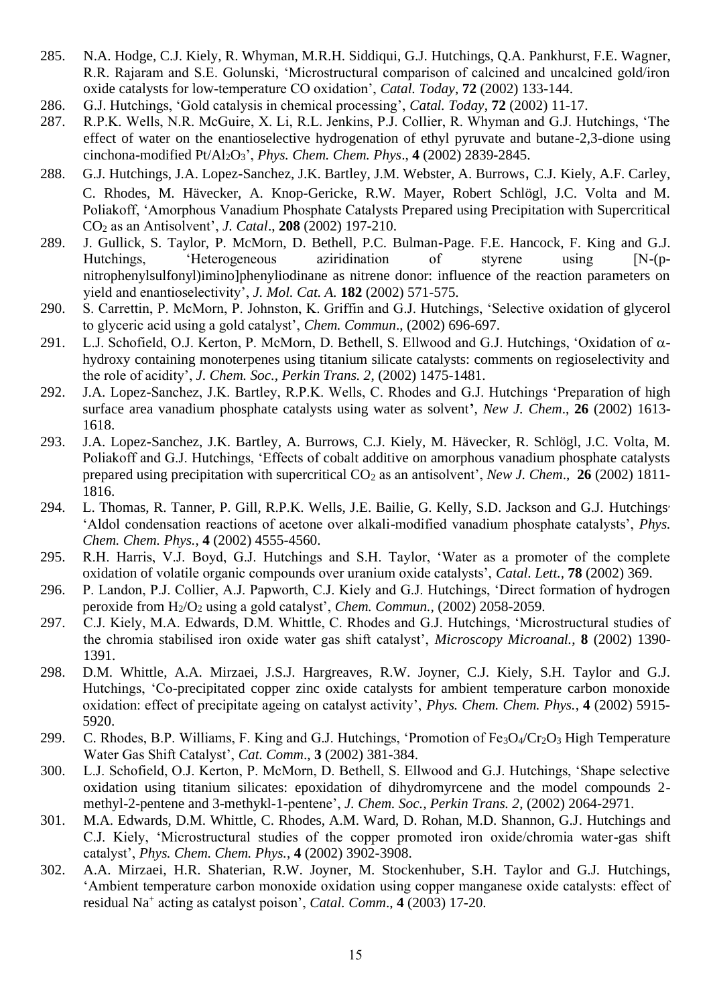- 285. N.A. Hodge, C.J. Kiely, R. Whyman, M.R.H. Siddiqui, G.J. Hutchings, Q.A. Pankhurst, F.E. Wagner, R.R. Rajaram and S.E. Golunski, 'Microstructural comparison of calcined and uncalcined gold/iron oxide catalysts for low-temperature CO oxidation', *Catal. Today*, **72** (2002) 133-144.
- 286. G.J. Hutchings, 'Gold catalysis in chemical processing', *Catal. Today*, **72** (2002) 11-17.
- 287. R.P.K. Wells, N.R. McGuire, X. Li, R.L. Jenkins, P.J. Collier, R. Whyman and G.J. Hutchings, 'The effect of water on the enantioselective hydrogenation of ethyl pyruvate and butane-2,3-dione using cinchona-modified Pt/Al2O3', *Phys. Chem. Chem. Phys*., **4** (2002) 2839-2845.
- 288. G.J. Hutchings, J.A. Lopez-Sanchez, J.K. Bartley, J.M. Webster, A. Burrows, C.J. Kiely, A.F. Carley, C. Rhodes, M. Hävecker, A. Knop-Gericke, R.W. Mayer, Robert Schlögl, J.C. Volta and M. Poliakoff, 'Amorphous Vanadium Phosphate Catalysts Prepared using Precipitation with Supercritical CO<sup>2</sup> as an Antisolvent', *J. Catal*., **208** (2002) 197-210.
- 289. J. Gullick, S. Taylor, P. McMorn, D. Bethell, P.C. Bulman-Page. F.E. Hancock, F. King and G.J. Hutchings, 'Heterogeneous aziridination of styrene using [N-(pnitrophenylsulfonyl)imino]phenyliodinane as nitrene donor: influence of the reaction parameters on yield and enantioselectivity', *J. Mol. Cat. A.* **182** (2002) 571-575.
- 290. S. Carrettin, P. McMorn, P. Johnston, K. Griffin and G.J. Hutchings, 'Selective oxidation of glycerol to glyceric acid using a gold catalyst', *Chem. Commun*., (2002) 696-697.
- 291. L.J. Schofield, O.J. Kerton, P. McMorn, D. Bethell, S. Ellwood and G.J. Hutchings, 'Oxidation of  $\alpha$ hydroxy containing monoterpenes using titanium silicate catalysts: comments on regioselectivity and the role of acidity', *J. Chem. Soc., Perkin Trans. 2*, (2002) 1475-1481.
- 292. J.A. Lopez-Sanchez, J.K. Bartley, R.P.K. Wells, C. Rhodes and G.J. Hutchings 'Preparation of high surface area vanadium phosphate catalysts using water as solvent**'**, *New J. Chem*., **26** (2002) 1613- 1618.
- 293. J.A. Lopez-Sanchez, J.K. Bartley, A. Burrows, C.J. Kiely, M. Hävecker, R. Schlögl, J.C. Volta, M. Poliakoff and G.J. Hutchings, 'Effects of cobalt additive on amorphous vanadium phosphate catalysts prepared using precipitation with supercritical CO<sub>2</sub> as an antisolvent', *New J. Chem.*, **26** (2002) 1811-1816.
- 294. L. Thomas, R. Tanner, P. Gill, R.P.K. Wells, J.E. Bailie, G. Kelly, S.D. Jackson and G.J. Hutchings, 'Aldol condensation reactions of acetone over alkali-modified vanadium phosphate catalysts', *Phys. Chem. Chem. Phys.*, **4** (2002) 4555-4560.
- 295. R.H. Harris, V.J. Boyd, G.J. Hutchings and S.H. Taylor, 'Water as a promoter of the complete oxidation of volatile organic compounds over uranium oxide catalysts', *Catal. Lett.,* **78** (2002) 369.
- 296. P. Landon, P.J. Collier, A.J. Papworth, C.J. Kiely and G.J. Hutchings, 'Direct formation of hydrogen peroxide from H2/O<sup>2</sup> using a gold catalyst', *Chem. Commun.,* (2002) 2058-2059.
- 297. C.J. Kiely, M.A. Edwards, D.M. Whittle, C. Rhodes and G.J. Hutchings, 'Microstructural studies of the chromia stabilised iron oxide water gas shift catalyst', *Microscopy Microanal.*, **8** (2002) 1390- 1391.
- 298. D.M. Whittle, A.A. Mirzaei, J.S.J. Hargreaves, R.W. Joyner, C.J. Kiely, S.H. Taylor and G.J. Hutchings, 'Co-precipitated copper zinc oxide catalysts for ambient temperature carbon monoxide oxidation: effect of precipitate ageing on catalyst activity', *Phys. Chem. Chem. Phys.*, **4** (2002) 5915- 5920.
- 299. C. Rhodes, B.P. Williams, F. King and G.J. Hutchings, 'Promotion of  $Fe<sub>3</sub>O<sub>4</sub>/Cr<sub>2</sub>O<sub>3</sub>$  High Temperature Water Gas Shift Catalyst', *Cat. Comm*., **3** (2002) 381-384.
- 300. L.J. Schofield, O.J. Kerton, P. McMorn, D. Bethell, S. Ellwood and G.J. Hutchings, 'Shape selective oxidation using titanium silicates: epoxidation of dihydromyrcene and the model compounds 2 methyl-2-pentene and 3-methykl-1-pentene', *J. Chem. Soc., Perkin Trans. 2*, (2002) 2064-2971.
- 301. M.A. Edwards, D.M. Whittle, C. Rhodes, A.M. Ward, D. Rohan, M.D. Shannon, G.J. Hutchings and C.J. Kiely, 'Microstructural studies of the copper promoted iron oxide/chromia water-gas shift catalyst', *Phys. Chem. Chem. Phys.*, **4** (2002) 3902-3908.
- 302. A.A. Mirzaei, H.R. Shaterian, R.W. Joyner, M. Stockenhuber, S.H. Taylor and G.J. Hutchings, 'Ambient temperature carbon monoxide oxidation using copper manganese oxide catalysts: effect of residual Na<sup>+</sup> acting as catalyst poison', *Catal. Comm*., **4** (2003) 17-20.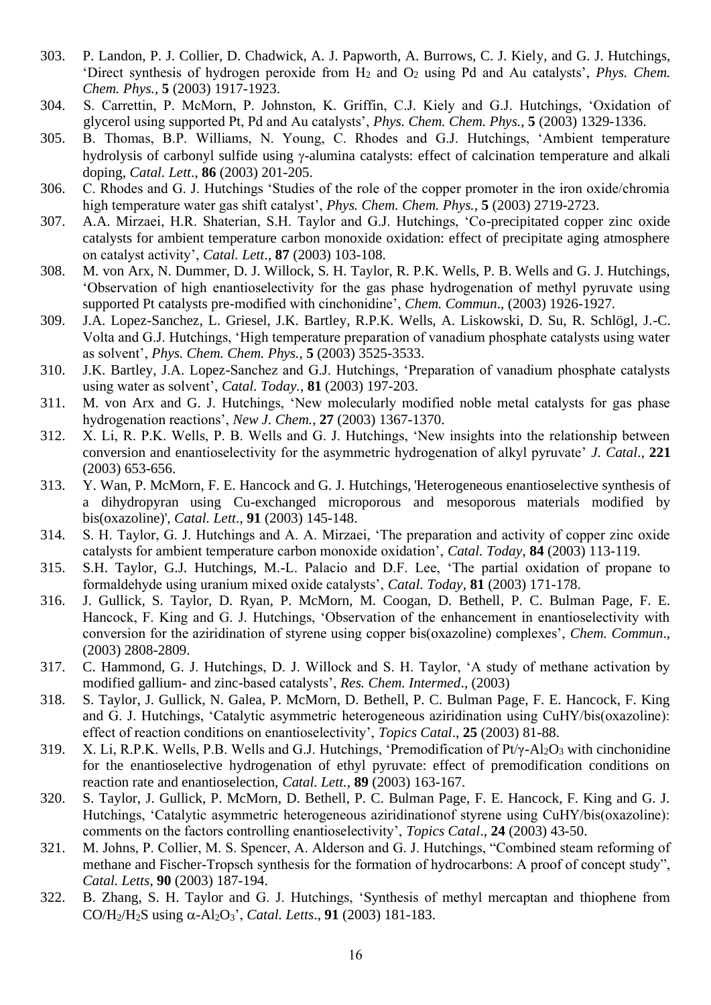- 303. P. Landon, P. J. Collier, D. Chadwick, A. J. Papworth, A. Burrows, C. J. Kiely, and G. J. Hutchings, 'Direct synthesis of hydrogen peroxide from H<sup>2</sup> and O<sup>2</sup> using Pd and Au catalysts', *Phys. Chem. Chem. Phys.*, **5** (2003) 1917-1923.
- 304. S. Carrettin, P. McMorn, P. Johnston, K. Griffin, C.J. Kiely and G.J. Hutchings, 'Oxidation of glycerol using supported Pt, Pd and Au catalysts', *Phys. Chem. Chem. Phys.*, **5** (2003) 1329-1336.
- 305. B. Thomas, B.P. Williams, N. Young, C. Rhodes and G.J. Hutchings, 'Ambient temperature hydrolysis of carbonyl sulfide using  $\gamma$ -alumina catalysts: effect of calcination temperature and alkali doping*, Catal. Lett*., **86** (2003) 201-205.
- 306. C. Rhodes and G. J. Hutchings 'Studies of the role of the copper promoter in the iron oxide/chromia high temperature water gas shift catalyst', *Phys. Chem. Chem. Phys.*, **5** (2003) 2719-2723.
- 307. A.A. Mirzaei, H.R. Shaterian, S.H. Taylor and G.J. Hutchings, 'Co-precipitated copper zinc oxide catalysts for ambient temperature carbon monoxide oxidation: effect of precipitate aging atmosphere on catalyst activity', *Catal. Lett*., **87** (2003) 103-108.
- 308. M. von Arx, N. Dummer, D. J. Willock, S. H. Taylor, R. P.K. Wells, P. B. Wells and G. J. Hutchings, 'Observation of high enantioselectivity for the gas phase hydrogenation of methyl pyruvate using supported Pt catalysts pre-modified with cinchonidine', *Chem. Commun*., (2003) 1926-1927.
- 309. J.A. Lopez-Sanchez, L. Griesel, J.K. Bartley, R.P.K. Wells, A. Liskowski, D. Su, R. Schlögl, J.-C. Volta and G.J. Hutchings, 'High temperature preparation of vanadium phosphate catalysts using water as solvent', *Phys. Chem. Chem. Phys.*, **5** (2003) 3525-3533.
- 310. J.K. Bartley, J.A. Lopez-Sanchez and G.J. Hutchings, 'Preparation of vanadium phosphate catalysts using water as solvent', *Catal. Today.*, **81** (2003) 197-203.
- 311. M. von Arx and G. J. Hutchings, 'New molecularly modified noble metal catalysts for gas phase hydrogenation reactions', *New J. Chem.*, **27** (2003) 1367-1370.
- 312. X. Li, R. P.K. Wells, P. B. Wells and G. J. Hutchings, 'New insights into the relationship between conversion and enantioselectivity for the asymmetric hydrogenation of alkyl pyruvate' *J. Catal*., **221** (2003) 653-656.
- 313. Y. Wan, P. McMorn, F. E. Hancock and G. J. Hutchings, 'Heterogeneous enantioselective synthesis of a dihydropyran using Cu-exchanged microporous and mesoporous materials modified by bis(oxazoline)', *Catal. Lett*., **91** (2003) 145-148.
- 314. S. H. Taylor, G. J. Hutchings and A. A. Mirzaei, 'The preparation and activity of copper zinc oxide catalysts for ambient temperature carbon monoxide oxidation', *Catal. Today*, **84** (2003) 113-119.
- 315. S.H. Taylor, G.J. Hutchings, M.-L. Palacio and D.F. Lee, 'The partial oxidation of propane to formaldehyde using uranium mixed oxide catalysts', *Catal. Today*, **81** (2003) 171-178.
- 316. J. Gullick, S. Taylor, D. Ryan, P. McMorn, M. Coogan, D. Bethell, P. C. Bulman Page, F. E. Hancock, F. King and G. J. Hutchings, 'Observation of the enhancement in enantioselectivity with conversion for the aziridination of styrene using copper bis(oxazoline) complexes', *Chem. Commun*., (2003) 2808-2809.
- 317. C. Hammond, G. J. Hutchings, D. J. Willock and S. H. Taylor, 'A study of methane activation by modified gallium- and zinc-based catalysts', *Res. Chem. Intermed*., (2003)
- 318. S. Taylor, J. Gullick, N. Galea, P. McMorn, D. Bethell, P. C. Bulman Page, F. E. Hancock, F. King and G. J. Hutchings, 'Catalytic asymmetric heterogeneous aziridination using CuHY/bis(oxazoline): effect of reaction conditions on enantioselectivity', *Topics Catal*., **25** (2003) 81-88.
- 319. X. Li, R.P.K. Wells, P.B. Wells and G.J. Hutchings, 'Premodification of Pt/γ-Al2O<sup>3</sup> with cinchonidine for the enantioselective hydrogenation of ethyl pyruvate: effect of premodification conditions on reaction rate and enantioselection, *Catal. Lett.*, **89** (2003) 163-167.
- 320. S. Taylor, J. Gullick, P. McMorn, D. Bethell, P. C. Bulman Page, F. E. Hancock, F. King and G. J. Hutchings, 'Catalytic asymmetric heterogeneous aziridinationof styrene using CuHY/bis(oxazoline): comments on the factors controlling enantioselectivity', *Topics Catal*., **24** (2003) 43-50.
- 321. M. Johns, P. Collier, M. S. Spencer, A. Alderson and G. J. Hutchings, "Combined steam reforming of methane and Fischer-Tropsch synthesis for the formation of hydrocarbons: A proof of concept study", *Catal. Letts*, **90** (2003) 187-194.
- 322. B. Zhang, S. H. Taylor and G. J. Hutchings, 'Synthesis of methyl mercaptan and thiophene from CO/H<sub>2</sub>/H<sub>2</sub>S using  $\alpha$ -Al<sub>2</sub>O<sub>3</sub>', *Catal. Letts.*, **91** (2003) 181-183.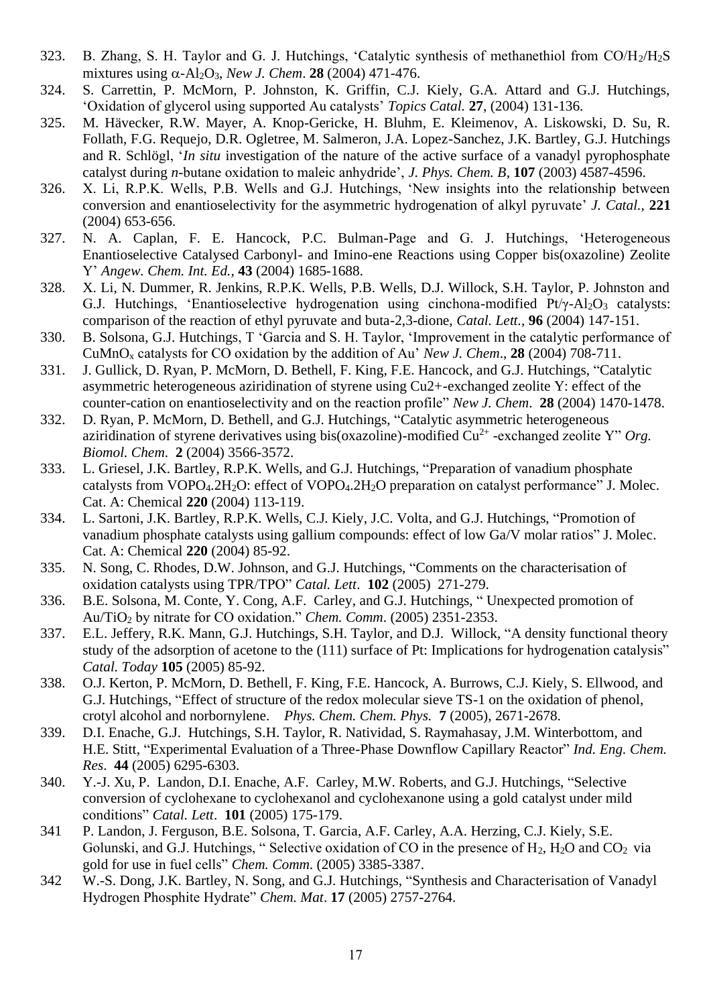- 323. B. Zhang, S. H. Taylor and G. J. Hutchings, 'Catalytic synthesis of methanethiol from  $CO/H<sub>2</sub>/H<sub>2</sub>S$ mixtures using  $\alpha$ -Al<sub>2</sub>O<sub>3</sub>, *New J. Chem.* **28** (2004) 471-476.
- 324. S. Carrettin, P. McMorn, P. Johnston, K. Griffin, C.J. Kiely, G.A. Attard and G.J. Hutchings, 'Oxidation of glycerol using supported Au catalysts' *Topics Catal.* **27**, (2004) 131-136.
- 325. M. Hävecker, R.W. Mayer, A. Knop-Gericke, H. Bluhm, E. Kleimenov, A. Liskowski, D. Su, R. Follath, F.G. Requejo, D.R. Ogletree, M. Salmeron, J.A. Lopez-Sanchez, J.K. Bartley, G.J. Hutchings and R. Schlögl, '*In situ* investigation of the nature of the active surface of a vanadyl pyrophosphate catalyst during *n*-butane oxidation to maleic anhydride', *J. Phys. Chem. B*, **107** (2003) 4587-4596.
- 326. X. Li, R.P.K. Wells, P.B. Wells and G.J. Hutchings, 'New insights into the relationship between conversion and enantioselectivity for the asymmetric hydrogenation of alkyl pyruvate' *J. Catal.,* **221** (2004) 653-656.
- 327. N. A. Caplan, F. E. Hancock, P.C. Bulman-Page and G. J. Hutchings, 'Heterogeneous Enantioselective Catalysed Carbonyl- and Imino-ene Reactions using Copper bis(oxazoline) Zeolite Y' *Angew. Chem. Int. Ed.,* **43** (2004) 1685-1688.
- 328. X. Li, N. Dummer, R. Jenkins, R.P.K. Wells, P.B. Wells, D.J. Willock, S.H. Taylor, P. Johnston and G.J. Hutchings, 'Enantioselective hydrogenation using cinchona-modified  $Pt/\gamma$ -Al<sub>2</sub>O<sub>3</sub> catalysts: comparison of the reaction of ethyl pyruvate and buta-2,3-dione, *Catal. Lett.,* **96** (2004) 147-151.
- 330. B. Solsona, G.J. Hutchings, T 'Garcia and S. H. Taylor, 'Improvement in the catalytic performance of CuMnO<sup>x</sup> catalysts for CO oxidation by the addition of Au' *New J. Chem*., **28** (2004) 708-711.
- 331. J. Gullick, D. Ryan, P. McMorn, D. Bethell, F. King, F.E. Hancock, and G.J. Hutchings, "Catalytic asymmetric heterogeneous aziridination of styrene using Cu2+-exchanged zeolite Y: effect of the counter-cation on enantioselectivity and on the reaction profile" *New J. Chem*. **28** (2004) 1470-1478.
- 332. D. Ryan, P. McMorn, D. Bethell, and G.J. Hutchings, "Catalytic asymmetric heterogeneous aziridination of styrene derivatives using bis(oxazoline)-modified  $Cu^{2+}$ -exchanged zeolite Y" Org. *Biomol. Chem*. **2** (2004) 3566-3572.
- 333. L. Griesel, J.K. Bartley, R.P.K. Wells, and G.J. Hutchings, "Preparation of vanadium phosphate catalysts from VOPO<sub>4</sub>.2H<sub>2</sub>O: effect of VOPO<sub>4</sub>.2H<sub>2</sub>O preparation on catalyst performance" J. Molec. Cat. A: Chemical **220** (2004) 113-119.
- 334. L. Sartoni, J.K. Bartley, R.P.K. Wells, C.J. Kiely, J.C. Volta, and G.J. Hutchings, "Promotion of vanadium phosphate catalysts using gallium compounds: effect of low Ga/V molar ratios" J. Molec. Cat. A: Chemical **220** (2004) 85-92.
- 335. N. Song, C. Rhodes, D.W. Johnson, and G.J. Hutchings, "Comments on the characterisation of oxidation catalysts using TPR/TPO" *Catal. Lett*. **102** (2005) 271-279.
- 336. B.E. Solsona, M. Conte, Y. Cong, A.F. Carley, and G.J. Hutchings, " Unexpected promotion of Au/TiO<sup>2</sup> by nitrate for CO oxidation." *Chem. Comm*. (2005) 2351-2353.
- 337. E.L. Jeffery, R.K. Mann, G.J. Hutchings, S.H. Taylor, and D.J. Willock, "A density functional theory study of the adsorption of acetone to the (111) surface of Pt: Implications for hydrogenation catalysis" *Catal. Today* **105** (2005) 85-92.
- 338. O.J. Kerton, P. McMorn, D. Bethell, F. King, F.E. Hancock, A. Burrows, C.J. Kiely, S. Ellwood, and G.J. Hutchings, "Effect of structure of the redox molecular sieve TS-1 on the oxidation of phenol, crotyl alcohol and norbornylene. *Phys. Chem. Chem. Phys.* **7** (2005), 2671-2678.
- 339. D.I. Enache, G.J. Hutchings, S.H. Taylor, R. Natividad, S. Raymahasay, J.M. Winterbottom, and H.E. Stitt, "Experimental Evaluation of a Three-Phase Downflow Capillary Reactor" *Ind. Eng. Chem. Res*. **44** (2005) 6295-6303.
- 340. Y.-J. Xu, P. Landon, D.I. Enache, A.F. Carley, M.W. Roberts, and G.J. Hutchings, "Selective conversion of cyclohexane to cyclohexanol and cyclohexanone using a gold catalyst under mild conditions" *Catal. Lett*. **101** (2005) 175-179.
- 341 P. Landon, J. Ferguson, B.E. Solsona, T. Garcia, A.F. Carley, A.A. Herzing, C.J. Kiely, S.E. Golunski, and G.J. Hutchings, "Selective oxidation of CO in the presence of  $H_2$ ,  $H_2O$  and  $CO_2$  via gold for use in fuel cells" *Chem. Comm*. (2005) 3385-3387.
- 342 W.-S. Dong, J.K. Bartley, N. Song, and G.J. Hutchings, "Synthesis and Characterisation of Vanadyl Hydrogen Phosphite Hydrate" *Chem. Mat*. **17** (2005) 2757-2764.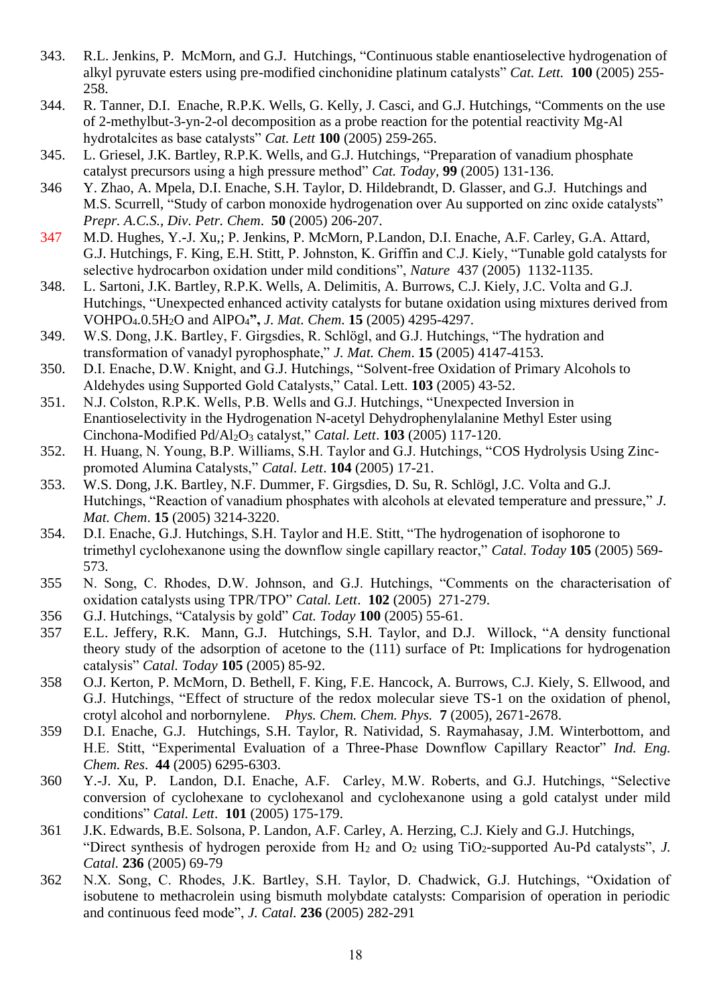- 343. R.L. Jenkins, P. McMorn, and G.J. Hutchings, "Continuous stable enantioselective hydrogenation of alkyl pyruvate esters using pre-modified cinchonidine platinum catalysts" *Cat. Lett.* **100** (2005) 255- 258.
- 344. R. Tanner, D.I. Enache, R.P.K. Wells, G. Kelly, J. Casci, and G.J. Hutchings, "Comments on the use of 2-methylbut-3-yn-2-ol decomposition as a probe reaction for the potential reactivity Mg-Al hydrotalcites as base catalysts" *Cat. Lett* **100** (2005) 259-265.
- 345. L. Griesel, J.K. Bartley, R.P.K. Wells, and G.J. Hutchings, "Preparation of vanadium phosphate catalyst precursors using a high pressure method" *Cat. Today,* **99** (2005) 131-136.
- 346 Y. Zhao, A. Mpela, D.I. Enache, S.H. Taylor, D. Hildebrandt, D. Glasser, and G.J. Hutchings and M.S. Scurrell, "Study of carbon monoxide hydrogenation over Au supported on zinc oxide catalysts" *Prepr. A.C.S., Div. Petr. Chem*. **50** (2005) 206-207.
- 347 M.D. Hughes, Y.-J. Xu,; P. Jenkins, P. McMorn, P.Landon, D.I. Enache, A.F. Carley, G.A. Attard, G.J. Hutchings, F. King, E.H. Stitt, P. Johnston, K. Griffin and C.J. Kiely, "Tunable gold catalysts for selective hydrocarbon oxidation under mild conditions", *Nature* 437 (2005) 1132-1135.
- 348. L. Sartoni, J.K. Bartley, R.P.K. Wells, A. Delimitis, A. Burrows, C.J. Kiely, J.C. Volta and G.J. Hutchings, "Unexpected enhanced activity catalysts for butane oxidation using mixtures derived from VOHPO4.0.5H2O and AlPO4**",** *J. Mat. Chem*. **15** (2005) 4295-4297.
- 349. W.S. Dong, J.K. Bartley, F. Girgsdies, R. Schlögl, and G.J. Hutchings, "The hydration and transformation of vanadyl pyrophosphate," *J. Mat. Chem*. **15** (2005) 4147-4153.
- 350. D.I. Enache, D.W. Knight, and G.J. Hutchings, "Solvent-free Oxidation of Primary Alcohols to Aldehydes using Supported Gold Catalysts," Catal. Lett. **103** (2005) 43-52.
- 351. N.J. Colston, R.P.K. Wells, P.B. Wells and G.J. Hutchings, "Unexpected Inversion in Enantioselectivity in the Hydrogenation N-acetyl Dehydrophenylalanine Methyl Ester using Cinchona-Modified Pd/Al2O<sup>3</sup> catalyst," *Catal. Lett*. **103** (2005) 117-120.
- 352. H. Huang, N. Young, B.P. Williams, S.H. Taylor and G.J. Hutchings, "COS Hydrolysis Using Zincpromoted Alumina Catalysts," *Catal. Lett*. **104** (2005) 17-21.
- 353. W.S. Dong, J.K. Bartley, N.F. Dummer, F. Girgsdies, D. Su, R. Schlögl, J.C. Volta and G.J. Hutchings, "Reaction of vanadium phosphates with alcohols at elevated temperature and pressure," *J. Mat. Chem*. **15** (2005) 3214-3220.
- 354. D.I. Enache, G.J. Hutchings, S.H. Taylor and H.E. Stitt, "The hydrogenation of isophorone to trimethyl cyclohexanone using the downflow single capillary reactor," *Catal. Today* **105** (2005) 569- 573.
- 355 N. Song, C. Rhodes, D.W. Johnson, and G.J. Hutchings, "Comments on the characterisation of oxidation catalysts using TPR/TPO" *Catal. Lett*. **102** (2005) 271-279.
- 356 G.J. Hutchings, "Catalysis by gold" *Cat. Today* **100** (2005) 55-61.
- 357 E.L. Jeffery, R.K. Mann, G.J. Hutchings, S.H. Taylor, and D.J. Willock, "A density functional theory study of the adsorption of acetone to the (111) surface of Pt: Implications for hydrogenation catalysis" *Catal. Today* **105** (2005) 85-92.
- 358 O.J. Kerton, P. McMorn, D. Bethell, F. King, F.E. Hancock, A. Burrows, C.J. Kiely, S. Ellwood, and G.J. Hutchings, "Effect of structure of the redox molecular sieve TS-1 on the oxidation of phenol, crotyl alcohol and norbornylene. *Phys. Chem. Chem. Phys.* **7** (2005), 2671-2678.
- 359 D.I. Enache, G.J. Hutchings, S.H. Taylor, R. Natividad, S. Raymahasay, J.M. Winterbottom, and H.E. Stitt, "Experimental Evaluation of a Three-Phase Downflow Capillary Reactor" *Ind. Eng. Chem. Res*. **44** (2005) 6295-6303.
- 360 Y.-J. Xu, P. Landon, D.I. Enache, A.F. Carley, M.W. Roberts, and G.J. Hutchings, "Selective conversion of cyclohexane to cyclohexanol and cyclohexanone using a gold catalyst under mild conditions" *Catal. Lett*. **101** (2005) 175-179.
- 361 J.K. Edwards, B.E. Solsona, P. Landon, A.F. Carley, A. Herzing, C.J. Kiely and G.J. Hutchings, "Direct synthesis of hydrogen peroxide from H<sub>2</sub> and O<sub>2</sub> using TiO<sub>2</sub>-supported Au-Pd catalysts", *J. Catal.* **236** (2005) 69-79
- 362 N.X. Song, C. Rhodes, J.K. Bartley, S.H. Taylor, D. Chadwick, G.J. Hutchings, "Oxidation of isobutene to methacrolein using bismuth molybdate catalysts: Comparision of operation in periodic and continuous feed mode", *J. Catal.* **236** (2005) 282-291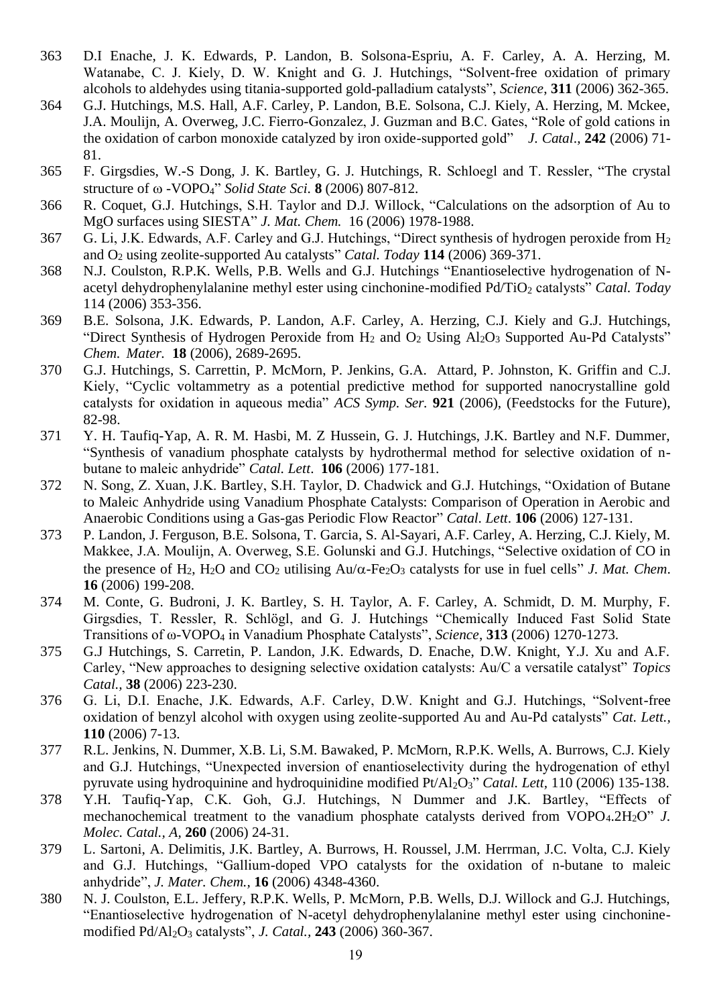- 363 D.I Enache, J. K. Edwards, P. Landon, B. Solsona-Espriu, A. F. Carley, A. A. Herzing, M. Watanabe, C. J. Kiely, D. W. Knight and G. J. Hutchings, "Solvent-free oxidation of primary alcohols to aldehydes using titania-supported gold-palladium catalysts", *Science*, **311** (2006) 362-365.
- 364 G.J. Hutchings, M.S. Hall, A.F. Carley, P. Landon, B.E. Solsona, C.J. Kiely, A. Herzing, M. Mckee, J.A. Moulijn, A. Overweg, J.C. Fierro-Gonzalez, J. Guzman and B.C. Gates, "Role of gold cations in the oxidation of carbon monoxide catalyzed by iron oxide-supported gold" *J. Catal*., **242** (2006) 71- 81.
- 365 F. Girgsdies, W.-S Dong, J. K. Bartley, G. J. Hutchings, R. Schloegl and T. Ressler, "The crystal structure of -VOPO4" *Solid State Sci.* **8** (2006) 807-812.
- 366 R. Coquet, G.J. Hutchings, S.H. Taylor and D.J. Willock, "Calculations on the adsorption of Au to MgO surfaces using SIESTA" *J. Mat. Chem.* 16 (2006) 1978-1988.
- 367 G. Li, J.K. Edwards, A.F. Carley and G.J. Hutchings, "Direct synthesis of hydrogen peroxide from H<sup>2</sup> and O<sup>2</sup> using zeolite-supported Au catalysts" *Catal. Today* **114** (2006) 369-371.
- 368 N.J. Coulston, R.P.K. Wells, P.B. Wells and G.J. Hutchings "Enantioselective hydrogenation of Nacetyl dehydrophenylalanine methyl ester using cinchonine-modified Pd/TiO<sub>2</sub> catalysts" *Catal. Today* 114 (2006) 353-356.
- 369 B.E. Solsona, J.K. Edwards, P. Landon, A.F. Carley, A. Herzing, C.J. Kiely and G.J. Hutchings, "Direct Synthesis of Hydrogen Peroxide from  $H_2$  and  $O_2$  Using  $Al_2O_3$  Supported Au-Pd Catalysts" *Chem. Mater.* **18** (2006), 2689-2695.
- 370 G.J. Hutchings, S. Carrettin, P. McMorn, P. Jenkins, G.A. Attard, P. Johnston, K. Griffin and C.J. Kiely, "Cyclic voltammetry as a potential predictive method for supported nanocrystalline gold catalysts for oxidation in aqueous media" *ACS Symp. Ser.* **921** (2006), (Feedstocks for the Future), 82-98.
- 371 Y. H. Taufiq-Yap, A. R. M. Hasbi, M. Z Hussein, G. J. Hutchings, J.K. Bartley and N.F. Dummer, "Synthesis of vanadium phosphate catalysts by hydrothermal method for selective oxidation of nbutane to maleic anhydride" *Catal. Lett*. **106** (2006) 177-181.
- 372 N. Song, Z. Xuan, J.K. Bartley, S.H. Taylor, D. Chadwick and G.J. Hutchings, "Oxidation of Butane to Maleic Anhydride using Vanadium Phosphate Catalysts: Comparison of Operation in Aerobic and Anaerobic Conditions using a Gas-gas Periodic Flow Reactor" *Catal. Lett*. **106** (2006) 127-131.
- 373 P. Landon, J. Ferguson, B.E. Solsona, T. Garcia, S. Al-Sayari, A.F. Carley, A. Herzing, C.J. Kiely, M. Makkee, J.A. Moulijn, A. Overweg, S.E. Golunski and G.J. Hutchings, "Selective oxidation of CO in the presence of H<sub>2</sub>, H<sub>2</sub>O and CO<sub>2</sub> utilising  $Au/\alpha$ -Fe<sub>2</sub>O<sub>3</sub> catalysts for use in fuel cells" *J. Mat. Chem.* **16** (2006) 199-208.
- 374 M. Conte, G. Budroni, J. K. Bartley, S. H. Taylor, A. F. Carley, A. Schmidt, D. M. Murphy, F. Girgsdies, T. Ressler, R. Schlögl, and G. J. Hutchings "Chemically Induced Fast Solid State Transitions of ω-VOPO<sup>4</sup> in Vanadium Phosphate Catalysts", *Science*, **313** (2006) 1270-1273.
- 375 G.J Hutchings, S. Carretin, P. Landon, J.K. Edwards, D. Enache, D.W. Knight, Y.J. Xu and A.F. Carley, "New approaches to designing selective oxidation catalysts: Au/C a versatile catalyst" *Topics Catal.,* **38** (2006) 223-230.
- 376 G. Li, D.I. Enache, J.K. Edwards, A.F. Carley, D.W. Knight and G.J. Hutchings, "Solvent-free oxidation of benzyl alcohol with oxygen using zeolite-supported Au and Au-Pd catalysts" *Cat. Lett.,*  **110** (2006) 7-13.
- 377 R.L. Jenkins, N. Dummer, X.B. Li, S.M. Bawaked, P. McMorn, R.P.K. Wells, A. Burrows, C.J. Kiely and G.J. Hutchings, "Unexpected inversion of enantioselectivity during the hydrogenation of ethyl pyruvate using hydroquinine and hydroquinidine modified Pt/Al2O3" *Catal. Lett,* 110 (2006) 135-138.
- 378 Y.H. Taufiq-Yap, C.K. Goh, G.J. Hutchings, N Dummer and J.K. Bartley, "Effects of mechanochemical treatment to the vanadium phosphate catalysts derived from VOPO<sub>4</sub>.2H<sub>2</sub>O" *J. Molec. Catal., A,* **260** (2006) 24-31.
- 379 L. Sartoni, A. Delimitis, J.K. Bartley, A. Burrows, H. Roussel, J.M. Herrman, J.C. Volta, C.J. Kiely and G.J. Hutchings, "Gallium-doped VPO catalysts for the oxidation of n-butane to maleic anhydride", *J. Mater. Chem.,* **16** (2006) 4348-4360.
- 380 N. J. Coulston, E.L. Jeffery, R.P.K. Wells, P. McMorn, P.B. Wells, D.J. Willock and G.J. Hutchings, "Enantioselective hydrogenation of N-acetyl dehydrophenylalanine methyl ester using cinchoninemodified Pd/Al2O<sup>3</sup> catalysts", *J. Catal.,* **243** (2006) 360-367.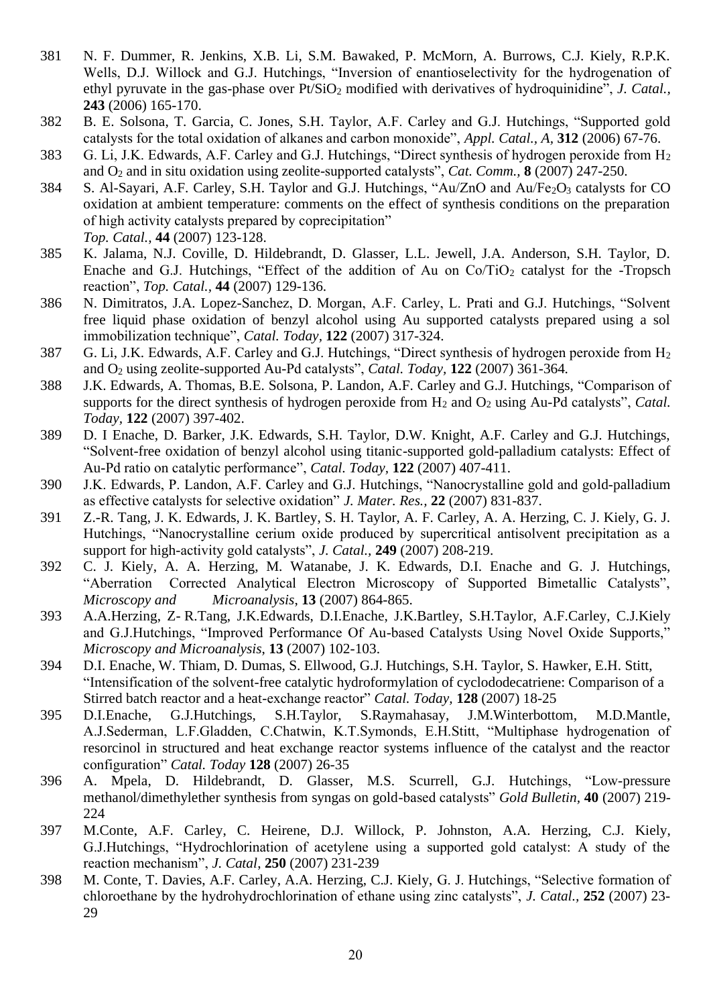- 381 N. F. Dummer, R. Jenkins, X.B. Li, S.M. Bawaked, P. McMorn, A. Burrows, C.J. Kiely, R.P.K. Wells, D.J. Willock and G.J. Hutchings, "Inversion of enantioselectivity for the hydrogenation of ethyl pyruvate in the gas-phase over Pt/SiO<sub>2</sub> modified with derivatives of hydroquinidine", *J. Catal.*, **243** (2006) 165-170.
- 382 B. E. Solsona, T. Garcia, C. Jones, S.H. Taylor, A.F. Carley and G.J. Hutchings, "Supported gold catalysts for the total oxidation of alkanes and carbon monoxide", *Appl. Catal., A,* **312** (2006) 67-76.
- 383 G. Li, J.K. Edwards, A.F. Carley and G.J. Hutchings, "Direct synthesis of hydrogen peroxide from H<sup>2</sup> and O<sup>2</sup> and in situ oxidation using zeolite-supported catalysts", *Cat. Comm.,* **8** (2007) 247-250.
- 384 S. Al-Sayari, A.F. Carley, S.H. Taylor and G.J. Hutchings, "Au/ZnO and Au/Fe<sub>2</sub>O<sub>3</sub> catalysts for CO oxidation at ambient temperature: comments on the effect of synthesis conditions on the preparation of high activity catalysts prepared by coprecipitation" *Top. Catal.,* **44** (2007) 123-128.
- 385 K. Jalama, N.J. Coville, D. Hildebrandt, D. Glasser, L.L. Jewell, J.A. Anderson, S.H. Taylor, D. Enache and G.J. Hutchings, "Effect of the addition of Au on  $Co/TiO<sub>2</sub>$  catalyst for the -Tropsch reaction", *Top. Catal.,* **44** (2007) 129-136.
- 386 N. Dimitratos, J.A. Lopez-Sanchez, D. Morgan, A.F. Carley, L. Prati and G.J. Hutchings, "Solvent free liquid phase oxidation of benzyl alcohol using Au supported catalysts prepared using a sol immobilization technique", *Catal. Today,* **122** (2007) 317-324.
- 387 G. Li, J.K. Edwards, A.F. Carley and G.J. Hutchings, "Direct synthesis of hydrogen peroxide from H<sup>2</sup> and O<sup>2</sup> using zeolite-supported Au-Pd catalysts", *Catal. Today,* **122** (2007) 361-364.
- 388 J.K. Edwards, A. Thomas, B.E. Solsona, P. Landon, A.F. Carley and G.J. Hutchings, "Comparison of supports for the direct synthesis of hydrogen peroxide from H<sub>2</sub> and O<sub>2</sub> using Au-Pd catalysts", *Catal. Today,* **122** (2007) 397-402.
- 389 D. I Enache, D. Barker, J.K. Edwards, S.H. Taylor, D.W. Knight, A.F. Carley and G.J. Hutchings, "Solvent-free oxidation of benzyl alcohol using titanic-supported gold-palladium catalysts: Effect of Au-Pd ratio on catalytic performance", *Catal. Today,* **122** (2007) 407-411.
- 390 J.K. Edwards, P. Landon, A.F. Carley and G.J. Hutchings, "Nanocrystalline gold and gold-palladium as effective catalysts for selective oxidation" *J. Mater. Res.,* **22** (2007) 831-837.
- 391 Z.-R. Tang, J. K. Edwards, J. K. Bartley, S. H. Taylor, A. F. Carley, A. A. Herzing, C. J. Kiely, G. J. Hutchings, "Nanocrystalline cerium oxide produced by supercritical antisolvent precipitation as a support for high-activity gold catalysts", *J. Catal.,* **249** (2007) 208-219.
- 392 C. J. Kiely, A. A. Herzing, M. Watanabe, J. K. Edwards, D.I. Enache and G. J. Hutchings, "Aberration Corrected Analytical Electron Microscopy of Supported Bimetallic Catalysts", *Microscopy and Microanalysis*, **13** (2007) 864-865.
- 393 A.A.Herzing, Z- R.Tang, J.K.Edwards, D.I.Enache, J.K.Bartley, S.H.Taylor, A.F.Carley, C.J.Kiely and G.J.Hutchings, "Improved Performance Of Au-based Catalysts Using Novel Oxide Supports," *Microscopy and Microanalysis*, **13** (2007) 102-103.
- 394 D.I. Enache, W. Thiam, D. Dumas, S. Ellwood, G.J. Hutchings, S.H. Taylor, S. Hawker, E.H. Stitt, "Intensification of the solvent-free catalytic hydroformylation of cyclododecatriene: Comparison of a Stirred batch reactor and a heat-exchange reactor" *Catal. Today,* **128** (2007) 18-25
- 395 D.I.Enache, G.J.Hutchings, S.H.Taylor, S.Raymahasay, J.M.Winterbottom, M.D.Mantle, A.J.Sederman, L.F.Gladden, C.Chatwin, K.T.Symonds, E.H.Stitt, "Multiphase hydrogenation of resorcinol in structured and heat exchange reactor systems influence of the catalyst and the reactor configuration" *Catal. Today* **128** (2007) 26-35
- 396 A. Mpela, D. Hildebrandt, D. Glasser, M.S. Scurrell, G.J. Hutchings, "Low-pressure methanol/dimethylether synthesis from syngas on gold-based catalysts" *Gold Bulletin,* **40** (2007) 219- 224
- 397 M.Conte, A.F. Carley, C. Heirene, D.J. Willock, P. Johnston, A.A. Herzing, C.J. Kiely, G.J.Hutchings, "Hydrochlorination of acetylene using a supported gold catalyst: A study of the reaction mechanism", *J. Catal*, **250** (2007) 231-239
- 398 M. Conte, T. Davies, A.F. Carley, A.A. Herzing, C.J. Kiely, G. J. Hutchings, "Selective formation of chloroethane by the hydrohydrochlorination of ethane using zinc catalysts", *J. Catal.,* **252** (2007) 23- 29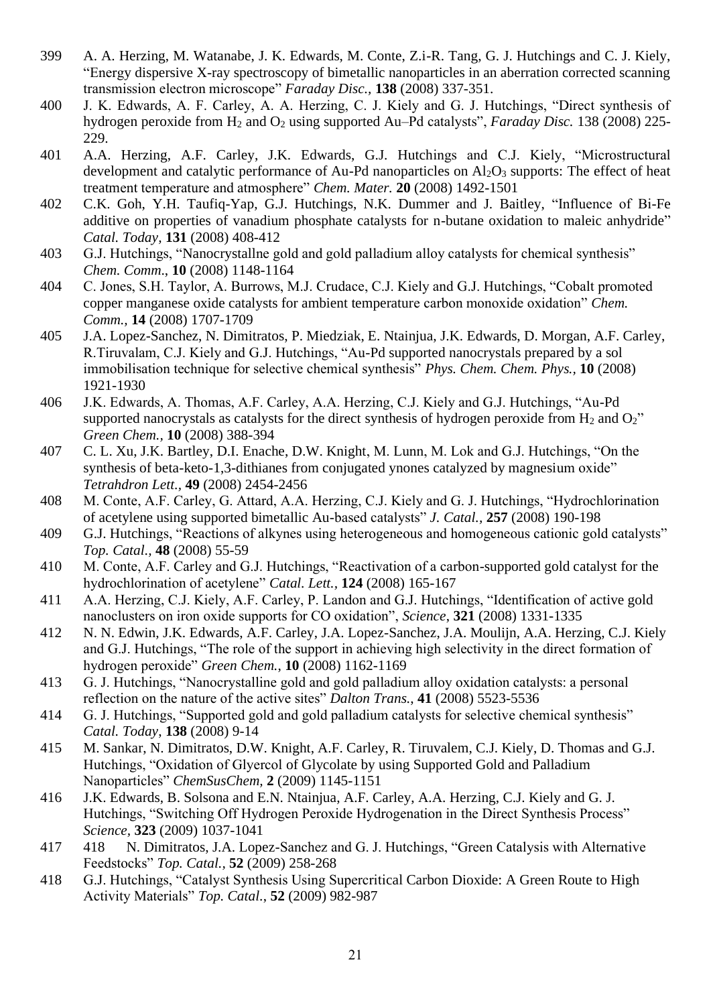- 399 A. A. Herzing, M. Watanabe, J. K. Edwards, M. Conte, Z.i-R. Tang, G. J. Hutchings and C. J. Kiely, "Energy dispersive X-ray spectroscopy of bimetallic nanoparticles in an aberration corrected scanning transmission electron microscope" *Faraday Disc.,* **138** (2008) 337-351.
- 400 J. K. Edwards, A. F. Carley, A. A. Herzing, C. J. Kiely and G. J. Hutchings, "Direct synthesis of hydrogen peroxide from H<sup>2</sup> and O<sup>2</sup> using supported Au–Pd catalysts", *Faraday Disc.* 138 (2008) 225- 229.
- 401 A.A. Herzing, A.F. Carley, J.K. Edwards, G.J. Hutchings and C.J. Kiely, "Microstructural development and catalytic performance of Au-Pd nanoparticles on  $Al_2O_3$  supports: The effect of heat treatment temperature and atmosphere" *Chem. Mater.* **20** (2008) 1492-1501
- 402 C.K. Goh, Y.H. Taufiq-Yap, G.J. Hutchings, N.K. Dummer and J. Baitley, "Influence of Bi-Fe additive on properties of vanadium phosphate catalysts for n-butane oxidation to maleic anhydride" *Catal. Today,* **131** (2008) 408-412
- 403 G.J. Hutchings, "Nanocrystallne gold and gold palladium alloy catalysts for chemical synthesis" *Chem. Comm*., **10** (2008) 1148-1164
- 404 C. Jones, S.H. Taylor, A. Burrows, M.J. Crudace, C.J. Kiely and G.J. Hutchings, "Cobalt promoted copper manganese oxide catalysts for ambient temperature carbon monoxide oxidation" *Chem. Comm.,* **14** (2008) 1707-1709
- 405 J.A. Lopez-Sanchez, N. Dimitratos, P. Miedziak, E. Ntainjua, J.K. Edwards, D. Morgan, A.F. Carley, R.Tiruvalam, C.J. Kiely and G.J. Hutchings, "Au-Pd supported nanocrystals prepared by a sol immobilisation technique for selective chemical synthesis" *Phys. Chem. Chem. Phys.,* **10** (2008) 1921-1930
- 406 J.K. Edwards, A. Thomas, A.F. Carley, A.A. Herzing, C.J. Kiely and G.J. Hutchings, "Au-Pd supported nanocrystals as catalysts for the direct synthesis of hydrogen peroxide from  $H_2$  and  $O_2$ " *Green Chem.,* **10** (2008) 388-394
- 407 C. L. Xu, J.K. Bartley, D.I. Enache, D.W. Knight, M. Lunn, M. Lok and G.J. Hutchings, "On the synthesis of beta-keto-1,3-dithianes from conjugated ynones catalyzed by magnesium oxide" *Tetrahdron Lett.,* **49** (2008) 2454-2456
- 408 M. Conte, A.F. Carley, G. Attard, A.A. Herzing, C.J. Kiely and G. J. Hutchings, "Hydrochlorination of acetylene using supported bimetallic Au-based catalysts" *J. Catal.,* **257** (2008) 190-198
- 409 G.J. Hutchings, "Reactions of alkynes using heterogeneous and homogeneous cationic gold catalysts" *Top. Catal.,* **48** (2008) 55-59
- 410 M. Conte, A.F. Carley and G.J. Hutchings, "Reactivation of a carbon-supported gold catalyst for the hydrochlorination of acetylene" *Catal. Lett.,* **124** (2008) 165-167
- 411 A.A. Herzing, C.J. Kiely, A.F. Carley, P. Landon and G.J. Hutchings, "Identification of active gold nanoclusters on iron oxide supports for CO oxidation", *Science*, **321** (2008) 1331-1335
- 412 N. N. Edwin, J.K. Edwards, A.F. Carley, J.A. Lopez-Sanchez, J.A. Moulijn, A.A. Herzing, C.J. Kiely and G.J. Hutchings, "The role of the support in achieving high selectivity in the direct formation of hydrogen peroxide" *Green Chem.*, **10** (2008) 1162-1169
- 413 G. J. Hutchings, "Nanocrystalline gold and gold palladium alloy oxidation catalysts: a personal reflection on the nature of the active sites" *Dalton Trans.*, **41** (2008) 5523-5536
- 414 G. J. Hutchings, "Supported gold and gold palladium catalysts for selective chemical synthesis" *Catal. Today*, **138** (2008) 9-14
- 415 M. Sankar, N. Dimitratos, D.W. Knight, A.F. Carley, R. Tiruvalem, C.J. Kiely, D. Thomas and G.J. Hutchings, "Oxidation of Glyercol of Glycolate by using Supported Gold and Palladium Nanoparticles" *ChemSusChem,* **2** (2009) 1145-1151
- 416 J.K. Edwards, B. Solsona and E.N. Ntainjua, A.F. Carley, A.A. Herzing, C.J. Kiely and G. J. Hutchings, "Switching Off Hydrogen Peroxide Hydrogenation in the Direct Synthesis Process" *Science,* **323** (2009) 1037-1041
- 417 418 N. Dimitratos, J.A. Lopez-Sanchez and G. J. Hutchings, "Green Catalysis with Alternative Feedstocks" *Top. Catal.,* **52** (2009) 258-268
- 418 G.J. Hutchings, "Catalyst Synthesis Using Supercritical Carbon Dioxide: A Green Route to High Activity Materials" *Top. Catal.*, **52** (2009) 982-987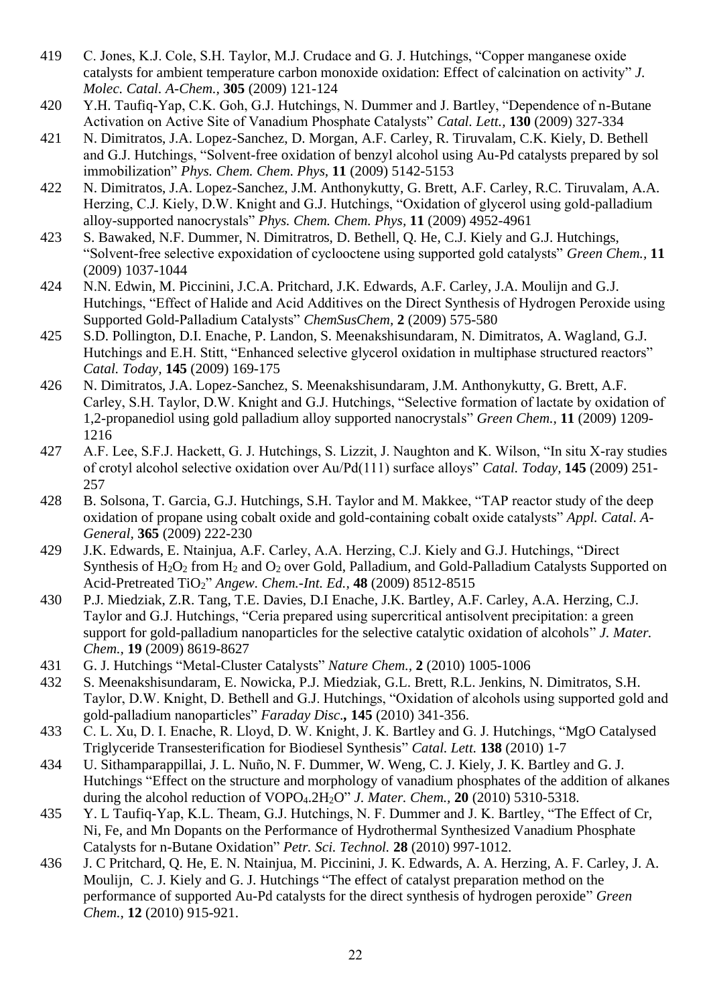- 419 C. Jones, K.J. Cole, S.H. Taylor, M.J. Crudace and G. J. Hutchings, "Copper manganese oxide catalysts for ambient temperature carbon monoxide oxidation: Effect of calcination on activity" *J. Molec. Catal. A-Chem.,* **305** (2009) 121-124
- 420 Y.H. Taufiq-Yap, C.K. Goh, G.J. Hutchings, N. Dummer and J. Bartley, "Dependence of n-Butane Activation on Active Site of Vanadium Phosphate Catalysts" *Catal. Lett.,* **130** (2009) 327-334
- 421 N. Dimitratos, J.A. Lopez-Sanchez, D. Morgan, A.F. Carley, R. Tiruvalam, C.K. Kiely, D. Bethell and G.J. Hutchings, "Solvent-free oxidation of benzyl alcohol using Au-Pd catalysts prepared by sol immobilization" *Phys. Chem. Chem. Phys,* **11** (2009) 5142-5153
- 422 N. Dimitratos, J.A. Lopez-Sanchez, J.M. Anthonykutty, G. Brett, A.F. Carley, R.C. Tiruvalam, A.A. Herzing, C.J. Kiely, D.W. Knight and G.J. Hutchings, "Oxidation of glycerol using gold-palladium alloy-supported nanocrystals" *Phys. Chem. Chem. Phys,* **11** (2009) 4952-4961
- 423 S. Bawaked, N.F. Dummer, N. Dimitratros, D. Bethell, Q. He, C.J. Kiely and G.J. Hutchings, "Solvent-free selective expoxidation of cyclooctene using supported gold catalysts" *Green Chem.,* **11** (2009) 1037-1044
- 424 N.N. Edwin, M. Piccinini, J.C.A. Pritchard, J.K. Edwards, A.F. Carley, J.A. Moulijn and G.J. Hutchings, "Effect of Halide and Acid Additives on the Direct Synthesis of Hydrogen Peroxide using Supported Gold-Palladium Catalysts" *ChemSusChem,* **2** (2009) 575-580
- 425 S.D. Pollington, D.I. Enache, P. Landon, S. Meenakshisundaram, N. Dimitratos, A. Wagland, G.J. Hutchings and E.H. Stitt, "Enhanced selective glycerol oxidation in multiphase structured reactors" *Catal. Today,* **145** (2009) 169-175
- 426 N. Dimitratos, J.A. Lopez-Sanchez, S. Meenakshisundaram, J.M. Anthonykutty, G. Brett, A.F. Carley, S.H. Taylor, D.W. Knight and G.J. Hutchings, "Selective formation of lactate by oxidation of 1,2-propanediol using gold palladium alloy supported nanocrystals" *Green Chem.,* **11** (2009) 1209- 1216
- 427 A.F. Lee, S.F.J. Hackett, G. J. Hutchings, S. Lizzit, J. Naughton and K. Wilson, "In situ X-ray studies of crotyl alcohol selective oxidation over Au/Pd(111) surface alloys" *Catal. Today,* **145** (2009) 251- 257
- 428 B. Solsona, T. Garcia, G.J. Hutchings, S.H. Taylor and M. Makkee, "TAP reactor study of the deep oxidation of propane using cobalt oxide and gold-containing cobalt oxide catalysts" *Appl. Catal. A-General,* **365** (2009) 222-230
- 429 J.K. Edwards, E. Ntainjua, A.F. Carley, A.A. Herzing, C.J. Kiely and G.J. Hutchings, "Direct Synthesis of H<sub>2</sub>O<sub>2</sub> from H<sub>2</sub> and O<sub>2</sub> over Gold, Palladium, and Gold-Palladium Catalysts Supported on Acid-Pretreated TiO2" *Angew. Chem.-Int. Ed.,* **48** (2009) 8512-8515
- 430 P.J. Miedziak, Z.R. Tang, T.E. Davies, D.I Enache, J.K. Bartley, A.F. Carley, A.A. Herzing, C.J. Taylor and G.J. Hutchings, "Ceria prepared using supercritical antisolvent precipitation: a green support for gold-palladium nanoparticles for the selective catalytic oxidation of alcohols" *J. Mater. Chem.,* **19** (2009) 8619-8627
- 431 G. J. Hutchings "Metal-Cluster Catalysts" *Nature Chem.,* **2** (2010) 1005-1006
- 432 S. Meenakshisundaram, E. Nowicka, P.J. Miedziak, G.L. Brett, R.L. Jenkins, N. Dimitratos, S.H. Taylor, D.W. Knight, D. Bethell and G.J. Hutchings, "Oxidation of alcohols using supported gold and gold-palladium nanoparticles" *Faraday Disc.,* **145** (2010) 341-356.
- 433 C. L. Xu, D. I. Enache, R. Lloyd, D. W. Knight, J. K. Bartley and G. J. Hutchings, ["MgO Catalysed](http://apps.isiknowledge.com/full_record.do?product=UA&search_mode=GeneralSearch&qid=1&SID=S1Af3jh7MlFjBdO3GlK&page=1&doc=1&colname=WOS)  [Triglyceride Transesterification for Biodiesel Synthesis"](http://apps.isiknowledge.com/full_record.do?product=UA&search_mode=GeneralSearch&qid=1&SID=S1Af3jh7MlFjBdO3GlK&page=1&doc=1&colname=WOS) *Catal. Lett.* **138** (2010) 1-7
- 434 U. Sithamparappillai, J. L. Nuño, N. F. Dummer, W. Weng, C. J. Kiely, J. K. Bartley and G. J. Hutchings ["Effect on the structure and morphology of vanadium phosphates of the addition of alkanes](http://apps.isiknowledge.com/full_record.do?product=UA&search_mode=GeneralSearch&qid=1&SID=S1Af3jh7MlFjBdO3GlK&page=1&doc=2&colname=WOS)  [during the alcohol reduction of VOPO](http://apps.isiknowledge.com/full_record.do?product=UA&search_mode=GeneralSearch&qid=1&SID=S1Af3jh7MlFjBdO3GlK&page=1&doc=2&colname=WOS)4.2H2O" *J. Mater. Chem.,* **20** (2010) 5310-5318.
- 435 Y. L Taufiq-Yap, K.L. Theam, G.J. Hutchings, N. F. Dummer and J. K. Bartley, ["The Effect of Cr,](http://apps.isiknowledge.com/full_record.do?product=UA&search_mode=GeneralSearch&qid=1&SID=S1Af3jh7MlFjBdO3GlK&page=1&doc=3&colname=WOS)  [Ni, Fe, and Mn Dopants on the Performance of Hydrothermal Synthesized Vanadium Phosphate](http://apps.isiknowledge.com/full_record.do?product=UA&search_mode=GeneralSearch&qid=1&SID=S1Af3jh7MlFjBdO3GlK&page=1&doc=3&colname=WOS) [Catalysts for n-Butane Oxidation"](http://apps.isiknowledge.com/full_record.do?product=UA&search_mode=GeneralSearch&qid=1&SID=S1Af3jh7MlFjBdO3GlK&page=1&doc=3&colname=WOS) *Petr. Sci. Technol.* **28** (2010) 997-1012.
- 436 J. C Pritchard, Q. He, E. N. Ntainjua, M. Piccinini, J. K. Edwards, A. A. Herzing, A. F. Carley, J. A. Moulijn, C. J. Kiely and G. J. Hutchings ["The effect of catalyst preparation method on the](http://apps.isiknowledge.com/full_record.do?product=UA&search_mode=GeneralSearch&qid=1&SID=S1Af3jh7MlFjBdO3GlK&page=1&doc=4&colname=WOS)  [performance of supported Au-Pd catalysts for the direct synthesis of hydrogen peroxide"](http://apps.isiknowledge.com/full_record.do?product=UA&search_mode=GeneralSearch&qid=1&SID=S1Af3jh7MlFjBdO3GlK&page=1&doc=4&colname=WOS) *Green Chem.,* **12** (2010) 915-921.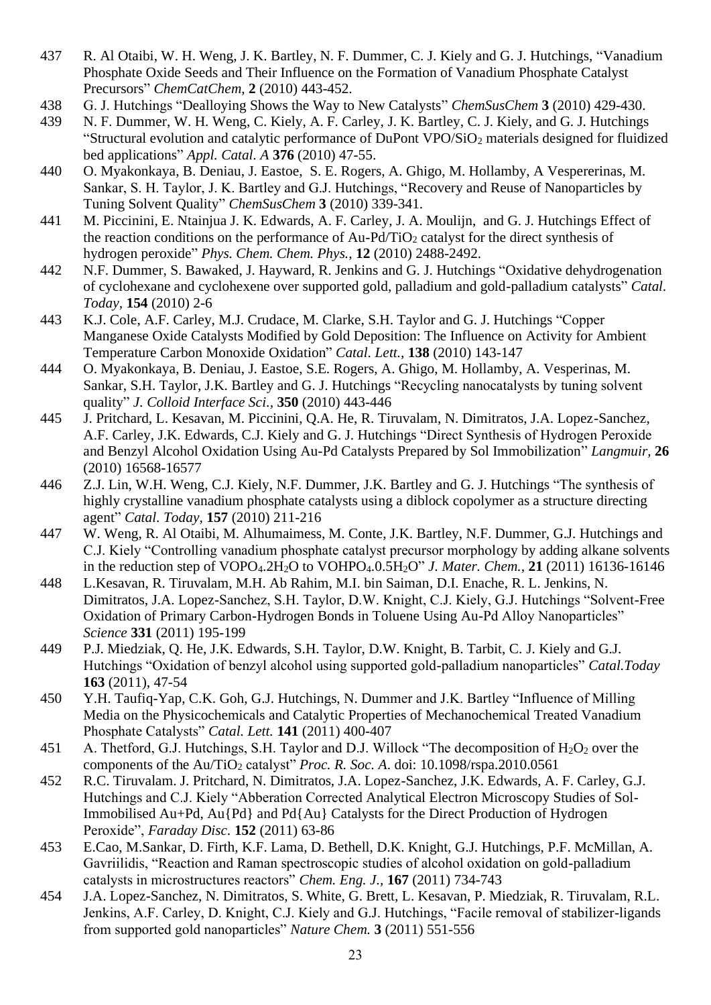- 437 R. Al Otaibi, W. H. Weng, J. K. Bartley, N. F. Dummer, C. J. Kiely and G. J. Hutchings, ["Vanadium](http://apps.isiknowledge.com/full_record.do?product=UA&search_mode=GeneralSearch&qid=1&SID=S1Af3jh7MlFjBdO3GlK&page=1&doc=5&colname=WOS)  [Phosphate Oxide Seeds and Their Influence on the Formation of Vanadium Phosphate Catalyst](http://apps.isiknowledge.com/full_record.do?product=UA&search_mode=GeneralSearch&qid=1&SID=S1Af3jh7MlFjBdO3GlK&page=1&doc=5&colname=WOS)  [Precursors"](http://apps.isiknowledge.com/full_record.do?product=UA&search_mode=GeneralSearch&qid=1&SID=S1Af3jh7MlFjBdO3GlK&page=1&doc=5&colname=WOS) *ChemCatChem*, **2** (2010) 443-452.
- 438 G. J. Hutchings ["Dealloying Shows the Way to New Catalysts"](http://apps.isiknowledge.com/full_record.do?product=UA&search_mode=GeneralSearch&qid=1&SID=S1Af3jh7MlFjBdO3GlK&page=1&doc=6&colname=WOS) *ChemSusChem* **3** (2010) 429-430.
- 439 N. F. Dummer, W. H. Weng, C. Kiely, A. F. Carley, J. K. Bartley, C. J. Kiely, and G. J. Hutchings ["Structural evolution and catalytic performance of DuPont VPO/SiO](http://apps.isiknowledge.com/full_record.do?product=UA&search_mode=GeneralSearch&qid=1&SID=S1Af3jh7MlFjBdO3GlK&page=1&doc=7&colname=WOS)<sup>2</sup> materials designed for fluidized [bed applications"](http://apps.isiknowledge.com/full_record.do?product=UA&search_mode=GeneralSearch&qid=1&SID=S1Af3jh7MlFjBdO3GlK&page=1&doc=7&colname=WOS) *Appl. Catal. A* **376** (2010) 47-55.
- 440 O. Myakonkaya, B. Deniau, J. Eastoe, S. E. Rogers, A. Ghigo, M. Hollamby, A Vespererinas, M. Sankar, S. H. Taylor, J. K. Bartley and G.J. Hutchings, ["Recovery and Reuse of Nanoparticles by](http://apps.isiknowledge.com/full_record.do?product=UA&search_mode=GeneralSearch&qid=1&SID=S1Af3jh7MlFjBdO3GlK&page=1&doc=8&colname=WOS)  [Tuning Solvent Quality"](http://apps.isiknowledge.com/full_record.do?product=UA&search_mode=GeneralSearch&qid=1&SID=S1Af3jh7MlFjBdO3GlK&page=1&doc=8&colname=WOS) *ChemSusChem* **3** (2010) 339-341.
- 441 M. Piccinini, E. Ntainjua J. K. Edwards, A. F. Carley, J. A. Moulijn, and G. J. Hutchings [Effect of](http://apps.isiknowledge.com/full_record.do?product=UA&search_mode=GeneralSearch&qid=1&SID=S1Af3jh7MlFjBdO3GlK&page=1&doc=9&colname=WOS)  the reaction [conditions on the performance of Au-Pd/TiO](http://apps.isiknowledge.com/full_record.do?product=UA&search_mode=GeneralSearch&qid=1&SID=S1Af3jh7MlFjBdO3GlK&page=1&doc=9&colname=WOS)<sub>2</sub> catalyst for the direct synthesis of [hydrogen peroxide"](http://apps.isiknowledge.com/full_record.do?product=UA&search_mode=GeneralSearch&qid=1&SID=S1Af3jh7MlFjBdO3GlK&page=1&doc=9&colname=WOS) *Phys. Chem. Chem. Phys.,* **12** (2010) 2488-2492.
- 442 N.F. Dummer, S. Bawaked, J. Hayward, R. Jenkins and G. J. Hutchings ["Oxidative](http://apps.isiknowledge.com/full_record.do?product=UA&search_mode=GeneralSearch&qid=1&SID=S1Af3jh7MlFjBdO3GlK&page=1&doc=9&colname=WOS) dehydrogenation of cyclohexane and cyclohexene over supported gold, palladium and gold-palladium catalysts" *Catal. Today,* **154** (2010) 2-6
- 443 K.J. Cole, A.F. Carley, M.J. Crudace, M. Clarke, S.H. Taylor and G. J. Hutchings "Copper Manganese Oxide Catalysts Modified by Gold Deposition: The Influence on Activity for Ambient Temperature Carbon Monoxide Oxidation" *Catal. Lett.,* **138** (2010) 143-147
- 444 O. Myakonkaya, B. Deniau, J. Eastoe, S.E. Rogers, A. Ghigo, M. Hollamby, A. Vesperinas, M. Sankar, S.H. Taylor, J.K. Bartley and G. J. Hutchings "Recycling nanocatalysts by tuning solvent quality" *J. Colloid Interface Sci.,* **350** (2010) 443-446
- 445 J. Pritchard, L. Kesavan, M. Piccinini, Q.A. He, R. Tiruvalam, N. Dimitratos, J.A. Lopez-Sanchez, A.F. Carley, J.K. Edwards, C.J. Kiely and G. J. Hutchings "Direct Synthesis of Hydrogen Peroxide and Benzyl Alcohol Oxidation Using Au-Pd Catalysts Prepared by Sol Immobilization" *Langmuir,* **26** (2010) 16568-16577
- 446 Z.J. Lin, W.H. Weng, C.J. Kiely, N.F. Dummer, J.K. Bartley and G. J. Hutchings "The synthesis of highly crystalline vanadium phosphate catalysts using a diblock copolymer as a structure directing agent" *Catal. Today,* **157** (2010) 211-216
- 447 W. Weng, R. Al Otaibi, M. Alhumaimess, M. Conte, J.K. Bartley, N.F. Dummer, G.J. Hutchings and C.J. Kiely "Controlling vanadium phosphate catalyst precursor morphology by adding alkane solvents in the reduction step of VOPO4.2H2O to VOHPO4.0.5H2O" *J. Mater. Chem.,* **21** (2011) 16136-16146
- 448 L.Kesavan, R. Tiruvalam, M.H. Ab Rahim, M.I. bin Saiman, D.I. Enache, R. L. Jenkins, N. Dimitratos, J.A. Lopez-Sanchez, S.H. Taylor, D.W. Knight, C.J. Kiely, G.J. Hutchings "Solvent-Free Oxidation of Primary Carbon-Hydrogen Bonds in Toluene Using Au-Pd Alloy Nanoparticles" *Science* **331** (2011) 195-199
- 449 P.J. Miedziak, Q. He, J.K. Edwards, S.H. Taylor, D.W. Knight, B. Tarbit, C. J. Kiely and G.J. Hutchings "Oxidation of benzyl alcohol using supported gold-palladium nanoparticles" *Catal.Today* **163** (2011), 47-54
- 450 Y.H. Taufiq-Yap, C.K. Goh, G.J. Hutchings, N. Dummer and J.K. Bartley "Influence of Milling Media on the Physicochemicals and Catalytic Properties of Mechanochemical Treated Vanadium Phosphate Catalysts" *Catal. Lett.* **141** (2011) 400-407
- 451 A. Thetford, G.J. Hutchings, S.H. Taylor and D.J. Willock "The decomposition of  $H_2O_2$  over the components of the Au/TiO<sub>2</sub> catalyst" *Proc. R. Soc. A.* doi:  $10.1098$ /rspa.2010.0561
- 452 R.C. Tiruvalam. J. Pritchard, N. Dimitratos, J.A. Lopez-Sanchez, J.K. Edwards, A. F. Carley, G.J. Hutchings and C.J. Kiely "Abberation Corrected Analytical Electron Microscopy Studies of Sol-Immobilised Au+Pd, Au{Pd} and Pd{Au} Catalysts for the Direct Production of Hydrogen Peroxide", *Faraday Disc.* **152** (2011) 63-86
- 453 E.Cao, M.Sankar, D. Firth, K.F. Lama, D. Bethell, D.K. Knight, G.J. Hutchings, P.F. McMillan, A. Gavriilidis, "Reaction and Raman spectroscopic studies of alcohol oxidation on gold-palladium catalysts in microstructures reactors" *Chem. Eng. J.,* **167** (2011) 734-743
- 454 J.A. Lopez-Sanchez, N. Dimitratos, S. White, G. Brett, L. Kesavan, P. Miedziak, R. Tiruvalam, R.L. Jenkins, A.F. Carley, D. Knight, C.J. Kiely and G.J. Hutchings, "Facile removal of stabilizer-ligands from supported gold nanoparticles" *Nature Chem.* **3** (2011) 551-556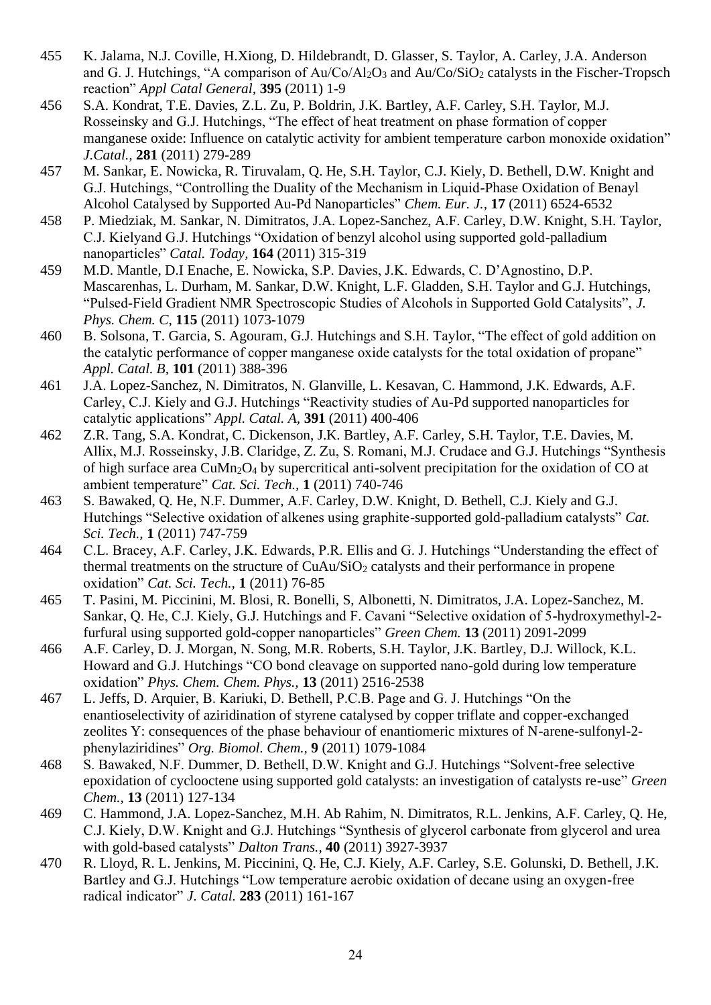- 455 K. Jalama, N.J. Coville, H.Xiong, D. Hildebrandt, D. Glasser, S. Taylor, A. Carley, J.A. Anderson and G. J. Hutchings, "A comparison of  $Au\text{Co}/\text{Al}_2\text{O}_3$  and  $Au\text{Co}/\text{SiO}_2$  catalysts in the Fischer-Tropsch reaction" *Appl Catal General,* **395** (2011) 1-9
- 456 S.A. Kondrat, T.E. Davies, Z.L. Zu, P. Boldrin, J.K. Bartley, A.F. Carley, S.H. Taylor, M.J. Rosseinsky and G.J. Hutchings, "The effect of heat treatment on phase formation of copper manganese oxide: Influence on catalytic activity for ambient temperature carbon monoxide oxidation" *J.Catal.,* **281** (2011) 279-289
- 457 M. Sankar, E. Nowicka, R. Tiruvalam, Q. He, S.H. Taylor, C.J. Kiely, D. Bethell, D.W. Knight and G.J. Hutchings, "Controlling the Duality of the Mechanism in Liquid-Phase Oxidation of Benayl Alcohol Catalysed by Supported Au-Pd Nanoparticles" *Chem. Eur. J.,* **17** (2011) 6524-6532
- 458 P. Miedziak, M. Sankar, N. Dimitratos, J.A. Lopez-Sanchez, A.F. Carley, D.W. Knight, S.H. Taylor, C.J. Kielyand G.J. Hutchings "Oxidation of benzyl alcohol using supported gold-palladium nanoparticles" *Catal. Today,* **164** (2011) 315-319
- 459 M.D. Mantle, D.I Enache, E. Nowicka, S.P. Davies, J.K. Edwards, C. D'Agnostino, D.P. Mascarenhas, L. Durham, M. Sankar, D.W. Knight, L.F. Gladden, S.H. Taylor and G.J. Hutchings, "Pulsed-Field Gradient NMR Spectroscopic Studies of Alcohols in Supported Gold Catalysits", *J. Phys. Chem. C,* **115** (2011) 1073-1079
- 460 B. Solsona, T. Garcia, S. Agouram, G.J. Hutchings and S.H. Taylor, "The effect of gold addition on the catalytic performance of copper manganese oxide catalysts for the total oxidation of propane" *Appl. Catal. B,* **101** (2011) 388-396
- 461 J.A. Lopez-Sanchez, N. Dimitratos, N. Glanville, L. Kesavan, C. Hammond, J.K. Edwards, A.F. Carley, C.J. Kiely and G.J. Hutchings "Reactivity studies of Au-Pd supported nanoparticles for catalytic applications" *Appl. Catal. A,* **391** (2011) 400-406
- 462 Z.R. Tang, S.A. Kondrat, C. Dickenson, J.K. Bartley, A.F. Carley, S.H. Taylor, T.E. Davies, M. Allix, M.J. Rosseinsky, J.B. Claridge, Z. Zu, S. Romani, M.J. Crudace and G.J. Hutchings "Synthesis of high surface area CuMn2O<sup>4</sup> by supercritical anti-solvent precipitation for the oxidation of CO at ambient temperature" *Cat. Sci. Tech.,* **1** (2011) 740-746
- 463 S. Bawaked, Q. He, N.F. Dummer, A.F. Carley, D.W. Knight, D. Bethell, C.J. Kiely and G.J. Hutchings "Selective oxidation of alkenes using graphite-supported gold-palladium catalysts" *Cat. Sci. Tech.,* **1** (2011) 747-759
- 464 C.L. Bracey, A.F. Carley, J.K. Edwards, P.R. Ellis and G. J. Hutchings "Understanding the effect of thermal treatments on the structure of CuAu/SiO<sub>2</sub> catalysts and their performance in propene oxidation" *Cat. Sci. Tech.,* **1** (2011) 76-85
- 465 T. Pasini, M. Piccinini, M. Blosi, R. Bonelli, S, Albonetti, N. Dimitratos, J.A. Lopez-Sanchez, M. Sankar, Q. He, C.J. Kiely, G.J. Hutchings and F. Cavani "Selective oxidation of 5-hydroxymethyl-2 furfural using supported gold-copper nanoparticles" *Green Chem.* **13** (2011) 2091-2099
- 466 A.F. Carley, D. J. Morgan, N. Song, M.R. Roberts, S.H. Taylor, J.K. Bartley, D.J. Willock, K.L. Howard and G.J. Hutchings "CO bond cleavage on supported nano-gold during low temperature oxidation" *Phys. Chem. Chem. Phys.,* **13** (2011) 2516-2538
- 467 L. Jeffs, D. Arquier, B. Kariuki, D. Bethell, P.C.B. Page and G. J. Hutchings "On the enantioselectivity of aziridination of styrene catalysed by copper triflate and copper-exchanged zeolites Y: consequences of the phase behaviour of enantiomeric mixtures of N-arene-sulfonyl-2 phenylaziridines" *Org. Biomol. Chem.,* **9** (2011) 1079-1084
- 468 S. Bawaked, N.F. Dummer, D. Bethell, D.W. Knight and G.J. Hutchings "Solvent-free selective epoxidation of cyclooctene using supported gold catalysts: an investigation of catalysts re-use" *Green Chem.,* **13** (2011) 127-134
- 469 C. Hammond, J.A. Lopez-Sanchez, M.H. Ab Rahim, N. Dimitratos, R.L. Jenkins, A.F. Carley, Q. He, C.J. Kiely, D.W. Knight and G.J. Hutchings "Synthesis of glycerol carbonate from glycerol and urea with gold-based catalysts" *Dalton Trans.,* **40** (2011) 3927-3937
- 470 R. Lloyd, R. L. Jenkins, M. Piccinini, Q. He, C.J. Kiely, A.F. Carley, S.E. Golunski, D. Bethell, J.K. Bartley and G.J. Hutchings "Low temperature aerobic oxidation of decane using an oxygen-free radical indicator" *J. Catal.* **283** (2011) 161-167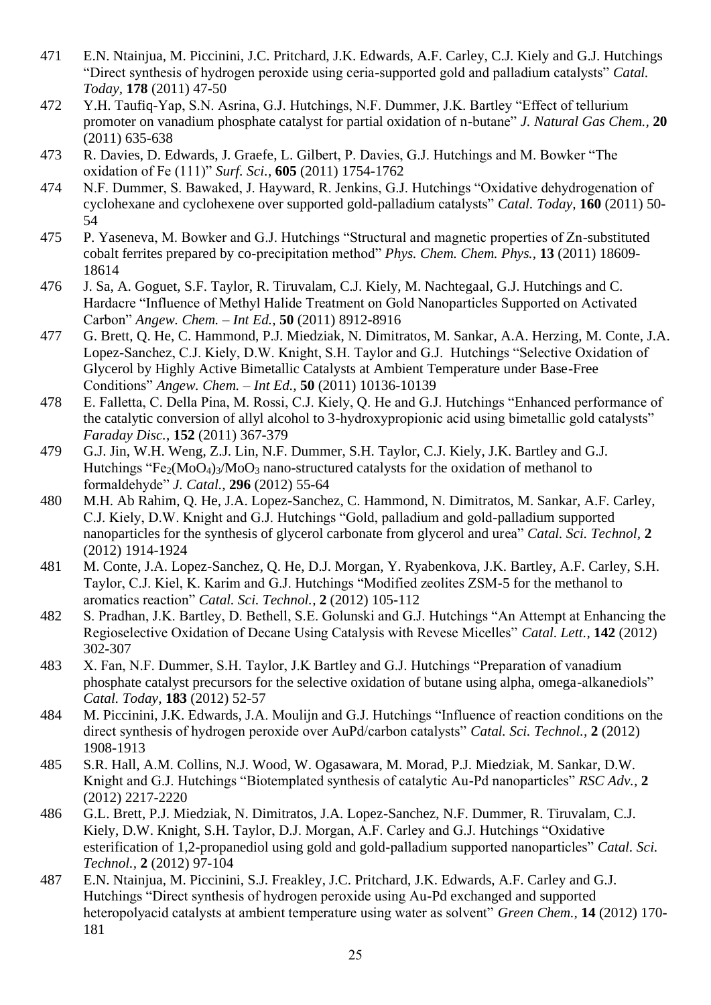- 471 E.N. Ntainjua, M. Piccinini, J.C. Pritchard, J.K. Edwards, A.F. Carley, C.J. Kiely and G.J. Hutchings "Direct synthesis of hydrogen peroxide using ceria-supported gold and palladium catalysts" *Catal. Today,* **178** (2011) 47-50
- 472 Y.H. Taufiq-Yap, S.N. Asrina, G.J. Hutchings, N.F. Dummer, J.K. Bartley "Effect of tellurium promoter on vanadium phosphate catalyst for partial oxidation of n-butane" *J. Natural Gas Chem.,* **20**  (2011) 635-638
- 473 R. Davies, D. Edwards, J. Graefe, L. Gilbert, P. Davies, G.J. Hutchings and M. Bowker "The oxidation of Fe (111)" *Surf. Sci.,* **605** (2011) 1754-1762
- 474 N.F. Dummer, S. Bawaked, J. Hayward, R. Jenkins, G.J. Hutchings "Oxidative dehydrogenation of cyclohexane and cyclohexene over supported gold-palladium catalysts" *Catal. Today,* **160** (2011) 50- 54
- 475 P. Yaseneva, M. Bowker and G.J. Hutchings "Structural and magnetic properties of Zn-substituted cobalt ferrites prepared by co-precipitation method" *Phys. Chem. Chem. Phys.,* **13** (2011) 18609- 18614
- 476 J. Sa, A. Goguet, S.F. Taylor, R. Tiruvalam, C.J. Kiely, M. Nachtegaal, G.J. Hutchings and C. Hardacre "Influence of Methyl Halide Treatment on Gold Nanoparticles Supported on Activated Carbon" *Angew. Chem. – Int Ed.,* **50** (2011) 8912-8916
- 477 G. Brett, Q. He, C. Hammond, P.J. Miedziak, N. Dimitratos, M. Sankar, A.A. Herzing, M. Conte, J.A. Lopez-Sanchez, C.J. Kiely, D.W. Knight, S.H. Taylor and G.J. Hutchings "Selective Oxidation of Glycerol by Highly Active Bimetallic Catalysts at Ambient Temperature under Base-Free Conditions" *Angew. Chem. – Int Ed.,* **50** (2011) 10136-10139
- 478 E. Falletta, C. Della Pina, M. Rossi, C.J. Kiely, Q. He and G.J. Hutchings "Enhanced performance of the catalytic conversion of allyl alcohol to 3-hydroxypropionic acid using bimetallic gold catalysts" *Faraday Disc.,* **152** (2011) 367-379
- 479 G.J. Jin, W.H. Weng, Z.J. Lin, N.F. Dummer, S.H. Taylor, C.J. Kiely, J.K. Bartley and G.J. Hutchings "Fe<sub>2</sub>(MoO<sub>4</sub>)<sub>3</sub>/MoO<sub>3</sub> nano-structured catalysts for the oxidation of methanol to formaldehyde" *J. Catal.,* **296** (2012) 55-64
- 480 M.H. Ab Rahim, Q. He, J.A. Lopez-Sanchez, C. Hammond, N. Dimitratos, M. Sankar, A.F. Carley, C.J. Kiely, D.W. Knight and G.J. Hutchings "Gold, palladium and gold-palladium supported nanoparticles for the synthesis of glycerol carbonate from glycerol and urea" *Catal. Sci. Technol,* **2** (2012) 1914-1924
- 481 M. Conte, J.A. Lopez-Sanchez, Q. He, D.J. Morgan, Y. Ryabenkova, J.K. Bartley, A.F. Carley, S.H. Taylor, C.J. Kiel, K. Karim and G.J. Hutchings "Modified zeolites ZSM-5 for the methanol to aromatics reaction" *Catal. Sci. Technol.,* **2** (2012) 105-112
- 482 S. Pradhan, J.K. Bartley, D. Bethell, S.E. Golunski and G.J. Hutchings "An Attempt at Enhancing the Regioselective Oxidation of Decane Using Catalysis with Revese Micelles" *Catal. Lett.,* **142** (2012) 302-307
- 483 X. Fan, N.F. Dummer, S.H. Taylor, J.K Bartley and G.J. Hutchings "Preparation of vanadium phosphate catalyst precursors for the selective oxidation of butane using alpha, omega-alkanediols" *Catal. Today,* **183** (2012) 52-57
- 484 M. Piccinini, J.K. Edwards, J.A. Moulijn and G.J. Hutchings "Influence of reaction conditions on the direct synthesis of hydrogen peroxide over AuPd/carbon catalysts" *Catal. Sci. Technol.,* **2** (2012) 1908-1913
- 485 S.R. Hall, A.M. Collins, N.J. Wood, W. Ogasawara, M. Morad, P.J. Miedziak, M. Sankar, D.W. Knight and G.J. Hutchings "Biotemplated synthesis of catalytic Au-Pd nanoparticles" *RSC Adv.,* **2** (2012) 2217-2220
- 486 G.L. Brett, P.J. Miedziak, N. Dimitratos, J.A. Lopez-Sanchez, N.F. Dummer, R. Tiruvalam, C.J. Kiely, D.W. Knight, S.H. Taylor, D.J. Morgan, A.F. Carley and G.J. Hutchings "Oxidative esterification of 1,2-propanediol using gold and gold-palladium supported nanoparticles" *Catal. Sci. Technol.,* **2** (2012) 97-104
- 487 E.N. Ntainjua, M. Piccinini, S.J. Freakley, J.C. Pritchard, J.K. Edwards, A.F. Carley and G.J. Hutchings "Direct synthesis of hydrogen peroxide using Au-Pd exchanged and supported heteropolyacid catalysts at ambient temperature using water as solvent" *Green Chem.,* **14** (2012) 170- 181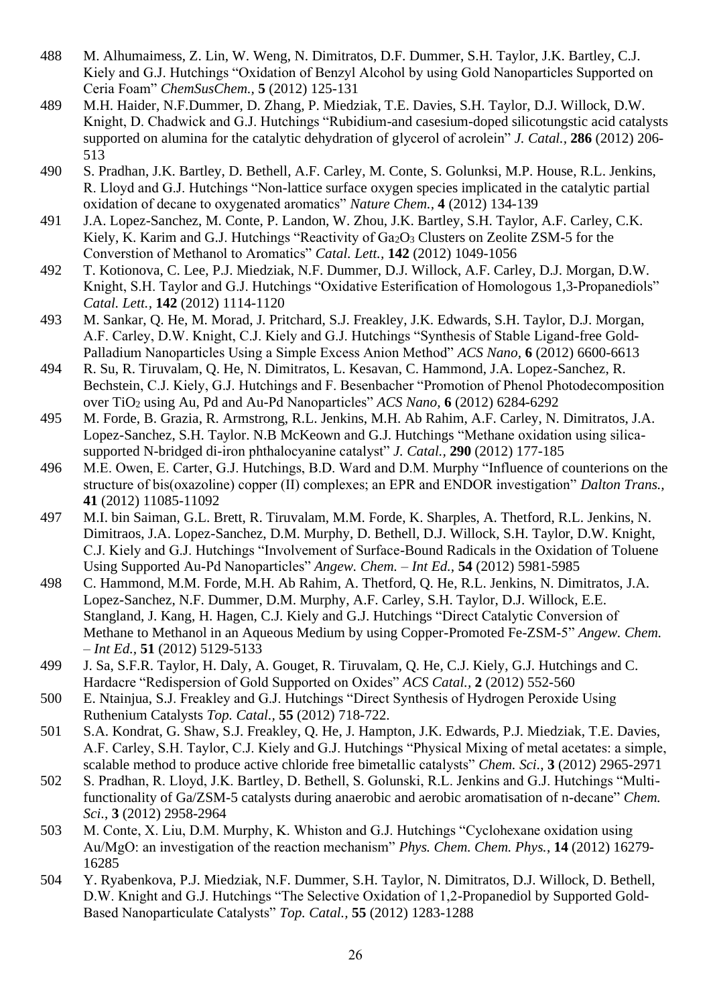- 488 M. Alhumaimess, Z. Lin, W. Weng, N. Dimitratos, D.F. Dummer, S.H. Taylor, J.K. Bartley, C.J. Kiely and G.J. Hutchings "Oxidation of Benzyl Alcohol by using Gold Nanoparticles Supported on Ceria Foam" *ChemSusChem.,* **5** (2012) 125-131
- 489 M.H. Haider, N.F.Dummer, D. Zhang, P. Miedziak, T.E. Davies, S.H. Taylor, D.J. Willock, D.W. Knight, D. Chadwick and G.J. Hutchings "Rubidium-and casesium-doped silicotungstic acid catalysts supported on alumina for the catalytic dehydration of glycerol of acrolein" *J. Catal.,* **286** (2012) 206- 513
- 490 S. Pradhan, J.K. Bartley, D. Bethell, A.F. Carley, M. Conte, S. Golunksi, M.P. House, R.L. Jenkins, R. Lloyd and G.J. Hutchings "Non-lattice surface oxygen species implicated in the catalytic partial oxidation of decane to oxygenated aromatics" *Nature Chem.,* **4** (2012) 134-139
- 491 J.A. Lopez-Sanchez, M. Conte, P. Landon, W. Zhou, J.K. Bartley, S.H. Taylor, A.F. Carley, C.K. Kiely, K. Karim and G.J. Hutchings "Reactivity of  $Ga<sub>2</sub>O<sub>3</sub>$  Clusters on Zeolite ZSM-5 for the Converstion of Methanol to Aromatics" *Catal. Lett.,* **142** (2012) 1049-1056
- 492 T. Kotionova, C. Lee, P.J. Miedziak, N.F. Dummer, D.J. Willock, A.F. Carley, D.J. Morgan, D.W. Knight, S.H. Taylor and G.J. Hutchings "Oxidative Esterification of Homologous 1,3-Propanediols" *Catal. Lett.,* **142** (2012) 1114-1120
- 493 M. Sankar, Q. He, M. Morad, J. Pritchard, S.J. Freakley, J.K. Edwards, S.H. Taylor, D.J. Morgan, A.F. Carley, D.W. Knight, C.J. Kiely and G.J. Hutchings "Synthesis of Stable Ligand-free Gold-Palladium Nanoparticles Using a Simple Excess Anion Method" *ACS Nano,* **6** (2012) 6600-6613
- 494 R. Su, R. Tiruvalam, Q. He, N. Dimitratos, L. Kesavan, C. Hammond, J.A. Lopez-Sanchez, R. Bechstein, C.J. Kiely, G.J. Hutchings and F. Besenbacher "Promotion of Phenol Photodecomposition over TiO<sup>2</sup> using Au, Pd and Au-Pd Nanoparticles" *ACS Nano,* **6** (2012) 6284-6292
- 495 M. Forde, B. Grazia, R. Armstrong, R.L. Jenkins, M.H. Ab Rahim, A.F. Carley, N. Dimitratos, J.A. Lopez-Sanchez, S.H. Taylor. N.B McKeown and G.J. Hutchings "Methane oxidation using silicasupported N-bridged di-iron phthalocyanine catalyst" *J. Catal.,* **290** (2012) 177-185
- 496 M.E. Owen, E. Carter, G.J. Hutchings, B.D. Ward and D.M. Murphy "Influence of counterions on the structure of bis(oxazoline) copper (II) complexes; an EPR and ENDOR investigation" *Dalton Trans.,*  **41** (2012) 11085-11092
- 497 M.I. bin Saiman, G.L. Brett, R. Tiruvalam, M.M. Forde, K. Sharples, A. Thetford, R.L. Jenkins, N. Dimitraos, J.A. Lopez-Sanchez, D.M. Murphy, D. Bethell, D.J. Willock, S.H. Taylor, D.W. Knight, C.J. Kiely and G.J. Hutchings "Involvement of Surface-Bound Radicals in the Oxidation of Toluene Using Supported Au-Pd Nanoparticles" *Angew. Chem. – Int Ed.,* **54** (2012) 5981-5985
- 498 C. Hammond, M.M. Forde, M.H. Ab Rahim, A. Thetford, Q. He, R.L. Jenkins, N. Dimitratos, J.A. Lopez-Sanchez, N.F. Dummer, D.M. Murphy, A.F. Carley, S.H. Taylor, D.J. Willock, E.E. Stangland, J. Kang, H. Hagen, C.J. Kiely and G.J. Hutchings "Direct Catalytic Conversion of Methane to Methanol in an Aqueous Medium by using Copper-Promoted Fe-ZSM-5" *Angew. Chem. – Int Ed.,* **51** (2012) 5129-5133
- 499 J. Sa, S.F.R. Taylor, H. Daly, A. Gouget, R. Tiruvalam, Q. He, C.J. Kiely, G.J. Hutchings and C. Hardacre "Redispersion of Gold Supported on Oxides" *ACS Catal.,* **2** (2012) 552-560
- 500 E. Ntainjua, S.J. Freakley and G.J. Hutchings "Direct Synthesis of Hydrogen Peroxide Using Ruthenium Catalysts *Top. Catal.,* **55** (2012) 718-722.
- 501 S.A. Kondrat, G. Shaw, S.J. Freakley, Q. He, J. Hampton, J.K. Edwards, P.J. Miedziak, T.E. Davies, A.F. Carley, S.H. Taylor, C.J. Kiely and G.J. Hutchings "Physical Mixing of metal acetates: a simple, scalable method to produce active chloride free bimetallic catalysts" *Chem. Sci.*, **3** (2012) 2965-2971
- 502 S. Pradhan, R. Lloyd, J.K. Bartley, D. Bethell, S. Golunski, R.L. Jenkins and G.J. Hutchings "Multifunctionality of Ga/ZSM-5 catalysts during anaerobic and aerobic aromatisation of n-decane" *Chem. Sci.*, **3** (2012) 2958-2964
- 503 M. Conte, X. Liu, D.M. Murphy, K. Whiston and G.J. Hutchings "Cyclohexane oxidation using Au/MgO: an investigation of the reaction mechanism" *Phys. Chem. Chem. Phys.*, **14** (2012) 16279- 16285
- 504 Y. Ryabenkova, P.J. Miedziak, N.F. Dummer, S.H. Taylor, N. Dimitratos, D.J. Willock, D. Bethell, D.W. Knight and G.J. Hutchings "The Selective Oxidation of 1,2-Propanediol by Supported Gold-Based Nanoparticulate Catalysts" *Top. Catal.,* **55** (2012) 1283-1288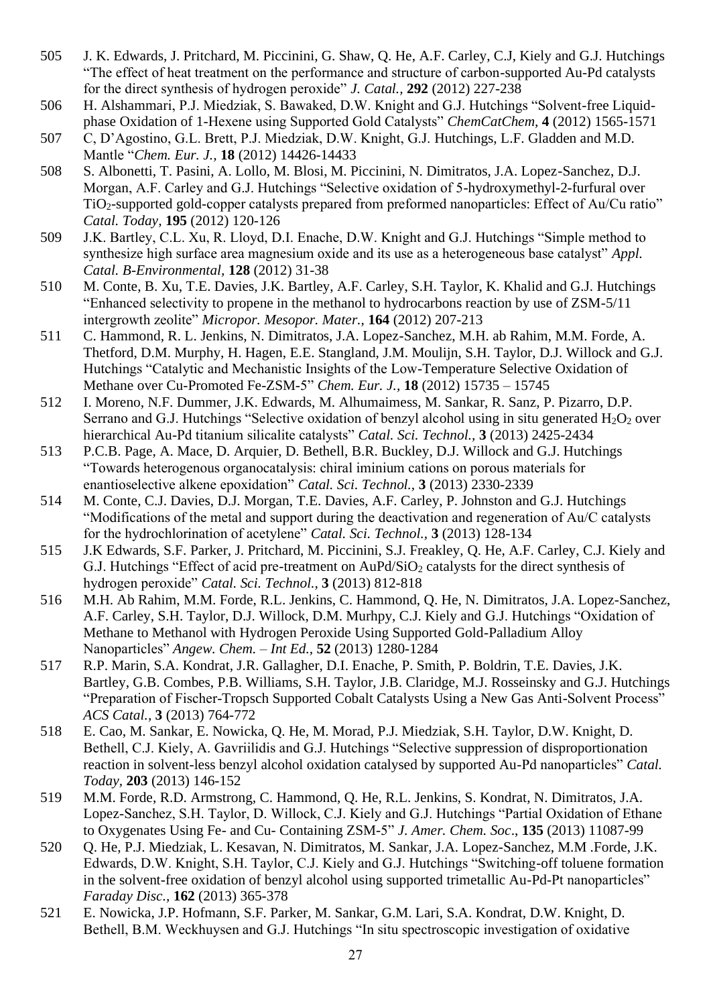- 505 J. K. Edwards, J. Pritchard, M. Piccinini, G. Shaw, Q. He, A.F. Carley, C.J, Kiely and G.J. Hutchings "The effect of heat treatment on the performance and structure of carbon-supported Au-Pd catalysts for the direct synthesis of hydrogen peroxide" *J. Catal.,* **292** (2012) 227-238
- 506 H. Alshammari, P.J. Miedziak, S. Bawaked, D.W. Knight and G.J. Hutchings "Solvent-free Liquidphase Oxidation of 1-Hexene using Supported Gold Catalysts" *ChemCatChem,* **4** (2012) 1565-1571
- 507 C, D'Agostino, G.L. Brett, P.J. Miedziak, D.W. Knight, G.J. Hutchings, L.F. Gladden and M.D. Mantle "*Chem. Eur. J.,* **18** (2012) 14426-14433
- 508 S. Albonetti, T. Pasini, A. Lollo, M. Blosi, M. Piccinini, N. Dimitratos, J.A. Lopez-Sanchez, D.J. Morgan, A.F. Carley and G.J. Hutchings "Selective oxidation of 5-hydroxymethyl-2-furfural over TiO2-supported gold-copper catalysts prepared from preformed nanoparticles: Effect of Au/Cu ratio" *Catal. Today,* **195** (2012) 120-126
- 509 J.K. Bartley, C.L. Xu, R. Lloyd, D.I. Enache, D.W. Knight and G.J. Hutchings "Simple method to synthesize high surface area magnesium oxide and its use as a heterogeneous base catalyst" *Appl. Catal. B-Environmental,* **128** (2012) 31-38
- 510 M. Conte, B. Xu, T.E. Davies, J.K. Bartley, A.F. Carley, S.H. Taylor, K. Khalid and G.J. Hutchings "Enhanced selectivity to propene in the methanol to hydrocarbons reaction by use of ZSM-5/11 intergrowth zeolite" *Micropor. Mesopor. Mater.,* **164** (2012) 207-213
- 511 C. Hammond, R. L. Jenkins, N. Dimitratos, J.A. Lopez-Sanchez, M.H. ab Rahim, M.M. Forde, A. Thetford, D.M. Murphy, H. Hagen, E.E. Stangland, J.M. Moulijn, S.H. Taylor, D.J. Willock and G.J. Hutchings "Catalytic and Mechanistic Insights of the Low-Temperature Selective Oxidation of Methane over Cu-Promoted Fe-ZSM-5" *Chem. Eur. J.,* **18** (2012) 15735 – 15745
- 512 I. Moreno, N.F. Dummer, J.K. Edwards, M. Alhumaimess, M. Sankar, R. Sanz, P. Pizarro, D.P. Serrano and G.J. Hutchings "Selective oxidation of benzyl alcohol using in situ generated  $H_2O_2$  over hierarchical Au-Pd titanium silicalite catalysts" *Catal. Sci. Technol.,* **3** (2013) 2425-2434
- 513 P.C.B. Page, A. Mace, D. Arquier, D. Bethell, B.R. Buckley, D.J. Willock and G.J. Hutchings "Towards heterogenous organocatalysis: chiral iminium cations on porous materials for enantioselective alkene epoxidation" *Catal. Sci. Technol.,* **3** (2013) 2330-2339
- 514 M. Conte, C.J. Davies, D.J. Morgan, T.E. Davies, A.F. Carley, P. Johnston and G.J. Hutchings "Modifications of the metal and support during the deactivation and regeneration of Au/C catalysts for the hydrochlorination of acetylene" *Catal. Sci. Technol.,* **3** (2013) 128-134
- 515 J.K Edwards, S.F. Parker, J. Pritchard, M. Piccinini, S.J. Freakley, Q. He, A.F. Carley, C.J. Kiely and G.J. Hutchings "Effect of acid pre-treatment on AuPd/SiO<sub>2</sub> catalysts for the direct synthesis of hydrogen peroxide" *Catal. Sci. Technol.,* **3** (2013) 812-818
- 516 M.H. Ab Rahim, M.M. Forde, R.L. Jenkins, C. Hammond, Q. He, N. Dimitratos, J.A. Lopez-Sanchez, A.F. Carley, S.H. Taylor, D.J. Willock, D.M. Murhpy, C.J. Kiely and G.J. Hutchings "Oxidation of Methane to Methanol with Hydrogen Peroxide Using Supported Gold-Palladium Alloy Nanoparticles" *Angew. Chem. – Int Ed.,* **52** (2013) 1280-1284
- 517 R.P. Marin, S.A. Kondrat, J.R. Gallagher, D.I. Enache, P. Smith, P. Boldrin, T.E. Davies, J.K. Bartley, G.B. Combes, P.B. Williams, S.H. Taylor, J.B. Claridge, M.J. Rosseinsky and G.J. Hutchings "Preparation of Fischer-Tropsch Supported Cobalt Catalysts Using a New Gas Anti-Solvent Process" *ACS Catal.,* **3** (2013) 764-772
- 518 E. Cao, M. Sankar, E. Nowicka, Q. He, M. Morad, P.J. Miedziak, S.H. Taylor, D.W. Knight, D. Bethell, C.J. Kiely, A. Gavriilidis and G.J. Hutchings "Selective suppression of disproportionation reaction in solvent-less benzyl alcohol oxidation catalysed by supported Au-Pd nanoparticles" *Catal. Today,* **203** (2013) 146-152
- 519 M.M. Forde, R.D. Armstrong, C. Hammond, Q. He, R.L. Jenkins, S. Kondrat, N. Dimitratos, J.A. Lopez-Sanchez, S.H. Taylor, D. Willock, C.J. Kiely and G.J. Hutchings "Partial Oxidation of Ethane to Oxygenates Using Fe- and Cu- Containing ZSM-5" *J. Amer. Chem. Soc*., **135** (2013) 11087-99
- 520 Q. He, P.J. Miedziak, L. Kesavan, N. Dimitratos, M. Sankar, J.A. Lopez-Sanchez, M.M .Forde, J.K. Edwards, D.W. Knight, S.H. Taylor, C.J. Kiely and G.J. Hutchings "Switching-off toluene formation in the solvent-free oxidation of benzyl alcohol using supported trimetallic Au-Pd-Pt nanoparticles" *Faraday Disc.,* **162** (2013) 365-378
- 521 E. Nowicka, J.P. Hofmann, S.F. Parker, M. Sankar, G.M. Lari, S.A. Kondrat, D.W. Knight, D. Bethell, B.M. Weckhuysen and G.J. Hutchings "In situ spectroscopic investigation of oxidative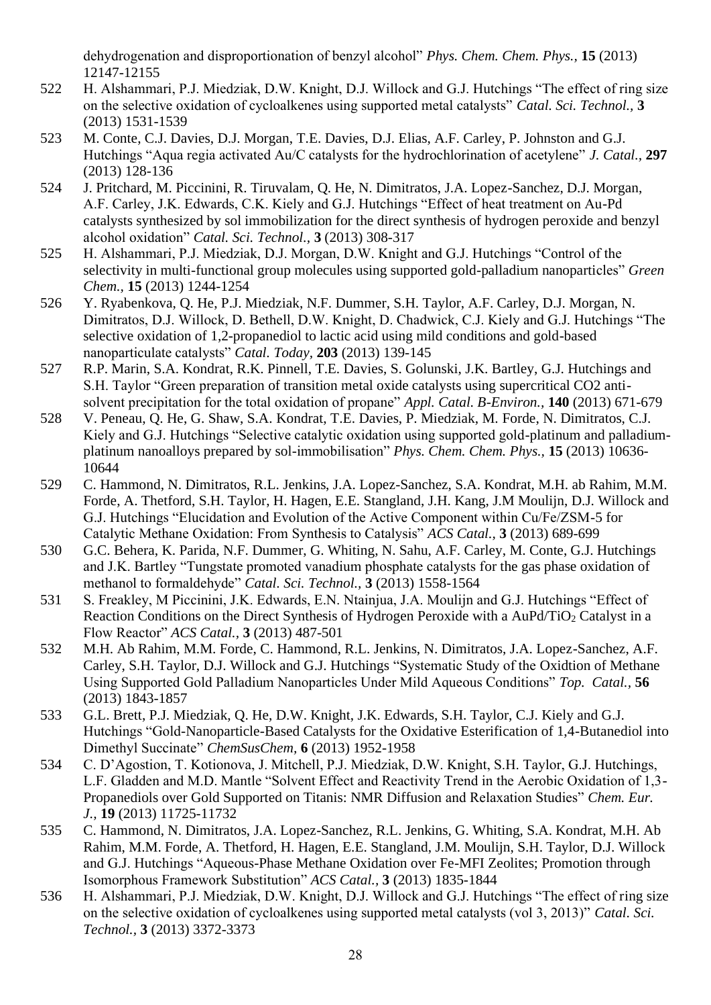dehydrogenation and disproportionation of benzyl alcohol" *Phys. Chem. Chem. Phys.,* **15** (2013) 12147-12155

- 522 H. Alshammari, P.J. Miedziak, D.W. Knight, D.J. Willock and G.J. Hutchings "The effect of ring size on the selective oxidation of cycloalkenes using supported metal catalysts" *Catal. Sci. Technol.,* **3** (2013) 1531-1539
- 523 M. Conte, C.J. Davies, D.J. Morgan, T.E. Davies, D.J. Elias, A.F. Carley, P. Johnston and G.J. Hutchings "Aqua regia activated Au/C catalysts for the hydrochlorination of acetylene" *J. Catal.,* **297** (2013) 128-136
- 524 J. Pritchard, M. Piccinini, R. Tiruvalam, Q. He, N. Dimitratos, J.A. Lopez-Sanchez, D.J. Morgan, A.F. Carley, J.K. Edwards, C.K. Kiely and G.J. Hutchings "Effect of heat treatment on Au-Pd catalysts synthesized by sol immobilization for the direct synthesis of hydrogen peroxide and benzyl alcohol oxidation" *Catal. Sci. Technol.,* **3** (2013) 308-317
- 525 H. Alshammari, P.J. Miedziak, D.J. Morgan, D.W. Knight and G.J. Hutchings "Control of the selectivity in multi-functional group molecules using supported gold-palladium nanoparticles" *Green Chem.,* **15** (2013) 1244-1254
- 526 Y. Ryabenkova, Q. He, P.J. Miedziak, N.F. Dummer, S.H. Taylor, A.F. Carley, D.J. Morgan, N. Dimitratos, D.J. Willock, D. Bethell, D.W. Knight, D. Chadwick, C.J. Kiely and G.J. Hutchings "The selective oxidation of 1,2-propanediol to lactic acid using mild conditions and gold-based nanoparticulate catalysts" *Catal. Today,* **203** (2013) 139-145
- 527 R.P. Marin, S.A. Kondrat, R.K. Pinnell, T.E. Davies, S. Golunski, J.K. Bartley, G.J. Hutchings and S.H. Taylor "Green preparation of transition metal oxide catalysts using supercritical CO2 antisolvent precipitation for the total oxidation of propane" *Appl. Catal. B-Environ.,* **140** (2013) 671-679
- 528 V. Peneau, Q. He, G. Shaw, S.A. Kondrat, T.E. Davies, P. Miedziak, M. Forde, N. Dimitratos, C.J. Kiely and G.J. Hutchings "Selective catalytic oxidation using supported gold-platinum and palladiumplatinum nanoalloys prepared by sol-immobilisation" *Phys. Chem. Chem. Phys.,* **15** (2013) 10636- 10644
- 529 C. Hammond, N. Dimitratos, R.L. Jenkins, J.A. Lopez-Sanchez, S.A. Kondrat, M.H. ab Rahim, M.M. Forde, A. Thetford, S.H. Taylor, H. Hagen, E.E. Stangland, J.H. Kang, J.M Moulijn, D.J. Willock and G.J. Hutchings "Elucidation and Evolution of the Active Component within Cu/Fe/ZSM-5 for Catalytic Methane Oxidation: From Synthesis to Catalysis" *ACS Catal.,* **3** (2013) 689-699
- 530 G.C. Behera, K. Parida, N.F. Dummer, G. Whiting, N. Sahu, A.F. Carley, M. Conte, G.J. Hutchings and J.K. Bartley "Tungstate promoted vanadium phosphate catalysts for the gas phase oxidation of methanol to formaldehyde" *Catal. Sci. Technol.,* **3** (2013) 1558-1564
- 531 S. Freakley, M Piccinini, J.K. Edwards, E.N. Ntainjua, J.A. Moulijn and G.J. Hutchings "Effect of Reaction Conditions on the Direct Synthesis of Hydrogen Peroxide with a AuPd/TiO<sub>2</sub> Catalyst in a Flow Reactor" *ACS Catal.,* **3** (2013) 487-501
- 532 M.H. Ab Rahim, M.M. Forde, C. Hammond, R.L. Jenkins, N. Dimitratos, J.A. Lopez-Sanchez, A.F. Carley, S.H. Taylor, D.J. Willock and G.J. Hutchings "Systematic Study of the Oxidtion of Methane Using Supported Gold Palladium Nanoparticles Under Mild Aqueous Conditions" *Top. Catal.,* **56** (2013) 1843-1857
- 533 G.L. Brett, P.J. Miedziak, Q. He, D.W. Knight, J.K. Edwards, S.H. Taylor, C.J. Kiely and G.J. Hutchings "Gold-Nanoparticle-Based Catalysts for the Oxidative Esterification of 1,4-Butanediol into Dimethyl Succinate" *ChemSusChem,* **6** (2013) 1952-1958
- 534 C. D'Agostion, T. Kotionova, J. Mitchell, P.J. Miedziak, D.W. Knight, S.H. Taylor, G.J. Hutchings, L.F. Gladden and M.D. Mantle "Solvent Effect and Reactivity Trend in the Aerobic Oxidation of 1,3- Propanediols over Gold Supported on Titanis: NMR Diffusion and Relaxation Studies" *Chem. Eur. J.,* **19** (2013) 11725-11732
- 535 C. Hammond, N. Dimitratos, J.A. Lopez-Sanchez, R.L. Jenkins, G. Whiting, S.A. Kondrat, M.H. Ab Rahim, M.M. Forde, A. Thetford, H. Hagen, E.E. Stangland, J.M. Moulijn, S.H. Taylor, D.J. Willock and G.J. Hutchings "Aqueous-Phase Methane Oxidation over Fe-MFI Zeolites; Promotion through Isomorphous Framework Substitution" *ACS Catal.,* **3** (2013) 1835-1844
- 536 H. Alshammari, P.J. Miedziak, D.W. Knight, D.J. Willock and G.J. Hutchings "The effect of ring size on the selective oxidation of cycloalkenes using supported metal catalysts (vol 3, 2013)" *Catal. Sci. Technol.,* **3** (2013) 3372-3373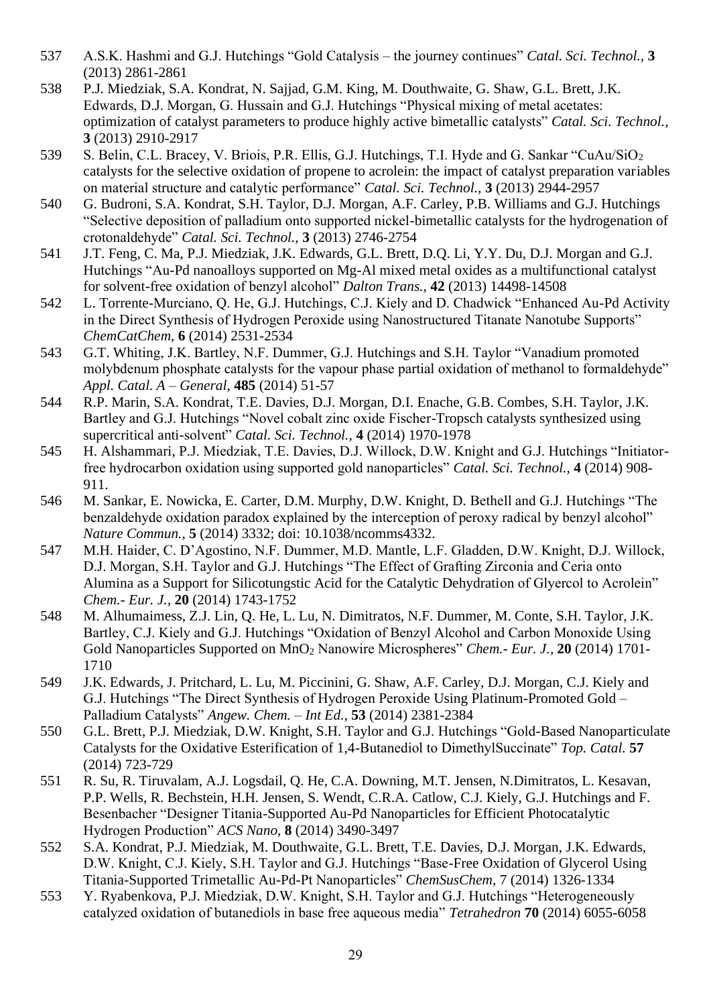- 537 A.S.K. Hashmi and G.J. Hutchings "Gold Catalysis the journey continues" *Catal. Sci. Technol.,* **3** (2013) 2861-2861
- 538 P.J. Miedziak, S.A. Kondrat, N. Sajjad, G.M. King, M. Douthwaite, G. Shaw, G.L. Brett, J.K. Edwards, D.J. Morgan, G. Hussain and G.J. Hutchings "Physical mixing of metal acetates: optimization of catalyst parameters to produce highly active bimetallic catalysts" *Catal. Sci. Technol.,*  **3** (2013) 2910-2917
- 539 S. Belin, C.L. Bracey, V. Briois, P.R. Ellis, G.J. Hutchings, T.I. Hyde and G. Sankar "CuAu/SiO<sub>2</sub> catalysts for the selective oxidation of propene to acrolein: the impact of catalyst preparation variables on material structure and catalytic performance" *Catal. Sci. Technol.,* **3** (2013) 2944-2957
- 540 G. Budroni, S.A. Kondrat, S.H. Taylor, D.J. Morgan, A.F. Carley, P.B. Williams and G.J. Hutchings "Selective deposition of palladium onto supported nickel-bimetallic catalysts for the hydrogenation of crotonaldehyde" *Catal. Sci. Technol.,* **3** (2013) 2746-2754
- 541 J.T. Feng, C. Ma, P.J. Miedziak, J.K. Edwards, G.L. Brett, D.Q. Li, Y.Y. Du, D.J. Morgan and G.J. Hutchings "Au-Pd nanoalloys supported on Mg-Al mixed metal oxides as a multifunctional catalyst for solvent-free oxidation of benzyl alcohol" *Dalton Trans.*, **42** (2013) 14498-14508
- 542 L. Torrente-Murciano, Q. He, G.J. Hutchings, C.J. Kiely and D. Chadwick "Enhanced Au-Pd Activity in the Direct Synthesis of Hydrogen Peroxide using Nanostructured Titanate Nanotube Supports" *ChemCatChem,* **6** (2014) 2531-2534
- 543 G.T. Whiting, J.K. Bartley, N.F. Dummer, G.J. Hutchings and S.H. Taylor "Vanadium promoted molybdenum phosphate catalysts for the vapour phase partial oxidation of methanol to formaldehyde" *Appl. Catal. A – General*, **485** (2014) 51-57
- 544 R.P. Marin, S.A. Kondrat, T.E. Davies, D.J. Morgan, D.I. Enache, G.B. Combes, S.H. Taylor, J.K. Bartley and G.J. Hutchings "Novel cobalt zinc oxide Fischer-Tropsch catalysts synthesized using supercritical anti-solvent" *Catal. Sci. Technol.,* **4** (2014) 1970-1978
- 545 H. Alshammari, P.J. Miedziak, T.E. Davies, D.J. Willock, D.W. Knight and G.J. Hutchings "Initiatorfree hydrocarbon oxidation using supported gold nanoparticles" *Catal. Sci. Technol.,* **4** (2014) 908- 911.
- 546 M. Sankar, E. Nowicka, E. Carter, D.M. Murphy, D.W. Knight, D. Bethell and G.J. Hutchings "The benzaldehyde oxidation paradox explained by the interception of peroxy radical by benzyl alcohol" *Nature Commun.,* **5** (2014) 3332; doi: 10.1038/ncomms4332.
- 547 M.H. Haider, C. D'Agostino, N.F. Dummer, M.D. Mantle, L.F. Gladden, D.W. Knight, D.J. Willock, D.J. Morgan, S.H. Taylor and G.J. Hutchings "The Effect of Grafting Zirconia and Ceria onto Alumina as a Support for Silicotungstic Acid for the Catalytic Dehydration of Glyercol to Acrolein" *Chem.- Eur. J.,* **20** (2014) 1743-1752
- 548 M. Alhumaimess, Z.J. Lin, Q. He, L. Lu, N. Dimitratos, N.F. Dummer, M. Conte, S.H. Taylor, J.K. Bartley, C.J. Kiely and G.J. Hutchings "Oxidation of Benzyl Alcohol and Carbon Monoxide Using Gold Nanoparticles Supported on MnO<sup>2</sup> Nanowire Microspheres" *Chem.- Eur. J.,* **20** (2014) 1701- 1710
- 549 J.K. Edwards, J. Pritchard, L. Lu, M. Piccinini, G. Shaw, A.F. Carley, D.J. Morgan, C.J. Kiely and G.J. Hutchings "The Direct Synthesis of Hydrogen Peroxide Using Platinum-Promoted Gold – Palladium Catalysts" *Angew. Chem. – Int Ed.,* **53** (2014) 2381-2384
- 550 G.L. Brett, P.J. Miedziak, D.W. Knight, S.H. Taylor and G.J. Hutchings "Gold-Based Nanoparticulate Catalysts for the Oxidative Esterification of 1,4-Butanediol to DimethylSuccinate" *Top. Catal.* **57** (2014) 723-729
- 551 R. Su, R. Tiruvalam, A.J. Logsdail, Q. He, C.A. Downing, M.T. Jensen, N.Dimitratos, L. Kesavan, P.P. Wells, R. Bechstein, H.H. Jensen, S. Wendt, C.R.A. Catlow, C.J. Kiely, G.J. Hutchings and F. Besenbacher "Designer Titania-Supported Au-Pd Nanoparticles for Efficient Photocatalytic Hydrogen Production" *ACS Nano,* **8** (2014) 3490-3497
- 552 S.A. Kondrat, P.J. Miedziak, M. Douthwaite, G.L. Brett, T.E. Davies, D.J. Morgan, J.K. Edwards, D.W. Knight, C.J. Kiely, S.H. Taylor and G.J. Hutchings "Base-Free Oxidation of Glycerol Using Titania-Supported Trimetallic Au-Pd-Pt Nanoparticles" *ChemSusChem,* 7 (2014) 1326-1334
- 553 Y. Ryabenkova, P.J. Miedziak, D.W. Knight, S.H. Taylor and G.J. Hutchings "Heterogeneously catalyzed oxidation of butanediols in base free aqueous media" *Tetrahedron* **70** (2014) 6055-6058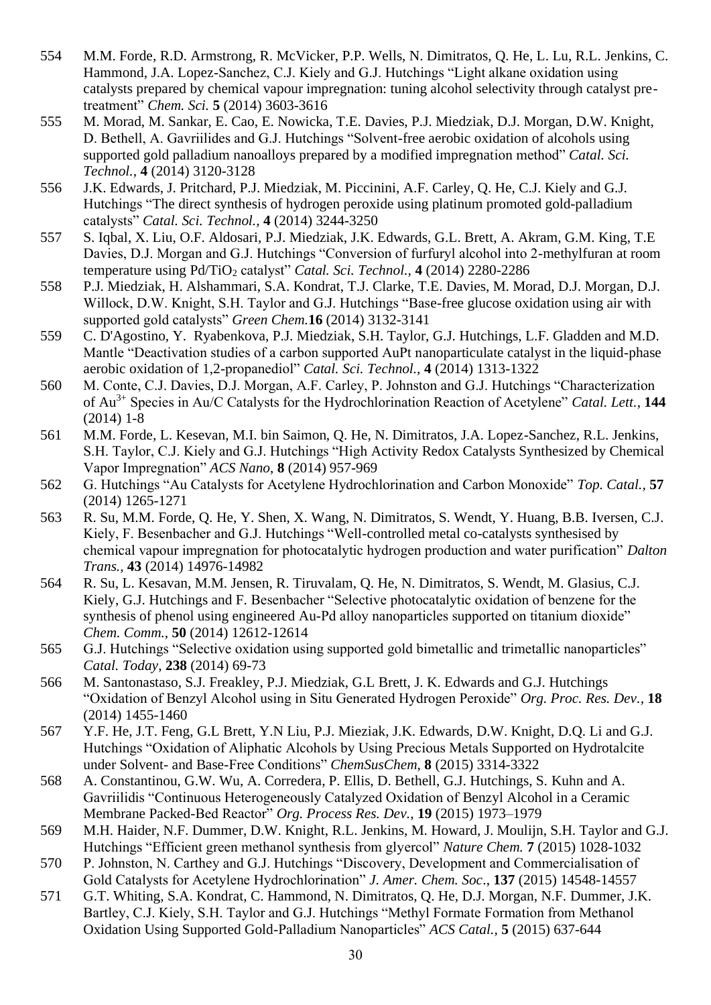- 554 M.M. Forde, R.D. Armstrong, R. McVicker, P.P. Wells, N. Dimitratos, Q. He, L. Lu, R.L. Jenkins, C. Hammond, J.A. Lopez-Sanchez, C.J. Kiely and G.J. Hutchings "Light alkane oxidation using catalysts prepared by chemical vapour impregnation: tuning alcohol selectivity through catalyst pretreatment" *Chem. Sci.* **5** (2014) 3603-3616
- 555 M. Morad, M. Sankar, E. Cao, E. Nowicka, T.E. Davies, P.J. Miedziak, D.J. Morgan, D.W. Knight, D. Bethell, A. Gavriilides and G.J. Hutchings "Solvent-free aerobic oxidation of alcohols using supported gold palladium nanoalloys prepared by a modified impregnation method" *Catal. Sci. Technol.,* **4** (2014) 3120-3128
- 556 J.K. Edwards, J. Pritchard, P.J. Miedziak, M. Piccinini, A.F. Carley, Q. He, C.J. Kiely and G.J. Hutchings "The direct synthesis of hydrogen peroxide using platinum promoted gold-palladium catalysts" *Catal. Sci. Technol.,* **4** (2014) 3244-3250
- 557 S. Iqbal, X. Liu, O.F. Aldosari, P.J. Miedziak, J.K. Edwards, G.L. Brett, A. Akram, G.M. King, T.E Davies, D.J. Morgan and G.J. Hutchings "Conversion of furfuryl alcohol into 2-methylfuran at room temperature using Pd/TiO<sub>2</sub> catalyst" *Catal. Sci. Technol.*, 4 (2014) 2280-2286
- 558 P.J. Miedziak, H. Alshammari, S.A. Kondrat, T.J. Clarke, T.E. Davies, M. Morad, D.J. Morgan, D.J. Willock, D.W. Knight, S.H. Taylor and G.J. Hutchings "Base-free glucose oxidation using air with supported gold catalysts" *Green Chem.***16** (2014) 3132-3141
- 559 C. D'Agostino, Y. Ryabenkova, P.J. Miedziak, S.H. Taylor, G.J. Hutchings, L.F. Gladden and M.D. Mantle "Deactivation studies of a carbon supported AuPt nanoparticulate catalyst in the liquid-phase aerobic oxidation of 1,2-propanediol" *Catal. Sci. Technol.,* **4** (2014) 1313-1322
- 560 M. Conte, C.J. Davies, D.J. Morgan, A.F. Carley, P. Johnston and G.J. Hutchings "Characterization of Au3+ Species in Au/C Catalysts for the Hydrochlorination Reaction of Acetylene" *Catal. Lett.*, **144**   $(2014)$  1-8
- 561 M.M. Forde, L. Kesevan, M.I. bin Saimon, Q. He, N. Dimitratos, J.A. Lopez-Sanchez, R.L. Jenkins, S.H. Taylor, C.J. Kiely and G.J. Hutchings "High Activity Redox Catalysts Synthesized by Chemical Vapor Impregnation" *ACS Nano*, **8** (2014) 957-969
- 562 G. Hutchings "Au Catalysts for Acetylene Hydrochlorination and Carbon Monoxide" *Top. Catal.,* **57** (2014) 1265-1271
- 563 R. Su, M.M. Forde, Q. He, Y. Shen, X. Wang, N. Dimitratos, S. Wendt, Y. Huang, B.B. Iversen, C.J. Kiely, F. Besenbacher and G.J. Hutchings "Well-controlled metal co-catalysts synthesised by chemical vapour impregnation for photocatalytic hydrogen production and water purification" *Dalton Trans.,* **43** (2014) 14976-14982
- 564 R. Su, L. Kesavan, M.M. Jensen, R. Tiruvalam, Q. He, N. Dimitratos, S. Wendt, M. Glasius, C.J. Kiely, G.J. Hutchings and F. Besenbacher "Selective photocatalytic oxidation of benzene for the synthesis of phenol using engineered Au-Pd alloy nanoparticles supported on titanium dioxide" *Chem. Comm.,* **50** (2014) 12612-12614
- 565 G.J. Hutchings "Selective oxidation using supported gold bimetallic and trimetallic nanoparticles" *Catal. Today*, **238** (2014) 69-73
- 566 M. Santonastaso, S.J. Freakley, P.J. Miedziak, G.L Brett, J. K. Edwards and G.J. Hutchings "Oxidation of Benzyl Alcohol using in Situ Generated Hydrogen Peroxide" *Org. Proc. Res. Dev.,* **18** (2014) 1455-1460
- 567 Y.F. He, J.T. Feng, G.L Brett, Y.N Liu, P.J. Mieziak, J.K. Edwards, D.W. Knight, D.Q. Li and G.J. Hutchings "Oxidation of Aliphatic Alcohols by Using Precious Metals Supported on Hydrotalcite under Solvent- and Base-Free Conditions" *ChemSusChem,* **8** (2015) 3314-3322
- 568 A. Constantinou, G.W. Wu, A. Corredera, P. Ellis, D. Bethell, G.J. Hutchings, S. Kuhn and A. Gavriilidis "Continuous Heterogeneously Catalyzed Oxidation of Benzyl Alcohol in a Ceramic Membrane Packed-Bed Reactor" *Org. Process Res. Dev.*, **19** (2015) 1973–1979
- 569 M.H. Haider, N.F. Dummer, D.W. Knight, R.L. Jenkins, M. Howard, J. Moulijn, S.H. Taylor and G.J. Hutchings "Efficient green methanol synthesis from glyercol" *Nature Chem.* **7** (2015) 1028-1032
- 570 P. Johnston, N. Carthey and G.J. Hutchings "Discovery, Development and Commercialisation of Gold Catalysts for Acetylene Hydrochlorination" *J. Amer. Chem. Soc*., **137** (2015) 14548-14557
- 571 G.T. Whiting, S.A. Kondrat, C. Hammond, N. Dimitratos, Q. He, D.J. Morgan, N.F. Dummer, J.K. Bartley, C.J. Kiely, S.H. Taylor and G.J. Hutchings "Methyl Formate Formation from Methanol Oxidation Using Supported Gold-Palladium Nanoparticles" *ACS Catal.,* **5** (2015) 637-644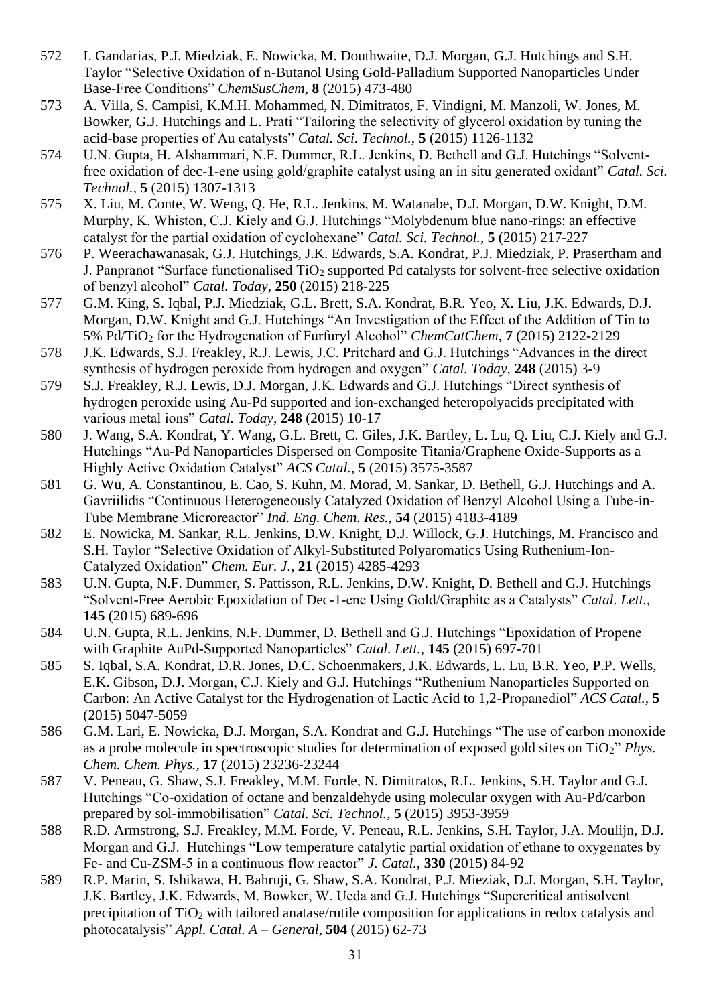- 572 I. Gandarias, P.J. Miedziak, E. Nowicka, M. Douthwaite, D.J. Morgan, G.J. Hutchings and S.H. Taylor "Selective Oxidation of n-Butanol Using Gold-Palladium Supported Nanoparticles Under Base-Free Conditions" *ChemSusChem,* **8** (2015) 473-480
- 573 A. Villa, S. Campisi, K.M.H. Mohammed, N. Dimitratos, F. Vindigni, M. Manzoli, W. Jones, M. Bowker, G.J. Hutchings and L. Prati "Tailoring the selectivity of glycerol oxidation by tuning the acid-base properties of Au catalysts" *Catal. Sci. Technol.,* **5** (2015) 1126-1132
- 574 U.N. Gupta, H. Alshammari, N.F. Dummer, R.L. Jenkins, D. Bethell and G.J. Hutchings "Solventfree oxidation of dec-1-ene using gold/graphite catalyst using an in situ generated oxidant" *Catal. Sci. Technol.,* **5** (2015) 1307-1313
- 575 X. Liu, M. Conte, W. Weng, Q. He, R.L. Jenkins, M. Watanabe, D.J. Morgan, D.W. Knight, D.M. Murphy, K. Whiston, C.J. Kiely and G.J. Hutchings "Molybdenum blue nano-rings: an effective catalyst for the partial oxidation of cyclohexane" *Catal. Sci. Technol.,* **5** (2015) 217-227
- 576 P. Weerachawanasak, G.J. Hutchings, J.K. Edwards, S.A. Kondrat, P.J. Miedziak, P. Prasertham and J. Panpranot "Surface functionalised  $TiO<sub>2</sub>$  supported Pd catalysts for solvent-free selective oxidation of benzyl alcohol" *Catal. Today,* **250** (2015) 218-225
- 577 G.M. King, S. Iqbal, P.J. Miedziak, G.L. Brett, S.A. Kondrat, B.R. Yeo, X. Liu, J.K. Edwards, D.J. Morgan, D.W. Knight and G.J. Hutchings "An Investigation of the Effect of the Addition of Tin to 5% Pd/TiO<sup>2</sup> for the Hydrogenation of Furfuryl Alcohol" *ChemCatChem,* **7** (2015) 2122-2129
- 578 J.K. Edwards, S.J. Freakley, R.J. Lewis, J.C. Pritchard and G.J. Hutchings "Advances in the direct synthesis of hydrogen peroxide from hydrogen and oxygen" *Catal. Today,* **248** (2015) 3-9
- 579 S.J. Freakley, R.J. Lewis, D.J. Morgan, J.K. Edwards and G.J. Hutchings "Direct synthesis of hydrogen peroxide using Au-Pd supported and ion-exchanged heteropolyacids precipitated with various metal ions" *Catal. Today,* **248** (2015) 10-17
- 580 J. Wang, S.A. Kondrat, Y. Wang, G.L. Brett, C. Giles, J.K. Bartley, L. Lu, Q. Liu, C.J. Kiely and G.J. Hutchings "Au-Pd Nanoparticles Dispersed on Composite Titania/Graphene Oxide-Supports as a Highly Active Oxidation Catalyst" *ACS Catal.,* **5** (2015) 3575-3587
- 581 G. Wu, A. Constantinou, E. Cao, S. Kuhn, M. Morad, M. Sankar, D. Bethell, G.J. Hutchings and A. Gavriilidis "Continuous Heterogeneously Catalyzed Oxidation of Benzyl Alcohol Using a Tube-in-Tube Membrane Microreactor" *Ind. Eng. Chem. Res.,* **54** (2015) 4183-4189
- 582 E. Nowicka, M. Sankar, R.L. Jenkins, D.W. Knight, D.J. Willock, G.J. Hutchings, M. Francisco and S.H. Taylor "Selective Oxidation of Alkyl-Substituted Polyaromatics Using Ruthenium-Ion-Catalyzed Oxidation" *Chem. Eur. J.,* **21** (2015) 4285-4293
- 583 U.N. Gupta, N.F. Dummer, S. Pattisson, R.L. Jenkins, D.W. Knight, D. Bethell and G.J. Hutchings "Solvent-Free Aerobic Epoxidation of Dec-1-ene Using Gold/Graphite as a Catalysts" *Catal. Lett.,*  **145** (2015) 689-696
- 584 U.N. Gupta, R.L. Jenkins, N.F. Dummer, D. Bethell and G.J. Hutchings "Epoxidation of Propene with Graphite AuPd-Supported Nanoparticles" *Catal. Lett.,* **145** (2015) 697-701
- 585 S. Iqbal, S.A. Kondrat, D.R. Jones, D.C. Schoenmakers, J.K. Edwards, L. Lu, B.R. Yeo, P.P. Wells, E.K. Gibson, D.J. Morgan, C.J. Kiely and G.J. Hutchings "Ruthenium Nanoparticles Supported on Carbon: An Active Catalyst for the Hydrogenation of Lactic Acid to 1,2-Propanediol" *ACS Catal.,* **5** (2015) 5047-5059
- 586 G.M. Lari, E. Nowicka, D.J. Morgan, S.A. Kondrat and G.J. Hutchings "The use of carbon monoxide as a probe molecule in spectroscopic studies for determination of exposed gold sites on TiO2" *Phys. Chem. Chem. Phys.,* **17** (2015) 23236-23244
- 587 V. Peneau, G. Shaw, S.J. Freakley, M.M. Forde, N. Dimitratos, R.L. Jenkins, S.H. Taylor and G.J. Hutchings "Co-oxidation of octane and benzaldehyde using molecular oxygen with Au-Pd/carbon prepared by sol-immobilisation" *Catal. Sci. Technol.,* **5** (2015) 3953-3959
- 588 R.D. Armstrong, S.J. Freakley, M.M. Forde, V. Peneau, R.L. Jenkins, S.H. Taylor, J.A. Moulijn, D.J. Morgan and G.J. Hutchings "Low temperature catalytic partial oxidation of ethane to oxygenates by Fe- and Cu-ZSM-5 in a continuous flow reactor" *J. Catal.,* **330** (2015) 84-92
- 589 R.P. Marin, S. Ishikawa, H. Bahruji, G. Shaw, S.A. Kondrat, P.J. Mieziak, D.J. Morgan, S.H. Taylor, J.K. Bartley, J.K. Edwards, M. Bowker, W. Ueda and G.J. Hutchings "Supercritical antisolvent precipitation of TiO<sup>2</sup> with tailored anatase/rutile composition for applications in redox catalysis and photocatalysis" *Appl. Catal. A – General*, **504** (2015) 62-73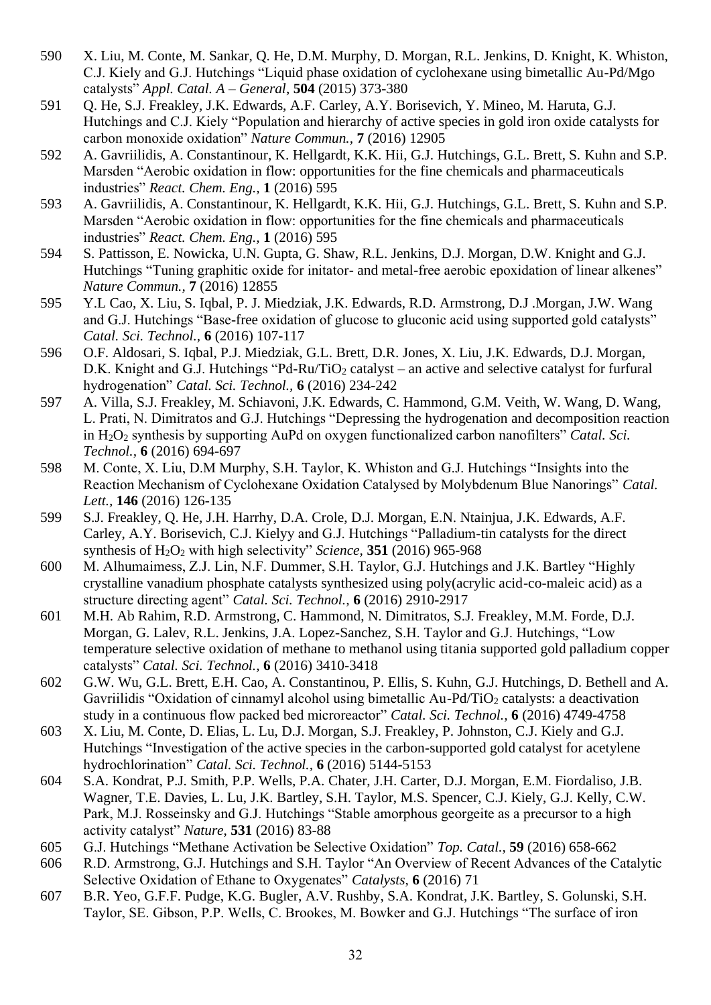- 590 X. Liu, M. Conte, M. Sankar, Q. He, D.M. Murphy, D. Morgan, R.L. Jenkins, D. Knight, K. Whiston, C.J. Kiely and G.J. Hutchings "Liquid phase oxidation of cyclohexane using bimetallic Au-Pd/Mgo catalysts" *Appl. Catal. A – General*, **504** (2015) 373-380
- 591 Q. He, S.J. Freakley, J.K. Edwards, A.F. Carley, A.Y. Borisevich, Y. Mineo, M. Haruta, G.J. Hutchings and C.J. Kiely "Population and hierarchy of active species in gold iron oxide catalysts for carbon monoxide oxidation" *Nature Commun.,* **7** (2016) 12905
- 592 A. Gavriilidis, A. Constantinour, K. Hellgardt, K.K. Hii, G.J. Hutchings, G.L. Brett, S. Kuhn and S.P. Marsden "Aerobic oxidation in flow: opportunities for the fine chemicals and pharmaceuticals industries" *React. Chem. Eng.,* **1** (2016) 595
- 593 A. Gavriilidis, A. Constantinour, K. Hellgardt, K.K. Hii, G.J. Hutchings, G.L. Brett, S. Kuhn and S.P. Marsden "Aerobic oxidation in flow: opportunities for the fine chemicals and pharmaceuticals industries" *React. Chem. Eng.,* **1** (2016) 595
- 594 S. Pattisson, E. Nowicka, U.N. Gupta, G. Shaw, R.L. Jenkins, D.J. Morgan, D.W. Knight and G.J. Hutchings "Tuning graphitic oxide for initator- and metal-free aerobic epoxidation of linear alkenes" *Nature Commun.,* **7** (2016) 12855
- 595 Y.L Cao, X. Liu, S. Iqbal, P. J. Miedziak, J.K. Edwards, R.D. Armstrong, D.J .Morgan, J.W. Wang and G.J. Hutchings "Base-free oxidation of glucose to gluconic acid using supported gold catalysts" *Catal. Sci. Technol.,* **6** (2016) 107-117
- 596 O.F. Aldosari, S. Iqbal, P.J. Miedziak, G.L. Brett, D.R. Jones, X. Liu, J.K. Edwards, D.J. Morgan, D.K. Knight and G.J. Hutchings "Pd-Ru/TiO<sub>2</sub> catalyst – an active and selective catalyst for furfural hydrogenation" *Catal. Sci. Technol.,* **6** (2016) 234-242
- 597 A. Villa, S.J. Freakley, M. Schiavoni, J.K. Edwards, C. Hammond, G.M. Veith, W. Wang, D. Wang, L. Prati, N. Dimitratos and G.J. Hutchings "Depressing the hydrogenation and decomposition reaction in H2O<sup>2</sup> synthesis by supporting AuPd on oxygen functionalized carbon nanofilters" *Catal. Sci. Technol.,* **6** (2016) 694-697
- 598 M. Conte, X. Liu, D.M Murphy, S.H. Taylor, K. Whiston and G.J. Hutchings "Insights into the Reaction Mechanism of Cyclohexane Oxidation Catalysed by Molybdenum Blue Nanorings" *Catal. Lett.,* **146** (2016) 126-135
- 599 S.J. Freakley, Q. He, J.H. Harrhy, D.A. Crole, D.J. Morgan, E.N. Ntainjua, J.K. Edwards, A.F. Carley, A.Y. Borisevich, C.J. Kielyy and G.J. Hutchings "Palladium-tin catalysts for the direct synthesis of H2O<sup>2</sup> with high selectivity" *Science,* **351** (2016) 965-968
- 600 M. Alhumaimess, Z.J. Lin, N.F. Dummer, S.H. Taylor, G.J. Hutchings and J.K. Bartley "Highly crystalline vanadium phosphate catalysts synthesized using poly(acrylic acid-co-maleic acid) as a structure directing agent" *Catal. Sci. Technol.,* **6** (2016) 2910-2917
- 601 M.H. Ab Rahim, R.D. Armstrong, C. Hammond, N. Dimitratos, S.J. Freakley, M.M. Forde, D.J. Morgan, G. Lalev, R.L. Jenkins, J.A. Lopez-Sanchez, S.H. Taylor and G.J. Hutchings, "Low temperature selective oxidation of methane to methanol using titania supported gold palladium copper catalysts" *Catal. Sci. Technol.,* **6** (2016) 3410-3418
- 602 G.W. Wu, G.L. Brett, E.H. Cao, A. Constantinou, P. Ellis, S. Kuhn, G.J. Hutchings, D. Bethell and A. Gavriilidis "Oxidation of cinnamyl alcohol using bimetallic Au-Pd/TiO<sub>2</sub> catalysts: a deactivation study in a continuous flow packed bed microreactor" *Catal. Sci. Technol.,* **6** (2016) 4749-4758
- 603 X. Liu, M. Conte, D. Elias, L. Lu, D.J. Morgan, S.J. Freakley, P. Johnston, C.J. Kiely and G.J. Hutchings "Investigation of the active species in the carbon-supported gold catalyst for acetylene hydrochlorination" *Catal. Sci. Technol.,* **6** (2016) 5144-5153
- 604 S.A. Kondrat, P.J. Smith, P.P. Wells, P.A. Chater, J.H. Carter, D.J. Morgan, E.M. Fiordaliso, J.B. Wagner, T.E. Davies, L. Lu, J.K. Bartley, S.H. Taylor, M.S. Spencer, C.J. Kiely, G.J. Kelly, C.W. Park, M.J. Rosseinsky and G.J. Hutchings "Stable amorphous georgeite as a precursor to a high activity catalyst" *Nature*, **531** (2016) 83-88
- 605 G.J. Hutchings "Methane Activation be Selective Oxidation" *Top. Catal.,* **59** (2016) 658-662
- 606 R.D. Armstrong, G.J. Hutchings and S.H. Taylor "An Overview of Recent Advances of the Catalytic Selective Oxidation of Ethane to Oxygenates" *Catalysts*, **6** (2016) 71
- 607 B.R. Yeo, G.F.F. Pudge, K.G. Bugler, A.V. Rushby, S.A. Kondrat, J.K. Bartley, S. Golunski, S.H. Taylor, SE. Gibson, P.P. Wells, C. Brookes, M. Bowker and G.J. Hutchings "The surface of iron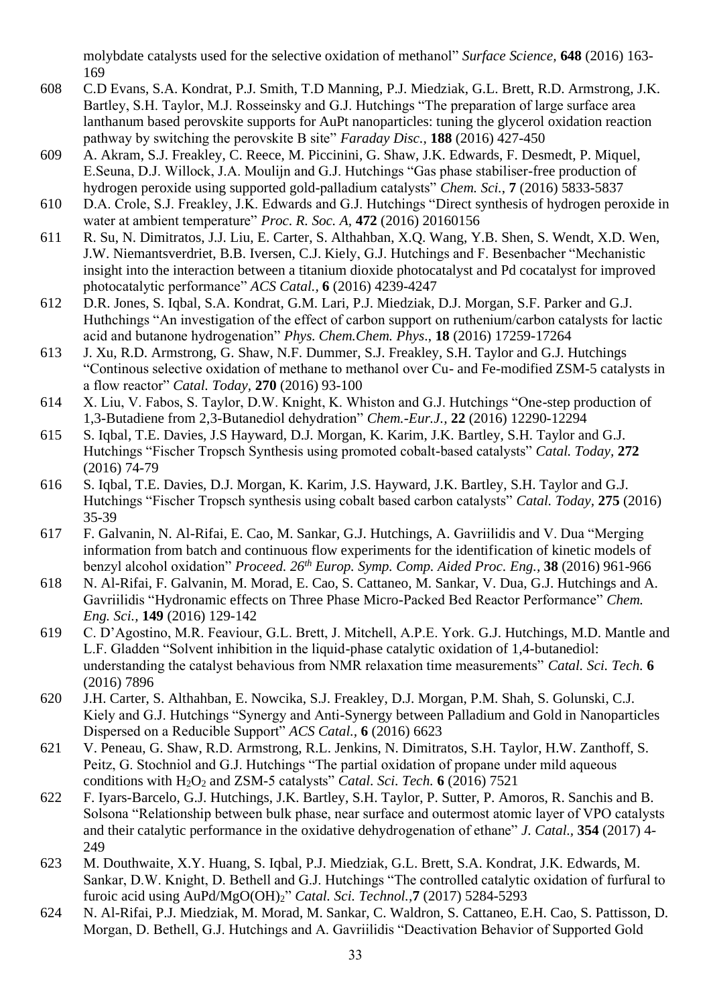molybdate catalysts used for the selective oxidation of methanol" *Surface Science,* **648** (2016) 163- 169

- 608 C.D Evans, S.A. Kondrat, P.J. Smith, T.D Manning, P.J. Miedziak, G.L. Brett, R.D. Armstrong, J.K. Bartley, S.H. Taylor, M.J. Rosseinsky and G.J. Hutchings "The preparation of large surface area lanthanum based perovskite supports for AuPt nanoparticles: tuning the glycerol oxidation reaction pathway by switching the perovskite B site" *Faraday Disc.,* **188** (2016) 427-450
- 609 A. Akram, S.J. Freakley, C. Reece, M. Piccinini, G. Shaw, J.K. Edwards, F. Desmedt, P. Miquel, E.Seuna, D.J. Willock, J.A. Moulijn and G.J. Hutchings "Gas phase stabiliser-free production of hydrogen peroxide using supported gold-palladium catalysts" *Chem. Sci.*, **7** (2016) 5833-5837
- 610 D.A. Crole, S.J. Freakley, J.K. Edwards and G.J. Hutchings "Direct synthesis of hydrogen peroxide in water at ambient temperature" *Proc. R. Soc. A,* **472** (2016) 20160156
- 611 R. Su, N. Dimitratos, J.J. Liu, E. Carter, S. Althahban, X.Q. Wang, Y.B. Shen, S. Wendt, X.D. Wen, J.W. Niemantsverdriet, B.B. Iversen, C.J. Kiely, G.J. Hutchings and F. Besenbacher "Mechanistic insight into the interaction between a titanium dioxide photocatalyst and Pd cocatalyst for improved photocatalytic performance" *ACS Catal.,* **6** (2016) 4239-4247
- 612 D.R. Jones, S. Iqbal, S.A. Kondrat, G.M. Lari, P.J. Miedziak, D.J. Morgan, S.F. Parker and G.J. Huthchings "An investigation of the effect of carbon support on ruthenium/carbon catalysts for lactic acid and butanone hydrogenation" *Phys. Chem.Chem. Phys*., **18** (2016) 17259-17264
- 613 J. Xu, R.D. Armstrong, G. Shaw, N.F. Dummer, S.J. Freakley, S.H. Taylor and G.J. Hutchings "Continous selective oxidation of methane to methanol over Cu- and Fe-modified ZSM-5 catalysts in a flow reactor" *Catal. Today,* **270** (2016) 93-100
- 614 X. Liu, V. Fabos, S. Taylor, D.W. Knight, K. Whiston and G.J. Hutchings "One-step production of 1,3-Butadiene from 2,3-Butanediol dehydration" *Chem.-Eur.J.,* **22** (2016) 12290-12294
- 615 S. Iqbal, T.E. Davies, J.S Hayward, D.J. Morgan, K. Karim, J.K. Bartley, S.H. Taylor and G.J. Hutchings "Fischer Tropsch Synthesis using promoted cobalt-based catalysts" *Catal. Today,* **272** (2016) 74-79
- 616 S. Iqbal, T.E. Davies, D.J. Morgan, K. Karim, J.S. Hayward, J.K. Bartley, S.H. Taylor and G.J. Hutchings "Fischer Tropsch synthesis using cobalt based carbon catalysts" *Catal. Today,* **275** (2016) 35-39
- 617 F. Galvanin, N. Al-Rifai, E. Cao, M. Sankar, G.J. Hutchings, A. Gavriilidis and V. Dua "Merging information from batch and continuous flow experiments for the identification of kinetic models of benzyl alcohol oxidation" *Proceed. 26th Europ. Symp. Comp. Aided Proc. Eng.,* **38** (2016) 961-966
- 618 N. Al-Rifai, F. Galvanin, M. Morad, E. Cao, S. Cattaneo, M. Sankar, V. Dua, G.J. Hutchings and A. Gavriilidis "Hydronamic effects on Three Phase Micro-Packed Bed Reactor Performance" *Chem. Eng. Sci.,* **149** (2016) 129-142
- 619 C. D'Agostino, M.R. Feaviour, G.L. Brett, J. Mitchell, A.P.E. York. G.J. Hutchings, M.D. Mantle and L.F. Gladden "Solvent inhibition in the liquid-phase catalytic oxidation of 1,4-butanediol: understanding the catalyst behavious from NMR relaxation time measurements" *Catal. Sci. Tech.* **6** (2016) 7896
- 620 J.H. Carter, S. Althahban, E. Nowcika, S.J. Freakley, D.J. Morgan, P.M. Shah, S. Golunski, C.J. Kiely and G.J. Hutchings "Synergy and Anti-Synergy between Palladium and Gold in Nanoparticles Dispersed on a Reducible Support" *ACS Catal.,* **6** (2016) 6623
- 621 V. Peneau, G. Shaw, R.D. Armstrong, R.L. Jenkins, N. Dimitratos, S.H. Taylor, H.W. Zanthoff, S. Peitz, G. Stochniol and G.J. Hutchings "The partial oxidation of propane under mild aqueous conditions with  $H_2O_2$  and ZSM-5 catalysts" *Catal. Sci. Tech.* **6** (2016) 7521
- 622 F. Iyars-Barcelo, G.J. Hutchings, J.K. Bartley, S.H. Taylor, P. Sutter, P. Amoros, R. Sanchis and B. Solsona "Relationship between bulk phase, near surface and outermost atomic layer of VPO catalysts and their catalytic performance in the oxidative dehydrogenation of ethane" *J. Catal.,* **354** (2017) 4- 249
- 623 M. Douthwaite, X.Y. Huang, S. Iqbal, P.J. Miedziak, G.L. Brett, S.A. Kondrat, J.K. Edwards, M. Sankar, D.W. Knight, D. Bethell and G.J. Hutchings "The controlled catalytic oxidation of furfural to furoic acid using AuPd/MgO(OH)2" *Catal. Sci. Technol.,***7** (2017) 5284-5293
- 624 N. Al-Rifai, P.J. Miedziak, M. Morad, M. Sankar, C. Waldron, S. Cattaneo, E.H. Cao, S. Pattisson, D. Morgan, D. Bethell, G.J. Hutchings and A. Gavriilidis "Deactivation Behavior of Supported Gold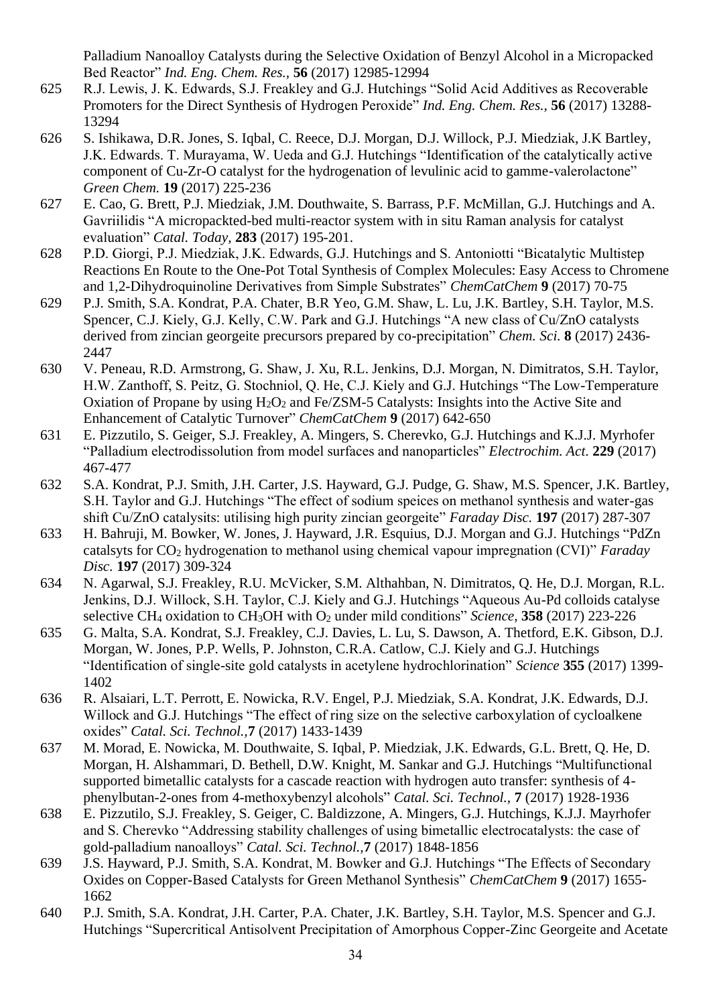Palladium Nanoalloy Catalysts during the Selective Oxidation of Benzyl Alcohol in a Micropacked Bed Reactor" *Ind. Eng. Chem. Res.,* **56** (2017) 12985-12994

- 625 R.J. Lewis, J. K. Edwards, S.J. Freakley and G.J. Hutchings "Solid Acid Additives as Recoverable Promoters for the Direct Synthesis of Hydrogen Peroxide" *Ind. Eng. Chem. Res.,* **56** (2017) 13288- 13294
- 626 S. Ishikawa, D.R. Jones, S. Iqbal, C. Reece, D.J. Morgan, D.J. Willock, P.J. Miedziak, J.K Bartley, J.K. Edwards. T. Murayama, W. Ueda and G.J. Hutchings "Identification of the catalytically active component of Cu-Zr-O catalyst for the hydrogenation of levulinic acid to gamme-valerolactone" *Green Chem.* **19** (2017) 225-236
- 627 E. Cao, G. Brett, P.J. Miedziak, J.M. Douthwaite, S. Barrass, P.F. McMillan, G.J. Hutchings and A. Gavriilidis "A micropackted-bed multi-reactor system with in situ Raman analysis for catalyst evaluation" *Catal. Today,* **283** (2017) 195-201.
- 628 P.D. Giorgi, P.J. Miedziak, J.K. Edwards, G.J. Hutchings and S. Antoniotti "Bicatalytic Multistep Reactions En Route to the One-Pot Total Synthesis of Complex Molecules: Easy Access to Chromene and 1,2-Dihydroquinoline Derivatives from Simple Substrates" *ChemCatChem* **9** (2017) 70-75
- 629 P.J. Smith, S.A. Kondrat, P.A. Chater, B.R Yeo, G.M. Shaw, L. Lu, J.K. Bartley, S.H. Taylor, M.S. Spencer, C.J. Kiely, G.J. Kelly, C.W. Park and G.J. Hutchings "A new class of Cu/ZnO catalysts derived from zincian georgeite precursors prepared by co-precipitation" *Chem. Sci.* **8** (2017) 2436- 2447
- 630 V. Peneau, R.D. Armstrong, G. Shaw, J. Xu, R.L. Jenkins, D.J. Morgan, N. Dimitratos, S.H. Taylor, H.W. Zanthoff, S. Peitz, G. Stochniol, Q. He, C.J. Kiely and G.J. Hutchings "The Low-Temperature Oxiation of Propane by using  $H_2O_2$  and Fe/ZSM-5 Catalysts: Insights into the Active Site and Enhancement of Catalytic Turnover" *ChemCatChem* **9** (2017) 642-650
- 631 E. Pizzutilo, S. Geiger, S.J. Freakley, A. Mingers, S. Cherevko, G.J. Hutchings and K.J.J. Myrhofer "Palladium electrodissolution from model surfaces and nanoparticles" *Electrochim. Act.* **229** (2017) 467-477
- 632 S.A. Kondrat, P.J. Smith, J.H. Carter, J.S. Hayward, G.J. Pudge, G. Shaw, M.S. Spencer, J.K. Bartley, S.H. Taylor and G.J. Hutchings "The effect of sodium speices on methanol synthesis and water-gas shift Cu/ZnO catalysits: utilising high purity zincian georgeite" *Faraday Disc.* **197** (2017) 287-307
- 633 H. Bahruji, M. Bowker, W. Jones, J. Hayward, J.R. Esquius, D.J. Morgan and G.J. Hutchings "PdZn catalsyts for CO<sup>2</sup> hydrogenation to methanol using chemical vapour impregnation (CVI)" *Faraday Disc.* **197** (2017) 309-324
- 634 N. Agarwal, S.J. Freakley, R.U. McVicker, S.M. Althahban, N. Dimitratos, Q. He, D.J. Morgan, R.L. Jenkins, D.J. Willock, S.H. Taylor, C.J. Kiely and G.J. Hutchings "Aqueous Au-Pd colloids catalyse selective CH<sup>4</sup> oxidation to CH3OH with O<sup>2</sup> under mild conditions" *Science,* **358** (2017) 223-226
- 635 G. Malta, S.A. Kondrat, S.J. Freakley, C.J. Davies, L. Lu, S. Dawson, A. Thetford, E.K. Gibson, D.J. Morgan, W. Jones, P.P. Wells, P. Johnston, C.R.A. Catlow, C.J. Kiely and G.J. Hutchings "Identification of single-site gold catalysts in acetylene hydrochlorination" *Science* **355** (2017) 1399- 1402
- 636 R. Alsaiari, L.T. Perrott, E. Nowicka, R.V. Engel, P.J. Miedziak, S.A. Kondrat, J.K. Edwards, D.J. Willock and G.J. Hutchings "The effect of ring size on the selective carboxylation of cycloalkene oxides" *Catal. Sci. Technol.,***7** (2017) 1433-1439
- 637 M. Morad, E. Nowicka, M. Douthwaite, S. Iqbal, P. Miedziak, J.K. Edwards, G.L. Brett, Q. He, D. Morgan, H. Alshammari, D. Bethell, D.W. Knight, M. Sankar and G.J. Hutchings "Multifunctional supported bimetallic catalysts for a cascade reaction with hydrogen auto transfer: synthesis of 4 phenylbutan-2-ones from 4-methoxybenzyl alcohols" *Catal. Sci. Technol.,* **7** (2017) 1928-1936
- 638 E. Pizzutilo, S.J. Freakley, S. Geiger, C. Baldizzone, A. Mingers, G.J. Hutchings, K.J.J. Mayrhofer and S. Cherevko "Addressing stability challenges of using bimetallic electrocatalysts: the case of gold-palladium nanoalloys" *Catal. Sci. Technol.,***7** (2017) 1848-1856
- 639 J.S. Hayward, P.J. Smith, S.A. Kondrat, M. Bowker and G.J. Hutchings "The Effects of Secondary Oxides on Copper-Based Catalysts for Green Methanol Synthesis" *ChemCatChem* **9** (2017) 1655- 1662
- 640 P.J. Smith, S.A. Kondrat, J.H. Carter, P.A. Chater, J.K. Bartley, S.H. Taylor, M.S. Spencer and G.J. Hutchings "Supercritical Antisolvent Precipitation of Amorphous Copper-Zinc Georgeite and Acetate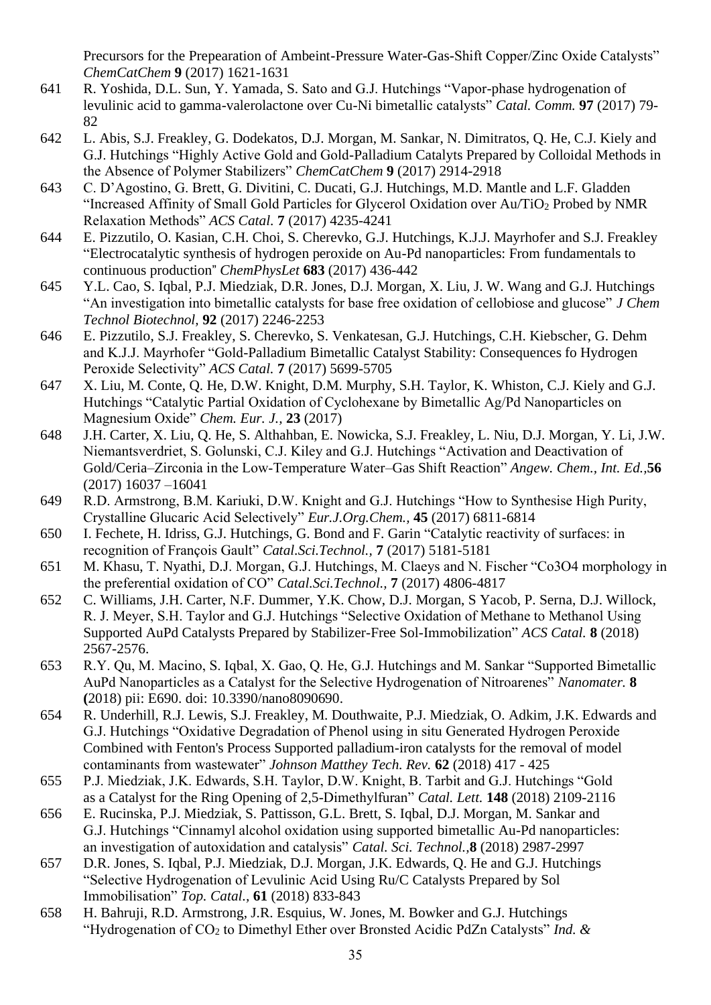Precursors for the Prepearation of Ambeint-Pressure Water-Gas-Shift Copper/Zinc Oxide Catalysts" *ChemCatChem* **9** (2017) 1621-1631

- 641 R. Yoshida, D.L. Sun, Y. Yamada, S. Sato and G.J. Hutchings "Vapor-phase hydrogenation of levulinic acid to gamma-valerolactone over Cu-Ni bimetallic catalysts" *Catal. Comm.* **97** (2017) 79- 82
- 642 L. Abis, S.J. Freakley, G. Dodekatos, D.J. Morgan, M. Sankar, N. Dimitratos, Q. He, C.J. Kiely and G.J. Hutchings "Highly Active Gold and Gold-Palladium Catalyts Prepared by Colloidal Methods in the Absence of Polymer Stabilizers" *ChemCatChem* **9** (2017) 2914-2918
- 643 C. D'Agostino, G. Brett, G. Divitini, C. Ducati, G.J. Hutchings, M.D. Mantle and L.F. Gladden "Increased Affinity of Small Gold Particles for Glycerol Oxidation over Au/TiO<sup>2</sup> Probed by NMR Relaxation Methods" *ACS Catal.* **7** (2017) 4235-4241
- 644 E. Pizzutilo, O. Kasian, C.H. Choi, S. Cherevko, G.J. Hutchings, K.J.J. Mayrhofer and S.J. Freakley "Electrocatalytic synthesis of hydrogen peroxide on Au-Pd nanoparticles: From fundamentals to continuous production" *ChemPhysLet* **683** (2017) 436-442
- 645 Y.L. Cao, S. Iqbal, P.J. Miedziak, D.R. Jones, D.J. Morgan, X. Liu, J. W. Wang and G.J. Hutchings "An investigation into bimetallic catalysts for base free oxidation of cellobiose and glucose" *J Chem Technol Biotechnol,* **92** (2017) 2246-2253
- 646 E. Pizzutilo, S.J. Freakley, S. Cherevko, S. Venkatesan, G.J. Hutchings, C.H. Kiebscher, G. Dehm and K.J.J. Mayrhofer "Gold-Palladium Bimetallic Catalyst Stability: Consequences fo Hydrogen Peroxide Selectivity" *ACS Catal.* **7** (2017) 5699-5705
- 647 X. Liu, M. Conte, Q. He, D.W. Knight, D.M. Murphy, S.H. Taylor, K. Whiston, C.J. Kiely and G.J. Hutchings "Catalytic Partial Oxidation of Cyclohexane by Bimetallic Ag/Pd Nanoparticles on Magnesium Oxide" *Chem. Eur. J.,* **23** (2017)
- 648 J.H. Carter, X. Liu, Q. He, S. Althahban, E. Nowicka, S.J. Freakley, L. Niu, D.J. Morgan, Y. Li, J.W. Niemantsverdriet, S. Golunski, C.J. Kiley and G.J. Hutchings "Activation and Deactivation of Gold/Ceria–Zirconia in the Low‐Temperature Water–Gas Shift Reaction" *Angew. Chem., Int. Ed.,***56** (2017) 16037 –16041
- 649 R.D. Armstrong, B.M. Kariuki, D.W. Knight and G.J. Hutchings "How to Synthesise High Purity, Crystalline Glucaric Acid Selectively" *Eur.J.Org.Chem.,* **45** (2017) 6811-6814
- 650 I. Fechete, H. Idriss, G.J. Hutchings, G. Bond and F. Garin "Catalytic reactivity of surfaces: in recognition of François Gault" *Catal.Sci.Technol.,* **7** (2017) 5181-5181
- 651 M. Khasu, T. Nyathi, D.J. Morgan, G.J. Hutchings, M. Claeys and N. Fischer "Co3O4 morphology in the preferential oxidation of CO" *Catal.Sci.Technol.,* **7** (2017) 4806-4817
- 652 C. Williams, J.H. Carter, N.F. Dummer, Y.K. Chow, D.J. Morgan, S Yacob, P. Serna, D.J. Willock, R. J. Meyer, S.H. Taylor and G.J. Hutchings "Selective Oxidation of Methane to Methanol Using Supported AuPd Catalysts Prepared by Stabilizer-Free Sol-Immobilization" *ACS Catal.* **8** (2018) 2567-2576.
- 653 R.Y. Qu, M. Macino, S. Iqbal, X. Gao, Q. He, G.J. Hutchings and M. Sankar "Supported Bimetallic AuPd Nanoparticles as a Catalyst for the Selective Hydrogenation of Nitroarenes" *Nanomater.* **8 (**2018) pii: E690. doi: 10.3390/nano8090690.
- 654 R. Underhill, R.J. Lewis, S.J. Freakley, M. Douthwaite, P.J. Miedziak, O. Adkim, J.K. Edwards and G.J. Hutchings "Oxidative Degradation of Phenol using in situ Generated Hydrogen Peroxide Combined with Fenton's Process Supported palladium-iron catalysts for the removal of model contaminants from wastewater" *Johnson Matthey Tech. Rev.* **62** (2018) 417 - 425
- 655 P.J. Miedziak, J.K. Edwards, S.H. Taylor, D.W. Knight, B. Tarbit and G.J. Hutchings "Gold as a Catalyst for the Ring Opening of 2,5-Dimethylfuran" *Catal. Lett.* **148** (2018) 2109-2116
- 656 E. Rucinska, P.J. Miedziak, S. Pattisson, G.L. Brett, S. Iqbal, D.J. Morgan, M. Sankar and G.J. Hutchings "Cinnamyl alcohol oxidation using supported bimetallic Au-Pd nanoparticles: an investigation of autoxidation and catalysis" *Catal. Sci. Technol.,***8** (2018) 2987-2997
- 657 D.R. Jones, S. Iqbal, P.J. Miedziak, D.J. Morgan, J.K. Edwards, Q. He and G.J. Hutchings "Selective Hydrogenation of Levulinic Acid Using Ru/C Catalysts Prepared by Sol Immobilisation" *Top. Catal.,* **61** (2018) 833-843
- 658 H. Bahruji, R.D. Armstrong, J.R. Esquius, W. Jones, M. Bowker and G.J. Hutchings "Hydrogenation of CO<sup>2</sup> to Dimethyl Ether over Bronsted Acidic PdZn Catalysts" *Ind. &*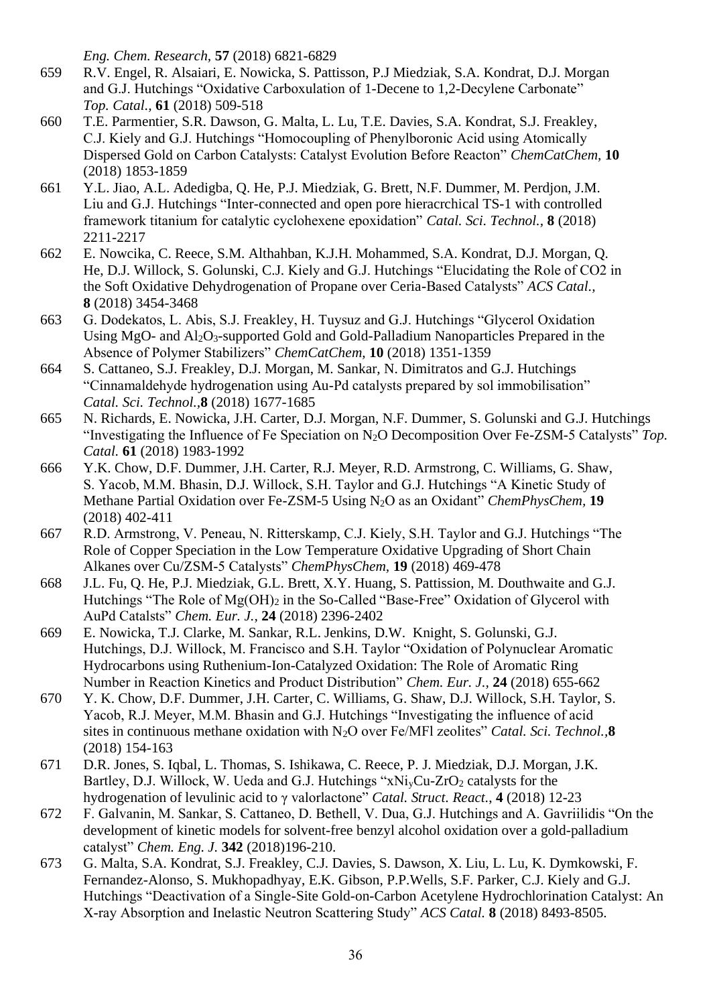*Eng. Chem. Research,* **57** (2018) 6821-6829

- 659 R.V. Engel, R. Alsaiari, E. Nowicka, S. Pattisson, P.J Miedziak, S.A. Kondrat, D.J. Morgan and G.J. Hutchings "Oxidative Carboxulation of 1-Decene to 1,2-Decylene Carbonate" *Top. Catal.,* **61** (2018) 509-518
- 660 T.E. Parmentier, S.R. Dawson, G. Malta, L. Lu, T.E. Davies, S.A. Kondrat, S.J. Freakley, C.J. Kiely and G.J. Hutchings "Homocoupling of Phenylboronic Acid using Atomically Dispersed Gold on Carbon Catalysts: Catalyst Evolution Before Reacton" *ChemCatChem,* **10** (2018) 1853-1859
- 661 Y.L. Jiao, A.L. Adedigba, Q. He, P.J. Miedziak, G. Brett, N.F. Dummer, M. Perdjon, J.M. Liu and G.J. Hutchings "Inter-connected and open pore hieracrchical TS-1 with controlled framework titanium for catalytic cyclohexene epoxidation" *Catal. Sci. Technol.,* **8** (2018) 2211-2217
- 662 E. Nowcika, C. Reece, S.M. Althahban, K.J.H. Mohammed, S.A. Kondrat, D.J. Morgan, Q. He, D.J. Willock, S. Golunski, C.J. Kiely and G.J. Hutchings "Elucidating the Role of CO2 in the Soft Oxidative Dehydrogenation of Propane over Ceria-Based Catalysts" *ACS Catal.,* **8** (2018) 3454-3468
- 663 G. Dodekatos, L. Abis, S.J. Freakley, H. Tuysuz and G.J. Hutchings "Glycerol Oxidation Using MgO- and  $Al_2O_3$ -supported Gold and Gold-Palladium Nanoparticles Prepared in the Absence of Polymer Stabilizers" *ChemCatChem,* **10** (2018) 1351-1359
- 664 S. Cattaneo, S.J. Freakley, D.J. Morgan, M. Sankar, N. Dimitratos and G.J. Hutchings "Cinnamaldehyde hydrogenation using Au-Pd catalysts prepared by sol immobilisation" *Catal. Sci. Technol.,***8** (2018) 1677-1685
- 665 N. Richards, E. Nowicka, J.H. Carter, D.J. Morgan, N.F. Dummer, S. Golunski and G.J. Hutchings "Investigating the Influence of Fe Speciation on N2O Decomposition Over Fe-ZSM-5 Catalysts" *Top. Catal.* **61** (2018) 1983-1992
- 666 Y.K. Chow, D.F. Dummer, J.H. Carter, R.J. Meyer, R.D. Armstrong, C. Williams, G. Shaw, S. Yacob, M.M. Bhasin, D.J. Willock, S.H. Taylor and G.J. Hutchings "A Kinetic Study of Methane Partial Oxidation over Fe-ZSM-5 Using N2O as an Oxidant" *ChemPhysChem,* **19** (2018) 402-411
- 667 R.D. Armstrong, V. Peneau, N. Ritterskamp, C.J. Kiely, S.H. Taylor and G.J. Hutchings "The Role of Copper Speciation in the Low Temperature Oxidative Upgrading of Short Chain Alkanes over Cu/ZSM-5 Catalysts" *ChemPhysChem,* **19** (2018) 469-478
- 668 J.L. Fu, Q. He, P.J. Miedziak, G.L. Brett, X.Y. Huang, S. Pattission, M. Douthwaite and G.J. Hutchings "The Role of  $Mg(OH)_{2}$  in the So-Called "Base-Free" Oxidation of Glycerol with AuPd Catalsts" *Chem. Eur. J.,* **24** (2018) 2396-2402
- 669 E. Nowicka, T.J. Clarke, M. Sankar, R.L. Jenkins, D.W. Knight, S. Golunski, G.J. Hutchings, D.J. Willock, M. Francisco and S.H. Taylor "Oxidation of Polynuclear Aromatic Hydrocarbons using Ruthenium-Ion-Catalyzed Oxidation: The Role of Aromatic Ring Number in Reaction Kinetics and Product Distribution" *Chem. Eur. J.,* **24** (2018) 655-662
- 670 Y. K. Chow, D.F. Dummer, J.H. Carter, C. Williams, G. Shaw, D.J. Willock, S.H. Taylor, S. Yacob, R.J. Meyer, M.M. Bhasin and G.J. Hutchings "Investigating the influence of acid sites in continuous methane oxidation with N2O over Fe/MFl zeolites" *Catal. Sci. Technol.,***8** (2018) 154-163
- 671 D.R. Jones, S. Iqbal, L. Thomas, S. Ishikawa, C. Reece, P. J. Miedziak, D.J. Morgan, J.K. Bartley, D.J. Willock, W. Ueda and G.J. Hutchings " $xNi<sub>v</sub>Cu-ZrO<sub>2</sub>$  catalysts for the hydrogenation of levulinic acid to γ valorlactone" *Catal. Struct. React.*, **4** (2018) 12-23
- 672 F. Galvanin, M. Sankar, S. Cattaneo, D. Bethell, V. Dua, G.J. Hutchings and A. Gavriilidis "On the development of kinetic models for solvent-free benzyl alcohol oxidation over a gold-palladium catalyst" *Chem. Eng. J.* **342** (2018)196-210.
- 673 G. Malta, S.A. Kondrat, S.J. Freakley, C.J. Davies, S. Dawson, X. Liu, L. Lu, K. Dymkowski, F. Fernandez-Alonso, S. Mukhopadhyay, E.K. Gibson, P.P.Wells, S.F. Parker, C.J. Kiely and G.J. Hutchings "Deactivation of a Single-Site Gold-on-Carbon Acetylene Hydrochlorination Catalyst: An X-ray Absorption and Inelastic Neutron Scattering Study" *ACS Catal.* **8** (2018) 8493-8505.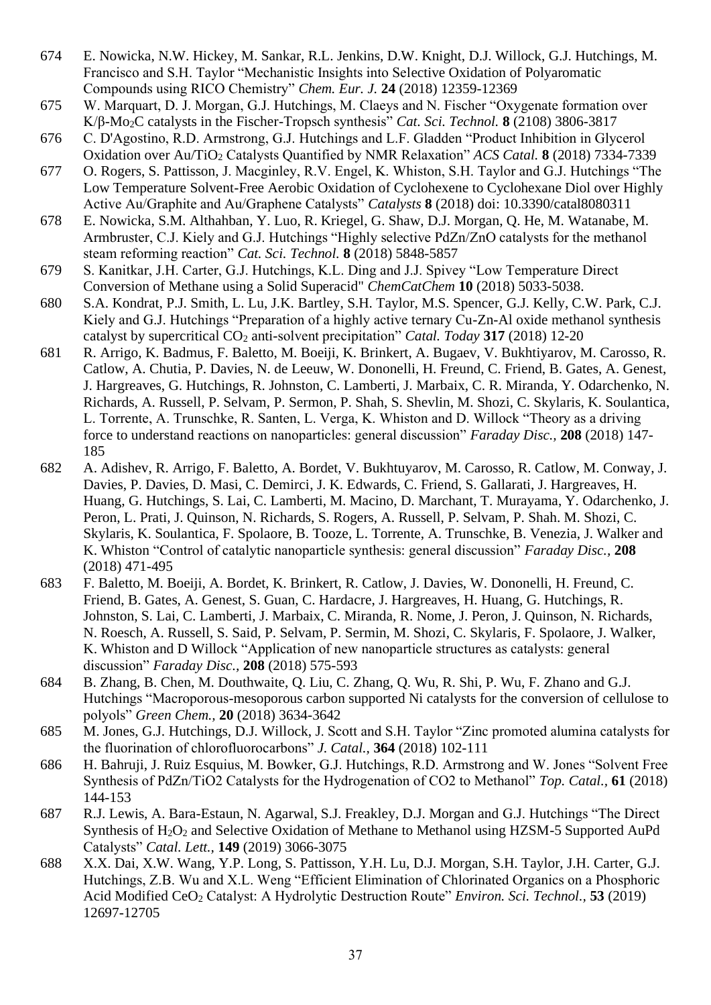- 674 E. Nowicka, N.W. Hickey, M. Sankar, R.L. Jenkins, D.W. Knight, D.J. Willock, G.J. Hutchings, M. Francisco and S.H. Taylor "Mechanistic Insights into Selective Oxidation of Polyaromatic Compounds using RICO Chemistry" *Chem. Eur. J.* **24** (2018) 12359-12369
- 675 W. Marquart, D. J. Morgan, G.J. Hutchings, M. Claeys and N. Fischer "Oxygenate formation over K/β-Mo2C catalysts in the Fischer-Tropsch synthesis" *Cat. Sci. Technol.* **8** (2108) 3806-3817
- 676 C. D'Agostino, R.D. Armstrong, G.J. Hutchings and L.F. Gladden "Product Inhibition in Glycerol Oxidation over Au/TiO<sup>2</sup> Catalysts Quantified by NMR Relaxation" *ACS Catal.* **8** (2018) 7334-7339
- 677 O. Rogers, S. Pattisson, J. Macginley, R.V. Engel, K. Whiston, S.H. Taylor and G.J. Hutchings "The Low Temperature Solvent-Free Aerobic Oxidation of Cyclohexene to Cyclohexane Diol over Highly Active Au/Graphite and Au/Graphene Catalysts" *Catalysts* **8** (2018) doi: 10.3390/catal8080311
- 678 E. Nowicka, S.M. Althahban, Y. Luo, R. Kriegel, G. Shaw, D.J. Morgan, Q. He, M. Watanabe, M. Armbruster, C.J. Kiely and G.J. Hutchings "Highly selective PdZn/ZnO catalysts for the methanol steam reforming reaction" *Cat. Sci. Technol.* **8** (2018) 5848-5857
- 679 S. Kanitkar, J.H. Carter, G.J. Hutchings, K.L. Ding and J.J. Spivey "Low Temperature Direct Conversion of Methane using a Solid Superacid" *ChemCatChem* **10** (2018) 5033-5038.
- 680 S.A. Kondrat, P.J. Smith, L. Lu, J.K. Bartley, S.H. Taylor, M.S. Spencer, G.J. Kelly, C.W. Park, C.J. Kiely and G.J. Hutchings "Preparation of a highly active ternary Cu-Zn-Al oxide methanol synthesis catalyst by supercritical CO<sub>2</sub> anti-solvent precipitation" *Catal. Today* 317 (2018) 12-20
- 681 R. Arrigo, K. Badmus, F. Baletto, M. Boeiji, K. Brinkert, A. Bugaev, V. Bukhtiyarov, M. Carosso, R. Catlow, A. Chutia, P. Davies, N. de Leeuw, W. Dononelli, H. Freund, C. Friend, B. Gates, A. Genest, J. Hargreaves, G. Hutchings, R. Johnston, C. Lamberti, J. Marbaix, C. R. Miranda, Y. Odarchenko, N. Richards, A. Russell, P. Selvam, P. Sermon, P. Shah, S. Shevlin, M. Shozi, C. Skylaris, K. Soulantica, L. Torrente, A. Trunschke, R. Santen, L. Verga, K. Whiston and D. Willock "Theory as a driving force to understand reactions on nanoparticles: general discussion" *Faraday Disc.,* **208** (2018) 147- 185
- 682 A. Adishev, R. Arrigo, F. Baletto, A. Bordet, V. Bukhtuyarov, M. Carosso, R. Catlow, M. Conway, J. Davies, P. Davies, D. Masi, C. Demirci, J. K. Edwards, C. Friend, S. Gallarati, J. Hargreaves, H. Huang, G. Hutchings, S. Lai, C. Lamberti, M. Macino, D. Marchant, T. Murayama, Y. Odarchenko, J. Peron, L. Prati, J. Quinson, N. Richards, S. Rogers, A. Russell, P. Selvam, P. Shah. M. Shozi, C. Skylaris, K. Soulantica, F. Spolaore, B. Tooze, L. Torrente, A. Trunschke, B. Venezia, J. Walker and K. Whiston "Control of catalytic nanoparticle synthesis: general discussion" *Faraday Disc.,* **208** (2018) 471-495
- 683 F. Baletto, M. Boeiji, A. Bordet, K. Brinkert, R. Catlow, J. Davies, W. Dononelli, H. Freund, C. Friend, B. Gates, A. Genest, S. Guan, C. Hardacre, J. Hargreaves, H. Huang, G. Hutchings, R. Johnston, S. Lai, C. Lamberti, J. Marbaix, C. Miranda, R. Nome, J. Peron, J. Quinson, N. Richards, N. Roesch, A. Russell, S. Said, P. Selvam, P. Sermin, M. Shozi, C. Skylaris, F. Spolaore, J. Walker, K. Whiston and D Willock "Application of new nanoparticle structures as catalysts: general discussion" *Faraday Disc.,* **208** (2018) 575-593
- 684 B. Zhang, B. Chen, M. Douthwaite, Q. Liu, C. Zhang, Q. Wu, R. Shi, P. Wu, F. Zhano and G.J. Hutchings "Macroporous-mesoporous carbon supported Ni catalysts for the conversion of cellulose to polyols" *Green Chem.,* **20** (2018) 3634-3642
- 685 M. Jones, G.J. Hutchings, D.J. Willock, J. Scott and S.H. Taylor "Zinc promoted alumina catalysts for the fluorination of chlorofluorocarbons" *J. Catal.,* **364** (2018) 102-111
- 686 H. Bahruji, J. Ruiz Esquius, M. Bowker, G.J. Hutchings, R.D. Armstrong and W. Jones "Solvent Free Synthesis of PdZn/TiO2 Catalysts for the Hydrogenation of CO2 to Methanol" *Top. Catal.,* **61** (2018) 144-153
- 687 R.J. Lewis, A. Bara-Estaun, N. Agarwal, S.J. Freakley, D.J. Morgan and G.J. Hutchings "The Direct Synthesis of H<sub>2</sub>O<sub>2</sub> and Selective Oxidation of Methane to Methanol using HZSM-5 Supported AuPd Catalysts" *Catal. Lett.,* **149** (2019) 3066-3075
- 688 X.X. Dai, X.W. Wang, Y.P. Long, S. Pattisson, Y.H. Lu, D.J. Morgan, S.H. Taylor, J.H. Carter, G.J. Hutchings, Z.B. Wu and X.L. Weng "Efficient Elimination of Chlorinated Organics on a Phosphoric Acid Modified CeO<sup>2</sup> Catalyst: A Hydrolytic Destruction Route" *Environ. Sci. Technol.,* **53** (2019) 12697-12705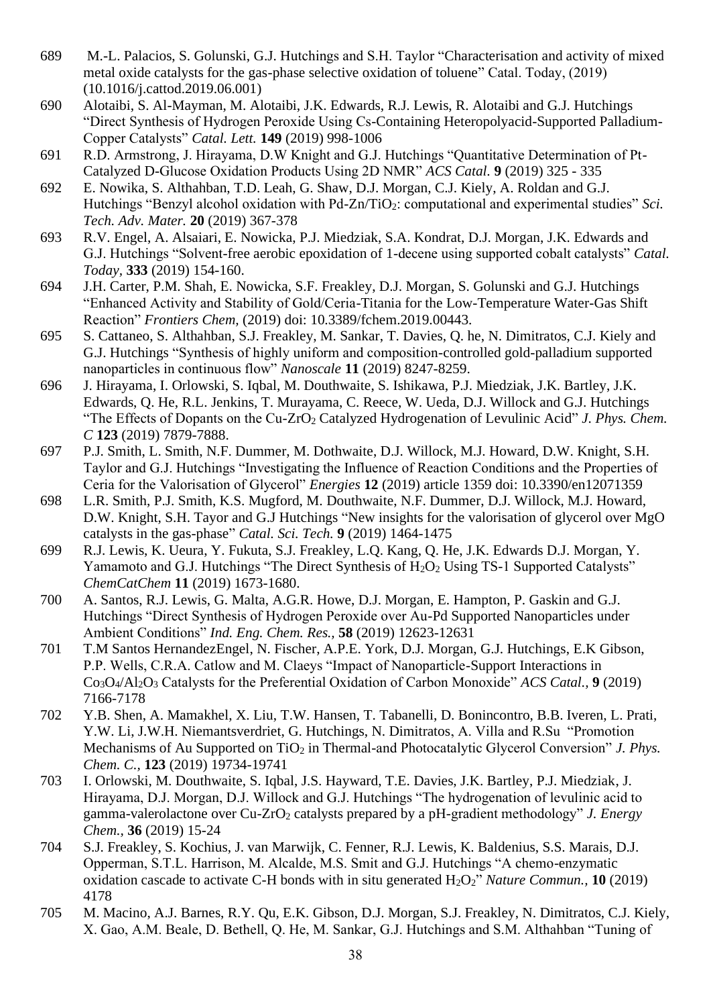- 689 M.-L. Palacios, S. Golunski, G.J. Hutchings and S.H. Taylor ["Characterisation and activity of mixed](http://orca.cf.ac.uk/123565)  [metal oxide catalysts for the gas-phase selective oxidation of toluene"](http://orca.cf.ac.uk/123565) Catal. Today, (2019) [\(10.1016/j.cattod.2019.06.001\)](http://dx.doi.org/10.1016/j.cattod.2019.06.001)
- 690 Alotaibi, S. Al-Mayman, M. Alotaibi, J.K. Edwards, R.J. Lewis, R. Alotaibi and G.J. Hutchings "Direct Synthesis of Hydrogen Peroxide Using Cs-Containing Heteropolyacid-Supported Palladium-Copper Catalysts" *Catal. Lett.* **149** (2019) 998-1006
- 691 R.D. Armstrong, J. Hirayama, D.W Knight and G.J. Hutchings "Quantitative Determination of Pt-Catalyzed D-Glucose Oxidation Products Using 2D NMR" *ACS Catal.* **9** (2019) 325 - 335
- 692 E. Nowika, S. Althahban, T.D. Leah, G. Shaw, D.J. Morgan, C.J. Kiely, A. Roldan and G.J. Hutchings "Benzyl alcohol oxidation with Pd-Zn/TiO<sub>2</sub>: computational and experimental studies" *Sci. Tech. Adv. Mater.* **20** (2019) 367-378
- 693 R.V. Engel, A. Alsaiari, E. Nowicka, P.J. Miedziak, S.A. Kondrat, D.J. Morgan, J.K. Edwards and G.J. Hutchings "Solvent-free aerobic epoxidation of 1-decene using supported cobalt catalysts" *Catal. Today,* **333** (2019) 154-160.
- 694 J.H. Carter, P.M. Shah, E. Nowicka, S.F. Freakley, D.J. Morgan, S. Golunski and G.J. Hutchings "Enhanced Activity and Stability of Gold/Ceria-Titania for the Low-Temperature Water-Gas Shift Reaction" *Frontiers Chem,* (2019) doi: 10.3389/fchem.2019.00443.
- 695 S. Cattaneo, S. Althahban, S.J. Freakley, M. Sankar, T. Davies, Q. he, N. Dimitratos, C.J. Kiely and G.J. Hutchings "Synthesis of highly uniform and composition-controlled gold-palladium supported nanoparticles in continuous flow" *Nanoscale* **11** (2019) 8247-8259.
- 696 J. Hirayama, I. Orlowski, S. Iqbal, M. Douthwaite, S. Ishikawa, P.J. Miedziak, J.K. Bartley, J.K. Edwards, Q. He, R.L. Jenkins, T. Murayama, C. Reece, W. Ueda, D.J. Willock and G.J. Hutchings "The Effects of Dopants on the Cu-ZrO<sub>2</sub> Catalyzed Hydrogenation of Levulinic Acid" *J. Phys. Chem. C* **123** (2019) 7879-7888.
- 697 P.J. Smith, L. Smith, N.F. Dummer, M. Dothwaite, D.J. Willock, M.J. Howard, D.W. Knight, S.H. Taylor and G.J. Hutchings "Investigating the Influence of Reaction Conditions and the Properties of Ceria for the Valorisation of Glycerol" *Energies* **12** (2019) article 1359 doi: 10.3390/en12071359
- 698 L.R. Smith, P.J. Smith, K.S. Mugford, M. Douthwaite, N.F. Dummer, D.J. Willock, M.J. Howard, D.W. Knight, S.H. Tayor and G.J Hutchings "New insights for the valorisation of glycerol over MgO catalysts in the gas-phase" *Catal. Sci. Tech.* **9** (2019) 1464-1475
- 699 R.J. Lewis, K. Ueura, Y. Fukuta, S.J. Freakley, L.Q. Kang, Q. He, J.K. Edwards D.J. Morgan, Y. Yamamoto and G.J. Hutchings "The Direct Synthesis of H<sub>2</sub>O<sub>2</sub> Using TS-1 Supported Catalysts" *ChemCatChem* **11** (2019) 1673-1680.
- 700 A. Santos, R.J. Lewis, G. Malta, A.G.R. Howe, D.J. Morgan, E. Hampton, P. Gaskin and G.J. Hutchings "Direct Synthesis of Hydrogen Peroxide over Au-Pd Supported Nanoparticles under Ambient Conditions" *Ind. Eng. Chem. Res.,* **58** (2019) 12623-12631
- 701 T.M Santos HernandezEngel, N. Fischer, A.P.E. York, D.J. Morgan, G.J. Hutchings, E.K Gibson, P.P. Wells, C.R.A. Catlow and M. Claeys "Impact of Nanoparticle-Support Interactions in Co3O4/Al2O<sup>3</sup> Catalysts for the Preferential Oxidation of Carbon Monoxide" *ACS Catal.,* **9** (2019) 7166-7178
- 702 Y.B. Shen, A. Mamakhel, X. Liu, T.W. Hansen, T. Tabanelli, D. Bonincontro, B.B. Iveren, L. Prati, Y.W. Li, J.W.H. Niemantsverdriet, G. Hutchings, N. Dimitratos, A. Villa and R.Su "Promotion Mechanisms of Au Supported on TiO<sub>2</sub> in Thermal-and Photocatalytic Glycerol Conversion" *J. Phys. Chem. C.,* **123** (2019) 19734-19741
- 703 I. Orlowski, M. Douthwaite, S. Iqbal, J.S. Hayward, T.E. Davies, J.K. Bartley, P.J. Miedziak, J. Hirayama, D.J. Morgan, D.J. Willock and G.J. Hutchings "The hydrogenation of levulinic acid to gamma-valerolactone over Cu-ZrO<sup>2</sup> catalysts prepared by a pH-gradient methodology" *J. Energy Chem.,* **36** (2019) 15-24
- 704 S.J. Freakley, S. Kochius, J. van Marwijk, C. Fenner, R.J. Lewis, K. Baldenius, S.S. Marais, D.J. Opperman, S.T.L. Harrison, M. Alcalde, M.S. Smit and G.J. Hutchings "A chemo-enzymatic oxidation cascade to activate C-H bonds with in situ generated H<sub>2</sub>O<sub>2</sub>" *Nature Commun.*, **10** (2019) 4178
- 705 M. Macino, A.J. Barnes, R.Y. Qu, E.K. Gibson, D.J. Morgan, S.J. Freakley, N. Dimitratos, C.J. Kiely, X. Gao, A.M. Beale, D. Bethell, Q. He, M. Sankar, G.J. Hutchings and S.M. Althahban "Tuning of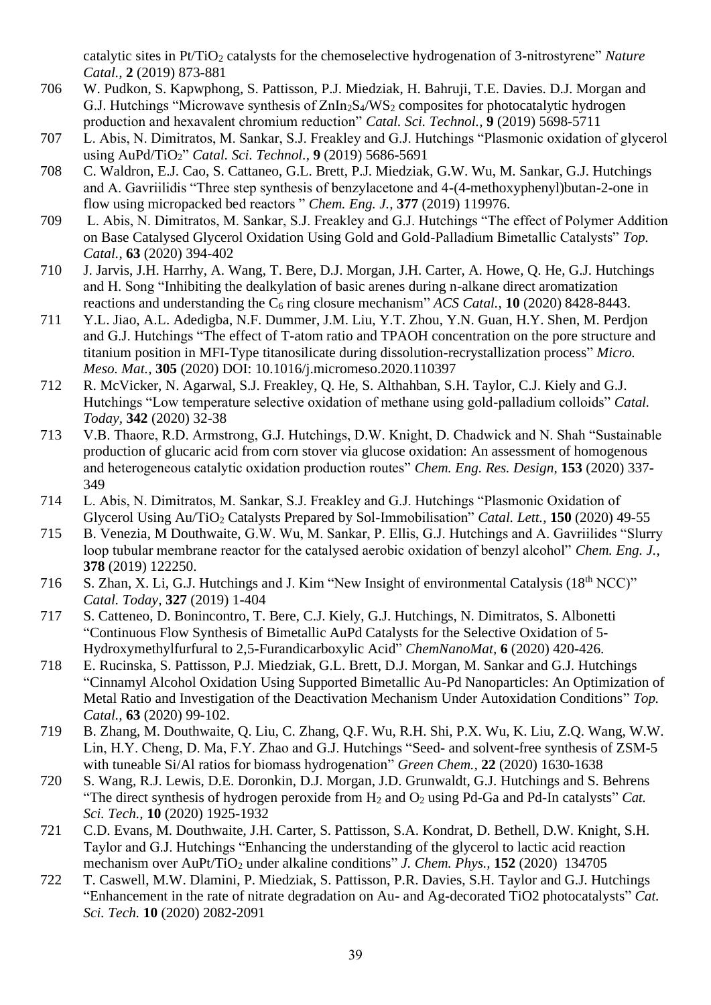catalytic sites in Pt/TiO<sub>2</sub> catalysts for the chemoselective hydrogenation of 3-nitrostyrene" *Nature Catal.,* **2** (2019) 873-881

- 706 W. Pudkon, S. Kapwphong, S. Pattisson, P.J. Miedziak, H. Bahruji, T.E. Davies. D.J. Morgan and G.J. Hutchings "Microwave synthesis of  $\text{ZnIn}_2\text{S}_4/\text{WS}_2$  composites for photocatalytic hydrogen production and hexavalent chromium reduction" *Catal. Sci. Technol.,* **9** (2019) 5698-5711
- 707 L. Abis, N. Dimitratos, M. Sankar, S.J. Freakley and G.J. Hutchings "Plasmonic oxidation of glycerol using AuPd/TiO2" *Catal. Sci. Technol.,* **9** (2019) 5686-5691
- 708 C. Waldron, E.J. Cao, S. Cattaneo, G.L. Brett, P.J. Miedziak, G.W. Wu, M. Sankar, G.J. Hutchings and A. Gavriilidis "Three step synthesis of benzylacetone and 4-(4-methoxyphenyl)butan-2-one in flow using micropacked bed reactors " *Chem. Eng. J.,* **377** (2019) 119976.
- 709 L. Abis, N. Dimitratos, M. Sankar, S.J. Freakley and G.J. Hutchings "The effect of Polymer Addition on Base Catalysed Glycerol Oxidation Using Gold and Gold-Palladium Bimetallic Catalysts" *Top. Catal.*, **63** (2020) 394-402
- 710 J. Jarvis, J.H. Harrhy, A. Wang, T. Bere, D.J. Morgan, J.H. Carter, A. Howe, Q. He, G.J. Hutchings and H. Song "Inhibiting the dealkylation of basic arenes during n-alkane direct aromatization reactions and understanding the C<sup>6</sup> ring closure mechanism" *ACS Catal.,* **10** (2020) 8428-8443.
- 711 Y.L. Jiao, A.L. Adedigba, N.F. Dummer, J.M. Liu, Y.T. Zhou, Y.N. Guan, H.Y. Shen, M. Perdjon and G.J. Hutchings "The effect of T-atom ratio and TPAOH concentration on the pore structure and titanium position in MFI-Type titanosilicate during dissolution-recrystallization process" *Micro. Meso. Mat.,* **305** (2020) DOI: 10.1016/j.micromeso.2020.110397
- 712 R. McVicker, N. Agarwal, S.J. Freakley, Q. He, S. Althahban, S.H. Taylor, C.J. Kiely and G.J. Hutchings "Low temperature selective oxidation of methane using gold-palladium colloids" *Catal. Today,* **342** (2020) 32-38
- 713 V.B. Thaore, R.D. Armstrong, G.J. Hutchings, D.W. Knight, D. Chadwick and N. Shah "Sustainable production of glucaric acid from corn stover via glucose oxidation: An assessment of homogenous and heterogeneous catalytic oxidation production routes" *Chem. Eng. Res. Design,* **153** (2020) 337- 349
- 714 L. Abis, N. Dimitratos, M. Sankar, S.J. Freakley and G.J. Hutchings "Plasmonic Oxidation of Glycerol Using Au/TiO<sub>2</sub> Catalysts Prepared by Sol-Immobilisation" *Catal. Lett.*, **150** (2020) 49-55
- 715 B. Venezia, M Douthwaite, G.W. Wu, M. Sankar, P. Ellis, G.J. Hutchings and A. Gavriilides "Slurry loop tubular membrane reactor for the catalysed aerobic oxidation of benzyl alcohol" *Chem. Eng. J.*, **378** (2019) 122250.
- 716 S. Zhan, X. Li, G.J. Hutchings and J. Kim "New Insight of environmental Catalysis (18<sup>th</sup> NCC)" *Catal. Today,* **327** (2019) 1-404
- 717 S. Catteneo, D. Bonincontro, T. Bere, C.J. Kiely, G.J. Hutchings, N. Dimitratos, S. Albonetti "Continuous Flow Synthesis of Bimetallic AuPd Catalysts for the Selective Oxidation of 5- Hydroxymethylfurfural to 2,5-Furandicarboxylic Acid" *ChemNanoMat,* **6** (2020) 420-426.
- 718 E. Rucinska, S. Pattisson, P.J. Miedziak, G.L. Brett, D.J. Morgan, M. Sankar and G.J. Hutchings "Cinnamyl Alcohol Oxidation Using Supported Bimetallic Au-Pd Nanoparticles: An Optimization of Metal Ratio and Investigation of the Deactivation Mechanism Under Autoxidation Conditions" *Top. Catal.,* **63** (2020) 99-102.
- 719 B. Zhang, M. Douthwaite, Q. Liu, C. Zhang, Q.F. Wu, R.H. Shi, P.X. Wu, K. Liu, Z.Q. Wang, W.W. Lin, H.Y. Cheng, D. Ma, F.Y. Zhao and G.J. Hutchings "Seed- and solvent-free synthesis of ZSM-5 with tuneable Si/Al ratios for biomass hydrogenation" *Green Chem.,* **22** (2020) 1630-1638
- 720 S. Wang, R.J. Lewis, D.E. Doronkin, D.J. Morgan, J.D. Grunwaldt, G.J. Hutchings and S. Behrens "The direct synthesis of hydrogen peroxide from H<sup>2</sup> and O<sup>2</sup> using Pd-Ga and Pd-In catalysts" *Cat. Sci. Tech.,* **10** (2020) 1925-1932
- 721 C.D. Evans, M. Douthwaite, J.H. Carter, S. Pattisson, S.A. Kondrat, D. Bethell, D.W. Knight, S.H. Taylor and G.J. Hutchings "Enhancing the understanding of the glycerol to lactic acid reaction mechanism over AuPt/TiO<sub>2</sub> under alkaline conditions" *J. Chem. Phys.*, **152** (2020) 134705
- 722 T. Caswell, M.W. Dlamini, P. Miedziak, S. Pattisson, P.R. Davies, S.H. Taylor and G.J. Hutchings "Enhancement in the rate of nitrate degradation on Au- and Ag-decorated TiO2 photocatalysts" *Cat. Sci. Tech.* **10** (2020) 2082-2091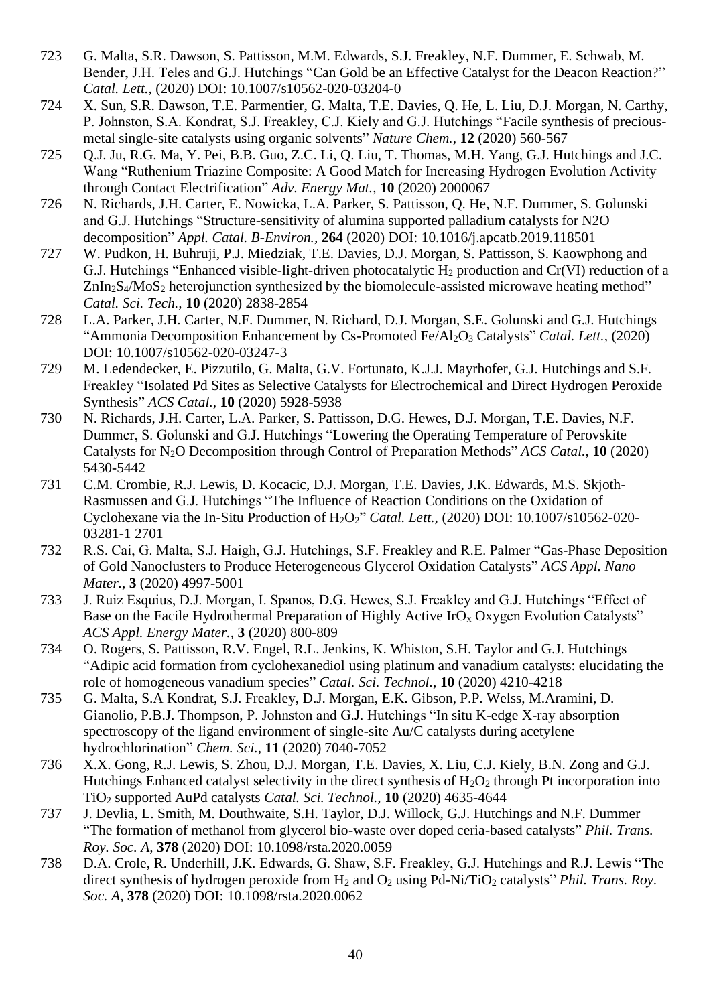- 723 G. Malta, S.R. Dawson, S. Pattisson, M.M. Edwards, S.J. Freakley, N.F. Dummer, E. Schwab, M. Bender, J.H. Teles and G.J. Hutchings "Can Gold be an Effective Catalyst for the Deacon Reaction?" *Catal. Lett.,* (2020) DOI: 10.1007/s10562-020-03204-0
- 724 X. Sun, S.R. Dawson, T.E. Parmentier, G. Malta, T.E. Davies, Q. He, L. Liu, D.J. Morgan, N. Carthy, P. Johnston, S.A. Kondrat, S.J. Freakley, C.J. Kiely and G.J. Hutchings "Facile synthesis of preciousmetal single-site catalysts using organic solvents" *Nature Chem.,* **12** (2020) 560-567
- 725 Q.J. Ju, R.G. Ma, Y. Pei, B.B. Guo, Z.C. Li, Q. Liu, T. Thomas, M.H. Yang, G.J. Hutchings and J.C. Wang "Ruthenium Triazine Composite: A Good Match for Increasing Hydrogen Evolution Activity through Contact Electrification" *Adv. Energy Mat.,* **10** (2020) 2000067
- 726 N. Richards, J.H. Carter, E. Nowicka, L.A. Parker, S. Pattisson, Q. He, N.F. Dummer, S. Golunski and G.J. Hutchings "Structure-sensitivity of alumina supported palladium catalysts for N2O decomposition" *Appl. Catal. B-Environ.,* **264** (2020) DOI: 10.1016/j.apcatb.2019.118501
- 727 W. Pudkon, H. Buhruji, P.J. Miedziak, T.E. Davies, D.J. Morgan, S. Pattisson, S. Kaowphong and G.J. Hutchings "Enhanced visible-light-driven photocatalytic  $H_2$  production and Cr(VI) reduction of a  $ZnIn_2S_4/MoS_2$  heterojunction synthesized by the biomolecule-assisted microwave heating method" *Catal. Sci. Tech.,* **10** (2020) 2838-2854
- 728 L.A. Parker, J.H. Carter, N.F. Dummer, N. Richard, D.J. Morgan, S.E. Golunski and G.J. Hutchings "Ammonia Decomposition Enhancement by Cs-Promoted Fe/Al<sub>2</sub>O<sub>3</sub> Catalysts" *Catal. Lett.*, (2020) DOI: 10.1007/s10562-020-03247-3
- 729 M. Ledendecker, E. Pizzutilo, G. Malta, G.V. Fortunato, K.J.J. Mayrhofer, G.J. Hutchings and S.F. Freakley "Isolated Pd Sites as Selective Catalysts for Electrochemical and Direct Hydrogen Peroxide Synthesis" *ACS Catal.,* **10** (2020) 5928-5938
- 730 N. Richards, J.H. Carter, L.A. Parker, S. Pattisson, D.G. Hewes, D.J. Morgan, T.E. Davies, N.F. Dummer, S. Golunski and G.J. Hutchings "Lowering the Operating Temperature of Perovskite Catalysts for N2O Decomposition through Control of Preparation Methods" *ACS Catal.,* **10** (2020) 5430-5442
- 731 C.M. Crombie, R.J. Lewis, D. Kocacic, D.J. Morgan, T.E. Davies, J.K. Edwards, M.S. Skjoth-Rasmussen and G.J. Hutchings "The Influence of Reaction Conditions on the Oxidation of Cyclohexane via the In-Situ Production of H2O2" *Catal. Lett.,* (2020) DOI: 10.1007/s10562-020- 03281-1 2701
- 732 R.S. Cai, G. Malta, S.J. Haigh, G.J. Hutchings, S.F. Freakley and R.E. Palmer "Gas-Phase Deposition of Gold Nanoclusters to Produce Heterogeneous Glycerol Oxidation Catalysts" *ACS Appl. Nano Mater.,* **3** (2020) 4997-5001
- 733 J. Ruiz Esquius, D.J. Morgan, I. Spanos, D.G. Hewes, S.J. Freakley and G.J. Hutchings "Effect of Base on the Facile Hydrothermal Preparation of Highly Active  $\text{IrO}_x$  Oxygen Evolution Catalysts" *ACS Appl. Energy Mater.,* **3** (2020) 800-809
- 734 O. Rogers, S. Pattisson, R.V. Engel, R.L. Jenkins, K. Whiston, S.H. Taylor and G.J. Hutchings "Adipic acid formation from cyclohexanediol using platinum and vanadium catalysts: elucidating the role of homogeneous vanadium species" *Catal. Sci. Technol.,* **10** (2020) 4210-4218
- 735 G. Malta, S.A Kondrat, S.J. Freakley, D.J. Morgan, E.K. Gibson, P.P. Welss, M.Aramini, D. Gianolio, P.B.J. Thompson, P. Johnston and G.J. Hutchings "In situ K-edge X-ray absorption spectroscopy of the ligand environment of single-site Au/C catalysts during acetylene hydrochlorination" *Chem. Sci.,* **11** (2020) 7040-7052
- 736 X.X. Gong, R.J. Lewis, S. Zhou, D.J. Morgan, T.E. Davies, X. Liu, C.J. Kiely, B.N. Zong and G.J. Hutchings Enhanced catalyst selectivity in the direct synthesis of  $H_2O_2$  through Pt incorporation into TiO<sup>2</sup> supported AuPd catalysts *Catal. Sci. Technol.,* **10** (2020) 4635-4644
- 737 J. Devlia, L. Smith, M. Douthwaite, S.H. Taylor, D.J. Willock, G.J. Hutchings and N.F. Dummer "The formation of methanol from glycerol bio-waste over doped ceria-based catalysts" *Phil. Trans. Roy. Soc. A,* **378** (2020) DOI: 10.1098/rsta.2020.0059
- 738 D.A. Crole, R. Underhill, J.K. Edwards, G. Shaw, S.F. Freakley, G.J. Hutchings and R.J. Lewis "The direct synthesis of hydrogen peroxide from H<sub>2</sub> and O<sub>2</sub> using Pd-Ni/TiO<sub>2</sub> catalysts" *Phil. Trans. Roy. Soc. A,* **378** (2020) DOI: 10.1098/rsta.2020.0062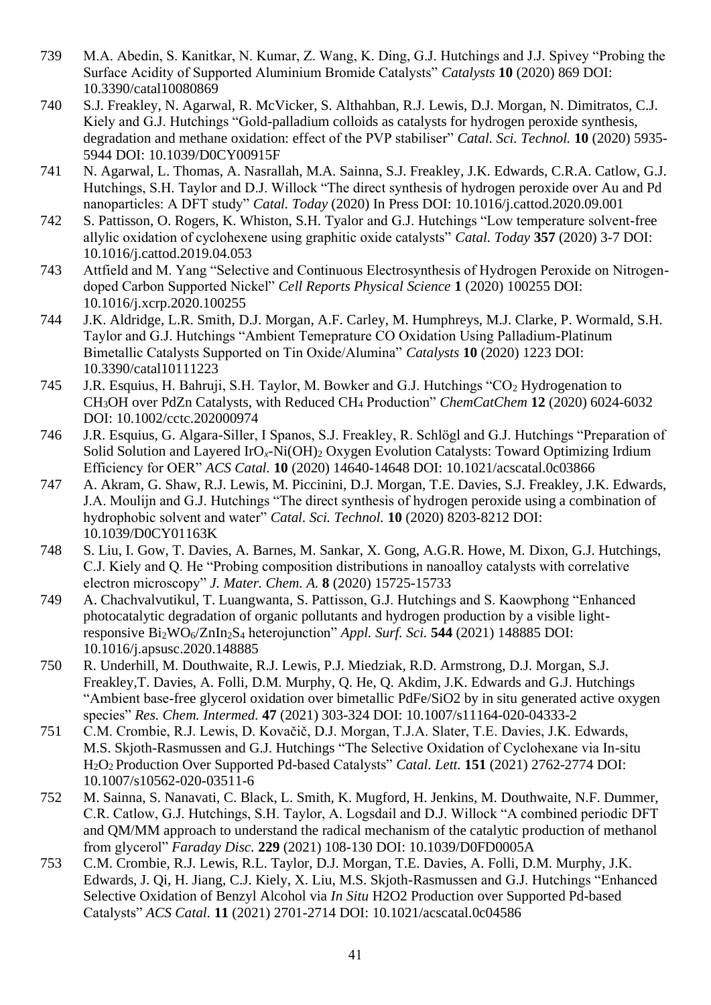- 739 M.A. Abedin, S. Kanitkar, N. Kumar, Z. Wang, K. Ding, G.J. Hutchings and J.J. Spivey "Probing the Surface Acidity of Supported Aluminium Bromide Catalysts" *Catalysts* **10** (2020) 869 DOI: [10.3390/catal10080869](http://dx.doi.org/10.3390/catal10080869)
- 740 S.J. Freakley, N. Agarwal, R. McVicker, S. Althahban, R.J. Lewis, D.J. Morgan, N. Dimitratos, C.J. Kiely and G.J. Hutchings "Gold-palladium colloids as catalysts for hydrogen peroxide synthesis, degradation and methane oxidation: effect of the PVP stabiliser" *Catal. Sci. Technol.* **10** (2020) 5935- 5944 DOI: 10.1039/D0CY00915F
- 741 N. Agarwal, L. Thomas, A. Nasrallah, M.A. Sainna, S.J. Freakley, J.K. Edwards, C.R.A. Catlow, G.J. Hutchings, S.H. Taylor and D.J. Willock "The direct synthesis of hydrogen peroxide over Au and Pd nanoparticles: A DFT study" *Catal. Today* (2020) In Press DOI: [10.1016/j.cattod.2020.09.001](http://dx.doi.org/10.1016/j.cattod.2020.09.001)
- 742 S. Pattisson, O. Rogers, K. Whiston, S.H. Tyalor and G.J. Hutchings "Low temperature solvent-free allylic oxidation of cyclohexene using graphitic oxide catalysts" *Catal. Today* **357** (2020) 3-7 DOI: [10.1016/j.cattod.2019.04.053](https://doi.org/10.1016/j.cattod.2019.04.053)
- 743 Attfield and M. Yang "Selective and Continuous Electrosynthesis of Hydrogen Peroxide on Nitrogendoped Carbon Supported Nickel" *Cell Reports Physical Science* **1** (2020) 100255 DOI: 10.1016/j.xcrp.2020.100255
- 744 J.K. Aldridge, L.R. Smith, D.J. Morgan, A.F. Carley, M. Humphreys, M.J. Clarke, P. Wormald, S.H. Taylor and G.J. Hutchings "Ambient Temeprature CO Oxidation Using Palladium-Platinum Bimetallic Catalysts Supported on Tin Oxide/Alumina" *Catalysts* **10** (2020) 1223 DOI: 10.3390/catal10111223
- 745 J.R. Esquius, H. Bahruji, S.H. Taylor, M. Bowker and G.J. Hutchings "CO<sub>2</sub> Hydrogenation to CH3OH over PdZn Catalysts, with Reduced CH<sup>4</sup> Production" *ChemCatChem* **12** (2020) 6024-6032 DOI: [10.1002/cctc.202000974](https://doi.org/10.1002/cctc.202000974)
- 746 J.R. Esquius, G. Algara-Siller, I Spanos, S.J. Freakley, R. Schlögl and G.J. Hutchings "Preparation of Solid Solution and Layered IrO<sub>x</sub>-Ni(OH)<sub>2</sub> Oxygen Evolution Catalysts: Toward Optimizing Irdium Efficiency for OER" *ACS Catal.* **10** (2020) 14640-14648 DOI: [10.1021/acscatal.0c03866](https://doi.org/10.1021/acscatal.0c03866)
- 747 A. Akram, G. Shaw, R.J. Lewis, M. Piccinini, D.J. Morgan, T.E. Davies, S.J. Freakley, J.K. Edwards, J.A. Moulijn and G.J. Hutchings "The direct synthesis of hydrogen peroxide using a combination of hydrophobic solvent and water" *Catal. Sci. Technol.* **10** (2020) 8203-8212 DOI: [10.1039/D0CY01163K](https://doi.org/10.1039/D0CY01163K)
- 748 S. Liu, I. Gow, T. Davies, A. Barnes, M. Sankar, X. Gong, A.G.R. Howe, M. Dixon, G.J. Hutchings, C.J. Kiely and Q. He "Probing composition distributions in nanoalloy catalysts with correlative electron microscopy" *J. Mater. Chem. A.* **8** (2020) 15725-15733
- 749 A. Chachvalvutikul, T. Luangwanta, S. Pattisson, G.J. Hutchings and S. Kaowphong "Enhanced photocatalytic degradation of organic pollutants and hydrogen production by a visible lightresponsive Bi2WO6/ZnIn2S<sup>4</sup> heterojunction" *Appl. Surf. Sci.* **544** (2021) 148885 DOI: [10.1016/j.apsusc.2020.148885](http://dx.doi.org/10.1016/j.apsusc.2020.148885)
- 750 R. Underhill, M. Douthwaite, R.J. Lewis, P.J. Miedziak, R.D. Armstrong, D.J. Morgan, S.J. Freakley,T. Davies, A. Folli, D.M. Murphy, Q. He, Q. Akdim, J.K. Edwards and G.J. Hutchings "Ambient base-free glycerol oxidation over bimetallic PdFe/SiO2 by in situ generated active oxygen species" *Res. Chem. Intermed.* **47** (2021) 303-324 DOI: 10.1007/s11164-020-04333-2
- 751 C.M. Crombie, R.J. Lewis, D. Kovačič, D.J. Morgan, T.J.A. Slater, T.E. Davies, J.K. Edwards, M.S. Skjoth-Rasmussen and G.J. Hutchings "The Selective Oxidation of Cyclohexane via In-situ H2O2 Production Over Supported Pd-based Catalysts" *Catal. Lett.* **151** (2021) 2762-2774 DOI: 10.1007/s10562-020-03511-6
- 752 M. Sainna, S. Nanavati, C. Black, L. Smith, K. Mugford, H. Jenkins, M. Douthwaite, N.F. Dummer, C.R. Catlow, G.J. Hutchings, S.H. Taylor, A. Logsdail and D.J. Willock "A combined periodic DFT and QM/MM approach to understand the radical mechanism of the catalytic production of methanol from glycerol" *Faraday Disc.* **229** (2021) 108-130 DOI: 10.1039/D0FD0005A
- 753 C.M. Crombie, R.J. Lewis, R.L. Taylor, D.J. Morgan, T.E. Davies, A. Folli, D.M. Murphy, J.K. Edwards, J. Qi, H. Jiang, C.J. Kiely, X. Liu, M.S. Skjoth-Rasmussen and G.J. Hutchings "Enhanced Selective Oxidation of Benzyl Alcohol via *In Situ* H2O2 Production over Supported Pd-based Catalysts" *ACS Catal.* **11** (2021) 2701-2714 DOI: [10.1021/acscatal.0c04586](https://doi.org/10.1021/acscatal.0c04586)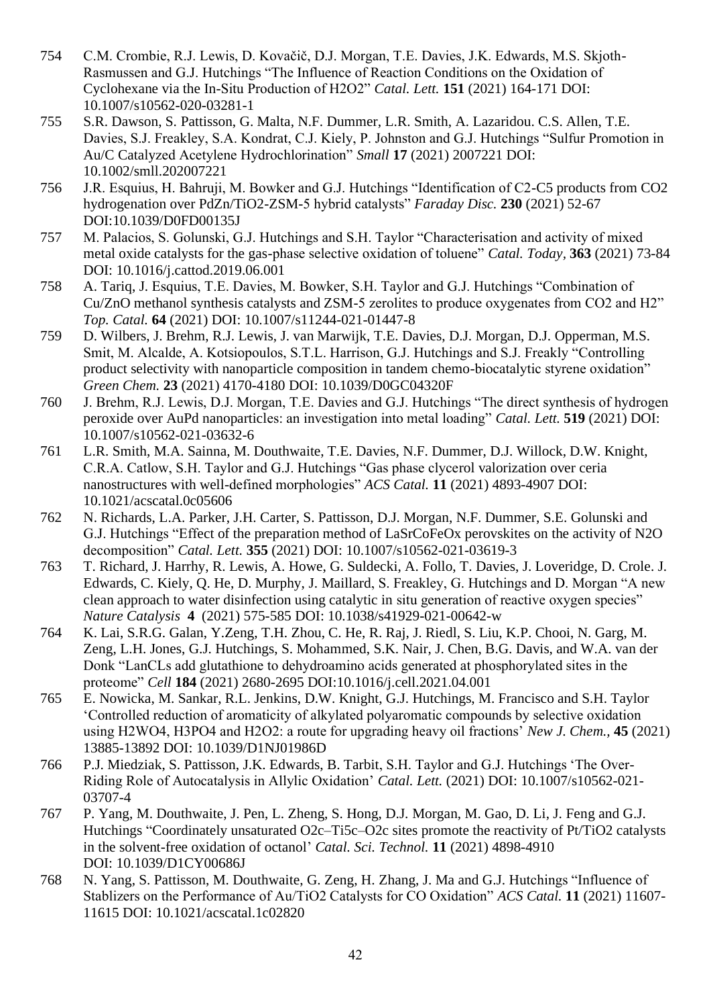- 754 C.M. Crombie, R.J. Lewis, D. Kovačič, D.J. Morgan, T.E. Davies, J.K. Edwards, M.S. Skjoth-Rasmussen and G.J. Hutchings "The Influence of Reaction Conditions on the Oxidation of Cyclohexane via the In-Situ Production of H2O2" *Catal. Lett.* **151** (2021) 164-171 DOI: 10.1007/s10562-020-03281-1
- 755 S.R. Dawson, S. Pattisson, G. Malta, N.F. Dummer, L.R. Smith, A. Lazaridou. C.S. Allen, T.E. Davies, S.J. Freakley, S.A. Kondrat, C.J. Kiely, P. Johnston and G.J. Hutchings "Sulfur Promotion in Au/C Catalyzed Acetylene Hydrochlorination" *Small* **17** (2021) 2007221 DOI: 10.1002/smll.202007221
- 756 J.R. Esquius, H. Bahruji, M. Bowker and G.J. Hutchings "Identification of C2-C5 products from CO2 hydrogenation over PdZn/TiO2-ZSM-5 hybrid catalysts" *Faraday Disc.* **230** (2021) 52-67 DOI:10.1039/D0FD00135J
- 757 M. Palacios, S. Golunski, G.J. Hutchings and S.H. Taylor "Characterisation and activity of mixed metal oxide catalysts for the gas-phase selective oxidation of toluene" *Catal. Today,* **363** (2021) 73-84 DOI: 10.1016/j.cattod.2019.06.001
- 758 A. Tariq, J. Esquius, T.E. Davies, M. Bowker, S.H. Taylor and G.J. Hutchings "Combination of Cu/ZnO methanol synthesis catalysts and ZSM-5 zerolites to produce oxygenates from CO2 and H2" *Top. Catal.* **64** (2021) DOI: 10.1007/s11244-021-01447-8
- 759 D. Wilbers, J. Brehm, R.J. Lewis, J. van Marwijk, T.E. Davies, D.J. Morgan, D.J. Opperman, M.S. Smit, M. Alcalde, A. Kotsiopoulos, S.T.L. Harrison, G.J. Hutchings and S.J. Freakly "Controlling product selectivity with nanoparticle composition in tandem chemo-biocatalytic styrene oxidation" *Green Chem.* **23** (2021) 4170-4180 DOI: 10.1039/D0GC04320F
- 760 J. Brehm, R.J. Lewis, D.J. Morgan, T.E. Davies and G.J. Hutchings "The direct synthesis of hydrogen peroxide over AuPd nanoparticles: an investigation into metal loading" *Catal. Lett.* **519** (2021) DOI: 10.1007/s10562-021-03632-6
- 761 L.R. Smith, M.A. Sainna, M. Douthwaite, T.E. Davies, N.F. Dummer, D.J. Willock, D.W. Knight, C.R.A. Catlow, S.H. Taylor and G.J. Hutchings "Gas phase clycerol valorization over ceria nanostructures with well-defined morphologies" *ACS Catal.* **11** (2021) 4893-4907 DOI: 10.1021/acscatal.0c05606
- 762 N. Richards, L.A. Parker, J.H. Carter, S. Pattisson, D.J. Morgan, N.F. Dummer, S.E. Golunski and G.J. Hutchings "Effect of the preparation method of LaSrCoFeOx perovskites on the activity of N2O decomposition" *Catal. Lett.* **355** (2021) DOI: 10.1007/s10562-021-03619-3
- 763 T. Richard, J. Harrhy, R. Lewis, A. Howe, G. Suldecki, A. Follo, T. Davies, J. Loveridge, D. Crole. J. Edwards, C. Kiely, Q. He, D. Murphy, J. Maillard, S. Freakley, G. Hutchings and D. Morgan "A new clean approach to water disinfection using catalytic in situ generation of reactive oxygen species" *Nature Catalysis* **4** (2021) 575-585 DOI: 10.1038/s41929-021-00642-w
- 764 K. Lai, S.R.G. Galan, Y.Zeng, T.H. Zhou, C. He, R. Raj, J. Riedl, S. Liu, K.P. Chooi, N. Garg, M. Zeng, L.H. Jones, G.J. Hutchings, S. Mohammed, S.K. Nair, J. Chen, B.G. Davis, and W.A. van der Donk "LanCLs add glutathione to dehydroamino acids generated at phosphorylated sites in the proteome" *Cell* **184** (2021) 2680-2695 DOI:10.1016/j.cell.2021.04.001
- 765 E. Nowicka, M. Sankar, R.L. Jenkins, D.W. Knight, G.J. Hutchings, M. Francisco and S.H. Taylor 'Controlled reduction of aromaticity of alkylated polyaromatic compounds by selective oxidation using H2WO4, H3PO4 and H2O2: a route for upgrading heavy oil fractions' *New J. Chem.,* **45** (2021) 13885-13892 DOI: 10.1039/D1NJ01986D
- 766 P.J. Miedziak, S. Pattisson, J.K. Edwards, B. Tarbit, S.H. Taylor and G.J. Hutchings 'The Over-Riding Role of Autocatalysis in Allylic Oxidation' *Catal. Lett.* (2021) DOI: 10.1007/s10562-021- 03707-4
- 767 P. Yang, M. Douthwaite, J. Pen, L. Zheng, S. Hong, D.J. Morgan, M. Gao, D. Li, J. Feng and G.J. Hutchings "Coordinately unsaturated O2c–Ti5c–O2c sites promote the reactivity of Pt/TiO2 catalysts in the solvent-free oxidation of octanol' *Catal. Sci. Technol.* **11** (2021) 4898-4910 DOI: 10.1039/D1CY00686J
- 768 N. Yang, S. Pattisson, M. Douthwaite, G. Zeng, H. Zhang, J. Ma and G.J. Hutchings "Influence of Stablizers on the Performance of Au/TiO2 Catalysts for CO Oxidation" *ACS Catal.* **11** (2021) 11607- 11615 DOI: 10.1021/acscatal.1c02820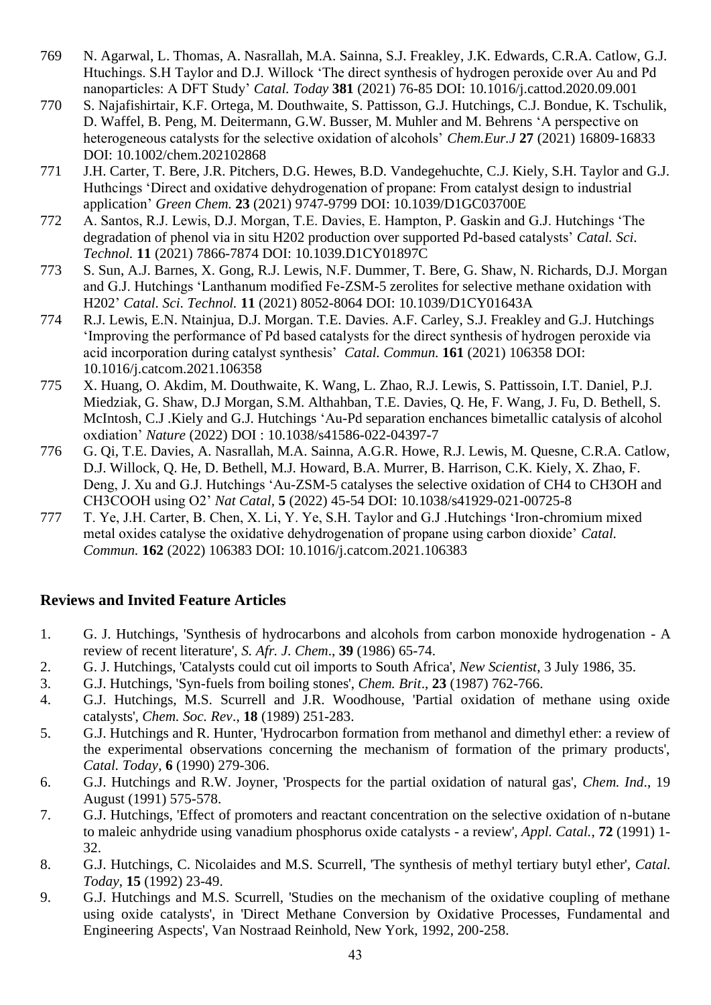- 769 N. Agarwal, L. Thomas, A. Nasrallah, M.A. Sainna, S.J. Freakley, J.K. Edwards, C.R.A. Catlow, G.J. Htuchings. S.H Taylor and D.J. Willock 'The direct synthesis of hydrogen peroxide over Au and Pd nanoparticles: A DFT Study' *Catal. Today* **381** (2021) 76-85 DOI: 10.1016/j.cattod.2020.09.001
- 770 S. Najafishirtair, K.F. Ortega, M. Douthwaite, S. Pattisson, G.J. Hutchings, C.J. Bondue, K. Tschulik, D. Waffel, B. Peng, M. Deitermann, G.W. Busser, M. Muhler and M. Behrens 'A perspective on heterogeneous catalysts for the selective oxidation of alcohols' *Chem.Eur.J* **27** (2021) 16809-16833 DOI: 10.1002/chem.202102868
- 771 J.H. Carter, T. Bere, J.R. Pitchers, D.G. Hewes, B.D. Vandegehuchte, C.J. Kiely, S.H. Taylor and G.J. Huthcings 'Direct and oxidative dehydrogenation of propane: From catalyst design to industrial application' *Green Chem.* **23** (2021) 9747-9799 DOI: 10.1039/D1GC03700E
- 772 A. Santos, R.J. Lewis, D.J. Morgan, T.E. Davies, E. Hampton, P. Gaskin and G.J. Hutchings 'The degradation of phenol via in situ H202 production over supported Pd-based catalysts' *Catal. Sci. Technol.* **11** (2021) 7866-7874 DOI: 10.1039.D1CY01897C
- 773 S. Sun, A.J. Barnes, X. Gong, R.J. Lewis, N.F. Dummer, T. Bere, G. Shaw, N. Richards, D.J. Morgan and G.J. Hutchings 'Lanthanum modified Fe-ZSM-5 zerolites for selective methane oxidation with H202' *Catal. Sci. Technol.* **11** (2021) 8052-8064 DOI: 10.1039/D1CY01643A
- 774 R.J. Lewis, E.N. Ntainjua, D.J. Morgan. T.E. Davies. A.F. Carley, S.J. Freakley and G.J. Hutchings 'Improving the performance of Pd based catalysts for the direct synthesis of hydrogen peroxide via acid incorporation during catalyst synthesis' *Catal. Commun.* **161** (2021) 106358 DOI: 10.1016/j.catcom.2021.106358
- 775 X. Huang, O. Akdim, M. Douthwaite, K. Wang, L. Zhao, R.J. Lewis, S. Pattissoin, I.T. Daniel, P.J. Miedziak, G. Shaw, D.J Morgan, S.M. Althahban, T.E. Davies, Q. He, F. Wang, J. Fu, D. Bethell, S. McIntosh, C.J .Kiely and G.J. Hutchings 'Au-Pd separation enchances bimetallic catalysis of alcohol oxdiation' *Nature* (2022) DOI : 10.1038/s41586-022-04397-7
- 776 G. Qi, T.E. Davies, A. Nasrallah, M.A. Sainna, A.G.R. Howe, R.J. Lewis, M. Quesne, C.R.A. Catlow, D.J. Willock, Q. He, D. Bethell, M.J. Howard, B.A. Murrer, B. Harrison, C.K. Kiely, X. Zhao, F. Deng, J. Xu and G.J. Hutchings 'Au-ZSM-5 catalyses the selective oxidation of CH4 to CH3OH and CH3COOH using O2' *Nat Catal,* **5** (2022) 45-54 DOI: 10.1038/s41929-021-00725-8
- 777 T. Ye, J.H. Carter, B. Chen, X. Li, Y. Ye, S.H. Taylor and G.J .Hutchings 'Iron-chromium mixed metal oxides catalyse the oxidative dehydrogenation of propane using carbon dioxide' *Catal. Commun.* **162** (2022) 106383 DOI: 10.1016/j.catcom.2021.106383

## **Reviews and Invited Feature Articles**

- 1. G. J. Hutchings, 'Synthesis of hydrocarbons and alcohols from carbon monoxide hydrogenation A review of recent literature', *S. Afr. J. Chem*., **39** (1986) 65-74.
- 2. G. J. Hutchings, 'Catalysts could cut oil imports to South Africa', *New Scientist*, 3 July 1986, 35.
- 3. G.J. Hutchings, 'Syn-fuels from boiling stones', *Chem. Brit*., **23** (1987) 762-766.
- 4. G.J. Hutchings, M.S. Scurrell and J.R. Woodhouse, 'Partial oxidation of methane using oxide catalysts', *Chem. Soc. Rev*., **18** (1989) 251-283.
- 5. G.J. Hutchings and R. Hunter, 'Hydrocarbon formation from methanol and dimethyl ether: a review of the experimental observations concerning the mechanism of formation of the primary products', *Catal. Today*, **6** (1990) 279-306.
- 6. G.J. Hutchings and R.W. Joyner, 'Prospects for the partial oxidation of natural gas', *Chem. Ind*., 19 August (1991) 575-578.
- 7. G.J. Hutchings, 'Effect of promoters and reactant concentration on the selective oxidation of n-butane to maleic anhydride using vanadium phosphorus oxide catalysts - a review', *Appl. Catal.*, **72** (1991) 1- 32.
- 8. G.J. Hutchings, C. Nicolaides and M.S. Scurrell, 'The synthesis of methyl tertiary butyl ether', *Catal. Today*, **15** (1992) 23-49.
- 9. G.J. Hutchings and M.S. Scurrell, 'Studies on the mechanism of the oxidative coupling of methane using oxide catalysts', in 'Direct Methane Conversion by Oxidative Processes, Fundamental and Engineering Aspects', Van Nostraad Reinhold, New York, 1992, 200-258.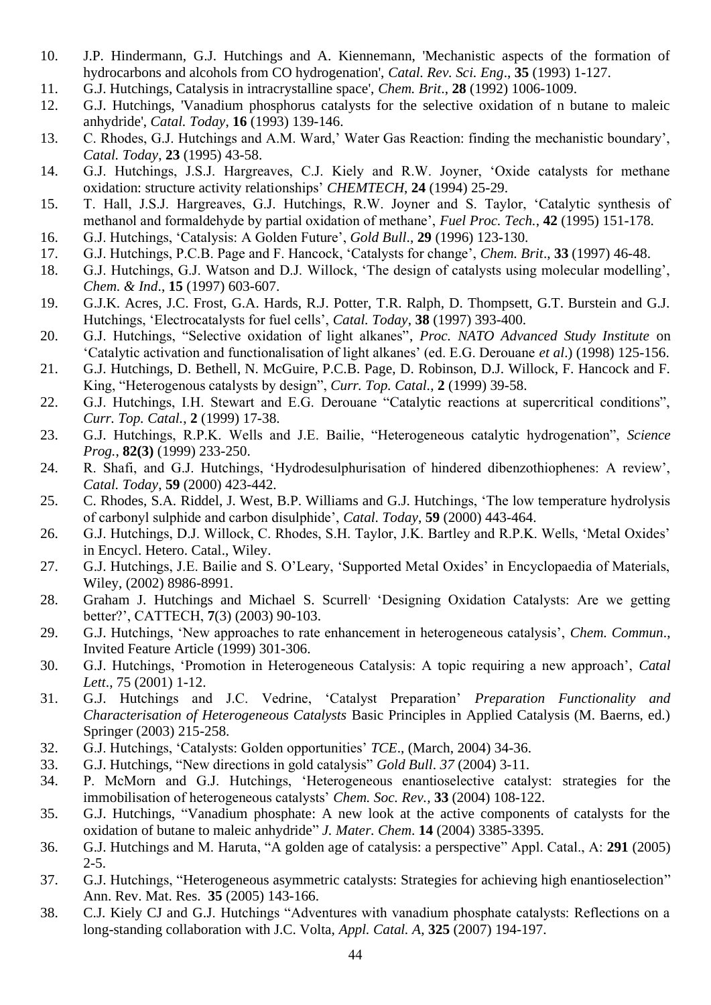- 10. J.P. Hindermann, G.J. Hutchings and A. Kiennemann, 'Mechanistic aspects of the formation of hydrocarbons and alcohols from CO hydrogenation', *Catal. Rev. Sci. Eng*., **35** (1993) 1-127.
- 11. G.J. Hutchings, Catalysis in intracrystalline space', *Chem. Brit*., **28** (1992) 1006-1009.
- 12. G.J. Hutchings, 'Vanadium phosphorus catalysts for the selective oxidation of n butane to maleic anhydride', *Catal. Today*, **16** (1993) 139-146.
- 13. C. Rhodes, G.J. Hutchings and A.M. Ward,' Water Gas Reaction: finding the mechanistic boundary', *Catal. Today*, **23** (1995) 43-58.
- 14. G.J. Hutchings, J.S.J. Hargreaves, C.J. Kiely and R.W. Joyner, 'Oxide catalysts for methane oxidation: structure activity relationships' *CHEMTECH*, **24** (1994) 25-29.
- 15. T. Hall, J.S.J. Hargreaves, G.J. Hutchings, R.W. Joyner and S. Taylor, 'Catalytic synthesis of methanol and formaldehyde by partial oxidation of methane', *Fuel Proc. Tech.*, **42** (1995) 151-178.
- 16. G.J. Hutchings, 'Catalysis: A Golden Future', *Gold Bull*., **29** (1996) 123-130.
- 17. G.J. Hutchings, P.C.B. Page and F. Hancock, 'Catalysts for change', *Chem. Brit*., **33** (1997) 46-48.
- 18. G.J. Hutchings, G.J. Watson and D.J. Willock, 'The design of catalysts using molecular modelling', *Chem. & Ind*., **15** (1997) 603-607.
- 19. G.J.K. Acres, J.C. Frost, G.A. Hards, R.J. Potter, T.R. Ralph, D. Thompsett, G.T. Burstein and G.J. Hutchings, 'Electrocatalysts for fuel cells', *Catal. Today*, **38** (1997) 393-400.
- 20. G.J. Hutchings, "Selective oxidation of light alkanes", *Proc. NATO Advanced Study Institute* on 'Catalytic activation and functionalisation of light alkanes' (ed. E.G. Derouane *et al*.) (1998) 125-156.
- 21. G.J. Hutchings, D. Bethell, N. McGuire, P.C.B. Page, D. Robinson, D.J. Willock, F. Hancock and F. King, "Heterogenous catalysts by design", *Curr. Top. Catal.*, **2** (1999) 39-58.
- 22. G.J. Hutchings, I.H. Stewart and E.G. Derouane "Catalytic reactions at supercritical conditions", *Curr. Top. Catal.*, **2** (1999) 17-38.
- 23. G.J. Hutchings, R.P.K. Wells and J.E. Bailie, "Heterogeneous catalytic hydrogenation", *Science Prog.*, **82(3)** (1999) 233-250.
- 24. R. Shafi, and G.J. Hutchings, 'Hydrodesulphurisation of hindered dibenzothiophenes: A review', *Catal. Today*, **59** (2000) 423-442.
- 25. C. Rhodes, S.A. Riddel, J. West, B.P. Williams and G.J. Hutchings, 'The low temperature hydrolysis of carbonyl sulphide and carbon disulphide', *Catal. Today*, **59** (2000) 443-464.
- 26. G.J. Hutchings, D.J. Willock, C. Rhodes, S.H. Taylor, J.K. Bartley and R.P.K. Wells, 'Metal Oxides' in Encycl. Hetero. Catal., Wiley.
- 27. G.J. Hutchings, J.E. Bailie and S. O'Leary, 'Supported Metal Oxides' in Encyclopaedia of Materials, Wiley, (2002) 8986-8991.
- 28. Graham J. Hutchings and Michael S. Scurrell, 'Designing Oxidation Catalysts: Are we getting better?', CATTECH, **7**(3) (2003) 90-103.
- 29. G.J. Hutchings, 'New approaches to rate enhancement in heterogeneous catalysis', *Chem. Commun*., Invited Feature Article (1999) 301-306.
- 30. G.J. Hutchings, 'Promotion in Heterogeneous Catalysis: A topic requiring a new approach', *Catal Lett*., 75 (2001) 1-12.
- 31. G.J. Hutchings and J.C. Vedrine, 'Catalyst Preparation' *Preparation Functionality and Characterisation of Heterogeneous Catalysts* Basic Principles in Applied Catalysis (M. Baerns, ed.) Springer (2003) 215-258.
- 32. G.J. Hutchings, 'Catalysts: Golden opportunities' *TCE*., (March, 2004) 34-36.
- 33. G.J. Hutchings, "New directions in gold catalysis" *Gold Bull*. *37* (2004) 3-11.
- 34. P. McMorn and G.J. Hutchings, 'Heterogeneous enantioselective catalyst: strategies for the immobilisation of heterogeneous catalysts' *Chem. Soc. Rev.,* **33** (2004) 108-122.
- 35. G.J. Hutchings, "Vanadium phosphate: A new look at the active components of catalysts for the oxidation of butane to maleic anhydride" *J. Mater. Chem*. **14** (2004) 3385-3395.
- 36. G.J. Hutchings and M. Haruta, "A golden age of catalysis: a perspective" Appl. Catal., A: **291** (2005) 2-5.
- 37. G.J. Hutchings, "Heterogeneous asymmetric catalysts: Strategies for achieving high enantioselection" Ann. Rev. Mat. Res. **35** (2005) 143-166.
- 38. C.J. Kiely CJ and G.J. Hutchings "Adventures with vanadium phosphate catalysts: Reflections on a long-standing collaboration with J.C. Volta, *Appl. Catal. A*, **325** (2007) 194-197.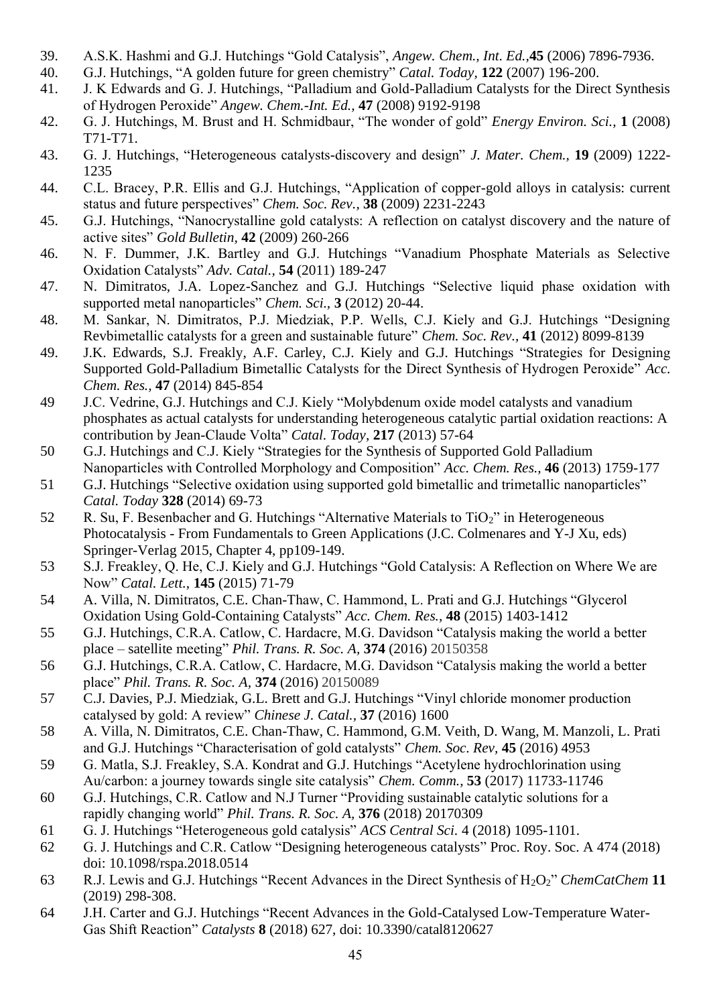- 39. A.S.K. Hashmi and G.J. Hutchings "Gold Catalysis", *Angew. Chem., Int. Ed.,***45** (2006) 7896-7936.
- 40. G.J. Hutchings, ["A golden future for green chemistry"](http://apps.isiknowledge.com/WoS/CIW.cgi?SID=R1jNk@8KoDFC9kdg5a2&Func=Abstract&doc=11/5) *Catal. Today,* **122** (2007) 196-200.
- 41. J. K Edwards and G. J. Hutchings, "Palladium and Gold-Palladium Catalysts for the Direct Synthesis of Hydrogen Peroxide" *Angew. Chem.-Int. Ed.,* **47** (2008) 9192-9198
- 42. G. J. Hutchings, M. Brust and H. Schmidbaur, "The wonder of gold" *Energy Environ. Sci.,* **1** (2008) T71-T71.
- 43. G. J. Hutchings, "Heterogeneous catalysts-discovery and design" *J. Mater. Chem.,* **19** (2009) 1222- 1235
- 44. C.L. Bracey, P.R. Ellis and G.J. Hutchings, "Application of copper-gold alloys in catalysis: current status and future perspectives" *Chem. Soc. Rev.,* **38** (2009) 2231-2243
- 45. G.J. Hutchings, "Nanocrystalline gold catalysts: A reflection on catalyst discovery and the nature of active sites" *Gold Bulletin,* **42** (2009) 260-266
- 46. N. F. Dummer, J.K. Bartley and G.J. Hutchings "Vanadium Phosphate Materials as Selective Oxidation Catalysts" *Adv. Catal.,* **54** (2011) 189-247
- 47. N. Dimitratos, J.A. Lopez-Sanchez and G.J. Hutchings "Selective liquid phase oxidation with supported metal nanoparticles" *Chem. Sci.,* **3** (2012) 20-44.
- 48. M. Sankar, N. Dimitratos, P.J. Miedziak, P.P. Wells, C.J. Kiely and G.J. Hutchings "Designing Revbimetallic catalysts for a green and sustainable future" *Chem. Soc. Rev.,* **41** (2012) 8099-8139
- 49. J.K. Edwards, S.J. Freakly, A.F. Carley, C.J. Kiely and G.J. Hutchings "Strategies for Designing Supported Gold-Palladium Bimetallic Catalysts for the Direct Synthesis of Hydrogen Peroxide" *Acc. Chem. Res.,* **47** (2014) 845-854
- 49 J.C. Vedrine, G.J. Hutchings and C.J. Kiely "Molybdenum oxide model catalysts and vanadium phosphates as actual catalysts for understanding heterogeneous catalytic partial oxidation reactions: A contribution by Jean-Claude Volta" *Catal. Today,* **217** (2013) 57-64
- 50 G.J. Hutchings and C.J. Kiely "Strategies for the Synthesis of Supported Gold Palladium Nanoparticles with Controlled Morphology and Composition" *Acc. Chem. Res.,* **46** (2013) 1759-177
- 51 G.J. Hutchings "Selective oxidation using supported gold bimetallic and trimetallic nanoparticles" *Catal. Today* **328** (2014) 69-73
- 52 R. Su, F. Besenbacher and G. Hutchings "Alternative Materials to TiO<sub>2</sub>" in Heterogeneous Photocatalysis - From Fundamentals to Green Applications (J.C. Colmenares and Y-J Xu, eds) Springer-Verlag 2015, Chapter 4, pp109-149.
- 53 S.J. Freakley, Q. He, C.J. Kiely and G.J. Hutchings "Gold Catalysis: A Reflection on Where We are Now" *Catal. Lett.,* **145** (2015) 71-79
- 54 A. Villa, N. Dimitratos, C.E. Chan-Thaw, C. Hammond, L. Prati and G.J. Hutchings "Glycerol Oxidation Using Gold-Containing Catalysts" *Acc. Chem. Res.,* **48** (2015) 1403-1412
- 55 G.J. Hutchings, C.R.A. Catlow, C. Hardacre, M.G. Davidson "Catalysis making the world a better place – satellite meeting" *Phil. Trans. R. Soc. A,* **374** (2016) 20150358
- 56 G.J. Hutchings, C.R.A. Catlow, C. Hardacre, M.G. Davidson "Catalysis making the world a better place" *Phil. Trans. R. Soc. A,* **374** (2016) 20150089
- 57 C.J. Davies, P.J. Miedziak, G.L. Brett and G.J. Hutchings "Vinyl chloride monomer production catalysed by gold: A review" *Chinese J. Catal.,* **37** (2016) 1600
- 58 A. Villa, N. Dimitratos, C.E. Chan-Thaw, C. Hammond, G.M. Veith, D. Wang, M. Manzoli, L. Prati and G.J. Hutchings "Characterisation of gold catalysts" *Chem. Soc. Rev,* **45** (2016) 4953
- 59 G. Matla, S.J. Freakley, S.A. Kondrat and G.J. Hutchings "Acetylene hydrochlorination using Au/carbon: a journey towards single site catalysis" *Chem. Comm.,* **53** (2017) 11733-11746
- 60 G.J. Hutchings, C.R. Catlow and N.J Turner "Providing sustainable catalytic solutions for a rapidly changing world" *Phil. Trans. R. Soc. A,* **376** (2018) 20170309
- 61 G. J. Hutchings "Heterogeneous gold catalysis" *ACS Central Sci.* 4 (2018) 1095-1101.
- 62 G. J. Hutchings and C.R. Catlow "Designing heterogeneous catalysts" Proc. Roy. Soc. A 474 (2018) doi: 10.1098/rspa.2018.0514
- 63 R.J. Lewis and G.J. Hutchings "Recent Advances in the Direct Synthesis of H2O2" *ChemCatChem* **11** (2019) 298-308.
- 64 J.H. Carter and G.J. Hutchings "Recent Advances in the Gold-Catalysed Low-Temperature Water-Gas Shift Reaction" *Catalysts* **8** (2018) 627, doi: 10.3390/catal8120627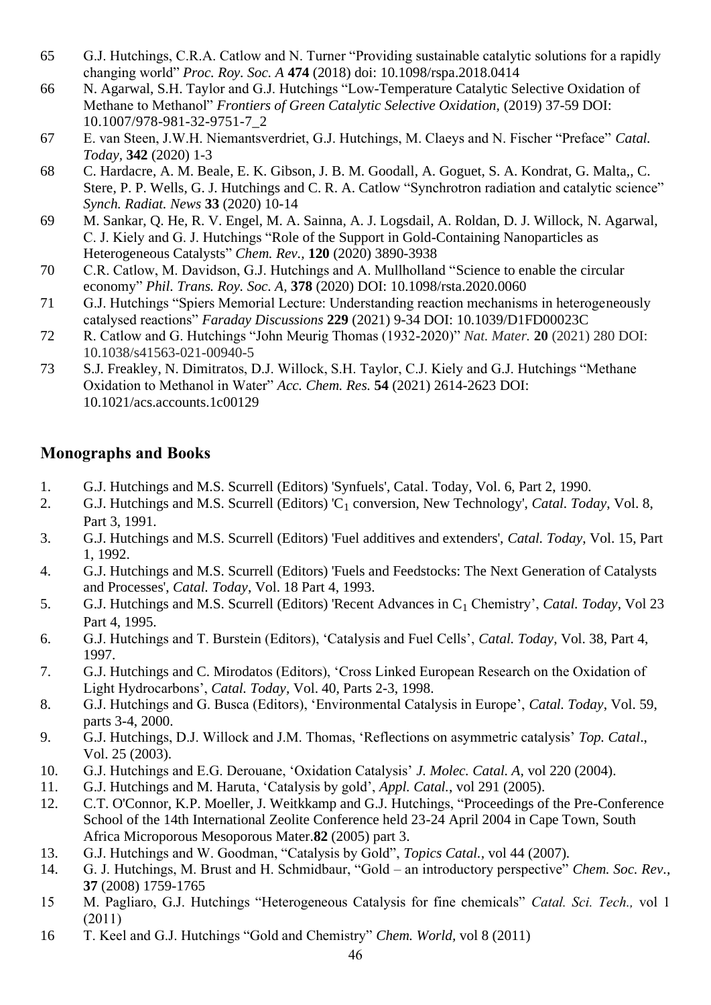- 65 G.J. Hutchings, C.R.A. Catlow and N. Turner "Providing sustainable catalytic solutions for a rapidly changing world" *Proc. Roy. Soc. A* **474** (2018) doi: 10.1098/rspa.2018.0414
- 66 N. Agarwal, S.H. Taylor and G.J. Hutchings "Low-Temperature Catalytic Selective Oxidation of Methane to Methanol" *Frontiers of Green Catalytic Selective Oxidation,* (2019) 37-59 DOI: 10.1007/978-981-32-9751-7\_2
- 67 E. van Steen, J.W.H. Niemantsverdriet, G.J. Hutchings, M. Claeys and N. Fischer "Preface" *Catal. Today,* **342** (2020) 1-3
- 68 C. [Hardacre,](https://www.tandfonline.com/author/Hardacre%2C+Christopher) A. [M. Beale,](https://www.tandfonline.com/author/Beale%2C+Andrew+M) E. [K. Gibson,](https://www.tandfonline.com/author/Gibson%2C+Emma+K) J. [B. M. Goodall,](https://www.tandfonline.com/author/Goodall%2C+Josephine+B+M) A. [Goguet,](https://www.tandfonline.com/author/Goguet%2C+Alex) S. [A. Kondrat,](https://www.tandfonline.com/author/Kondrat%2C+Simon+A) G. [Malta,,](https://www.tandfonline.com/author/Malta%2C+Grazia) [C.](https://www.tandfonline.com/author/Stere%2C+Cristina)  [Stere,](https://www.tandfonline.com/author/Stere%2C+Cristina) P. [P. Wells,](https://www.tandfonline.com/author/Wells%2C+Peter+P) G. [J. Hutchings](https://www.tandfonline.com/author/Hutchings%2C+Graham+J) and C. R. [A. Catlow](https://www.tandfonline.com/author/Catlow%2C+C+Richard+A) "Synchrotron radiation and catalytic science" *Synch. Radiat. News* **33** (2020) 10-14
- 69 M. Sankar, Q. He, R. V. Engel, M. A. Sainna, A. J. Logsdail, A. Roldan, D. J. Willock, N. Agarwal, C. J. Kiely and G. J. Hutchings "Role of the Support in Gold-Containing Nanoparticles as Heterogeneous Catalysts" *Chem. Rev.,* **120** (2020) 3890-3938
- 70 C.R. Catlow, M. Davidson, G.J. Hutchings and A. Mullholland "Science to enable the circular economy" *Phil. Trans. Roy. Soc. A,* **378** (2020) DOI: 10.1098/rsta.2020.0060
- 71 G.J. Hutchings "Spiers Memorial Lecture: Understanding reaction mechanisms in heterogeneously catalysed reactions" *Faraday Discussions* **229** (2021) 9-34 DOI: 10.1039/D1FD00023C
- 72 R. Catlow and G. Hutchings "John Meurig Thomas (1932-2020)" *Nat. Mater.* **20** (2021) 280 DOI: 10.1038/s41563-021-00940-5
- 73 S.J. Freakley, N. Dimitratos, D.J. Willock, S.H. Taylor, C.J. Kiely and G.J. Hutchings "Methane Oxidation to Methanol in Water" *Acc. Chem. Res.* **54** (2021) 2614-2623 DOI: 10.1021/acs.accounts.1c00129

# **Monographs and Books**

- 1. G.J. Hutchings and M.S. Scurrell (Editors) 'Synfuels', Catal. Today, Vol. 6, Part 2, 1990.
- 2. G.J. Hutchings and M.S. Scurrell (Editors) 'C<sup>1</sup> conversion, New Technology', *Catal. Today*, Vol. 8, Part 3, 1991.
- 3. G.J. Hutchings and M.S. Scurrell (Editors) 'Fuel additives and extenders', *Catal. Today*, Vol. 15, Part 1, 1992.
- 4. G.J. Hutchings and M.S. Scurrell (Editors) 'Fuels and Feedstocks: The Next Generation of Catalysts and Processes', *Catal. Today*, Vol. 18 Part 4, 1993.
- 5. G.J. Hutchings and M.S. Scurrell (Editors) 'Recent Advances in C<sup>1</sup> Chemistry', *Catal. Today*, Vol 23 Part 4, 1995.
- 6. G.J. Hutchings and T. Burstein (Editors), 'Catalysis and Fuel Cells', *Catal. Today*, Vol. 38, Part 4, 1997.
- 7. G.J. Hutchings and C. Mirodatos (Editors), 'Cross Linked European Research on the Oxidation of Light Hydrocarbons', *Catal. Today*, Vol. 40, Parts 2-3, 1998.
- 8. G.J. Hutchings and G. Busca (Editors), 'Environmental Catalysis in Europe', *Catal. Today*, Vol. 59, parts 3-4, 2000.
- 9. G.J. Hutchings, D.J. Willock and J.M. Thomas, 'Reflections on asymmetric catalysis' *Top. Catal*., Vol. 25 (2003).
- 10. G.J. Hutchings and E.G. Derouane, 'Oxidation Catalysis' *J. Molec. Catal. A,* vol 220 (2004).
- 11. G.J. Hutchings and M. Haruta, 'Catalysis by gold', *Appl. Catal.*, vol 291 (2005).
- 12. C.T. O'Connor, K.P. Moeller, J. Weitkkamp and G.J. Hutchings, "Proceedings of the Pre-Conference School of the 14th International Zeolite Conference held 23-24 April 2004 in Cape Town, South Africa Microporous Mesoporous Mater.**82** (2005) part 3.
- 13. G.J. Hutchings and W. Goodman, "Catalysis by Gold", *Topics Catal.,* vol 44 (2007).
- 14. G. J. Hutchings, M. Brust and H. Schmidbaur, "Gold an introductory perspective" *Chem. Soc. Rev.,*  **37** (2008) 1759-1765
- 15 M. Pagliaro, G.J. Hutchings "Heterogeneous Catalysis for fine chemicals" *Catal. Sci. Tech.,* vol 1 (2011)
- 16 T. Keel and G.J. Hutchings "Gold and Chemistry" *Chem. World,* vol 8 (2011)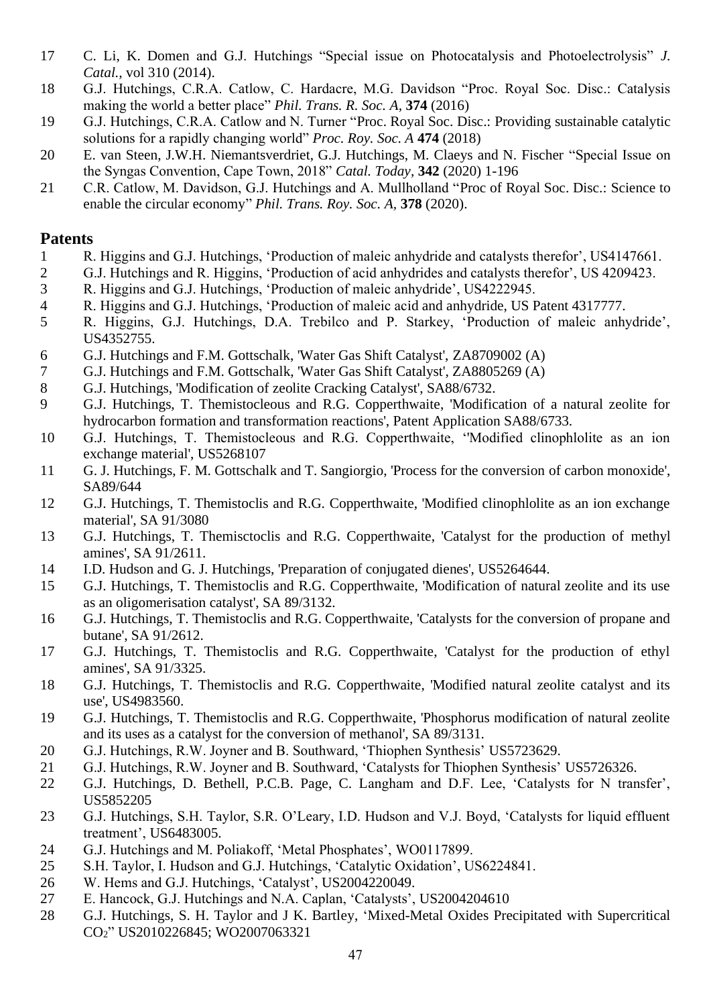- C. Li, K. Domen and G.J. Hutchings "Special issue on Photocatalysis and Photoelectrolysis" *J. Catal.,* vol 310 (2014).
- G.J. Hutchings, C.R.A. Catlow, C. Hardacre, M.G. Davidson "Proc. Royal Soc. Disc.: Catalysis making the world a better place" *Phil. Trans. R. Soc. A,* **374** (2016)
- G.J. Hutchings, C.R.A. Catlow and N. Turner "Proc. Royal Soc. Disc.: Providing sustainable catalytic solutions for a rapidly changing world" *Proc. Roy. Soc. A* **474** (2018)
- E. van Steen, J.W.H. Niemantsverdriet, G.J. Hutchings, M. Claeys and N. Fischer "Special Issue on the Syngas Convention, Cape Town, 2018" *Catal. Today,* **342** (2020) 1-196
- C.R. Catlow, M. Davidson, G.J. Hutchings and A. Mullholland "Proc of Royal Soc. Disc.: Science to enable the circular economy" *Phil. Trans. Roy. Soc. A,* **378** (2020).

### **Patents**

- R. Higgins and G.J. Hutchings, 'Production of maleic anhydride and catalysts therefor', US4147661.
- G.J. Hutchings and R. Higgins, 'Production of acid anhydrides and catalysts therefor', US 4209423.
- R. Higgins and G.J. Hutchings, 'Production of maleic anhydride', US4222945.
- R. Higgins and G.J. Hutchings, 'Production of maleic acid and anhydride, US Patent 4317777.
- R. Higgins, G.J. Hutchings, D.A. Trebilco and P. Starkey, 'Production of maleic anhydride', US4352755.
- G.J. Hutchings and F.M. Gottschalk, 'Water Gas Shift Catalyst', ZA8709002 (A)
- G.J. Hutchings and F.M. Gottschalk, 'Water Gas Shift Catalyst', ZA8805269 (A)
- G.J. Hutchings, 'Modification of zeolite Cracking Catalyst', SA88/6732.
- G.J. Hutchings, T. Themistocleous and R.G. Copperthwaite, 'Modification of a natural zeolite for hydrocarbon formation and transformation reactions', Patent Application SA88/6733.
- G.J. Hutchings, T. Themistocleous and R.G. Copperthwaite, ''Modified clinophlolite as an ion exchange material', US5268107
- G. J. Hutchings, F. M. Gottschalk and T. Sangiorgio, 'Process for the conversion of carbon monoxide', SA89/644
- G.J. Hutchings, T. Themistoclis and R.G. Copperthwaite, 'Modified clinophlolite as an ion exchange material', SA 91/3080
- G.J. Hutchings, T. Themisctoclis and R.G. Copperthwaite, 'Catalyst for the production of methyl amines', SA 91/2611.
- I.D. Hudson and G. J. Hutchings, 'Preparation of conjugated dienes', US5264644.
- G.J. Hutchings, T. Themistoclis and R.G. Copperthwaite, 'Modification of natural zeolite and its use as an oligomerisation catalyst', SA 89/3132.
- G.J. Hutchings, T. Themistoclis and R.G. Copperthwaite, 'Catalysts for the conversion of propane and butane', SA 91/2612.
- G.J. Hutchings, T. Themistoclis and R.G. Copperthwaite, 'Catalyst for the production of ethyl amines', SA 91/3325.
- G.J. Hutchings, T. Themistoclis and R.G. Copperthwaite, 'Modified natural zeolite catalyst and its use', US4983560.
- G.J. Hutchings, T. Themistoclis and R.G. Copperthwaite, 'Phosphorus modification of natural zeolite and its uses as a catalyst for the conversion of methanol', SA 89/3131.
- G.J. Hutchings, R.W. Joyner and B. Southward, 'Thiophen Synthesis' US5723629.
- G.J. Hutchings, R.W. Joyner and B. Southward, 'Catalysts for Thiophen Synthesis' US5726326.
- 22 G.J. Hutchings, D. Bethell, P.C.B. Page, C. Langham and D.F. Lee, 'Catalysts for N transfer', US5852205
- G.J. Hutchings, S.H. Taylor, S.R. O'Leary, I.D. Hudson and V.J. Boyd, 'Catalysts for liquid effluent treatment', US6483005.
- G.J. Hutchings and M. Poliakoff, 'Metal Phosphates', WO0117899.
- S.H. Taylor, I. Hudson and G.J. Hutchings, 'Catalytic Oxidation', US6224841.
- W. Hems and G.J. Hutchings, 'Catalyst', US2004220049.
- E. Hancock, G.J. Hutchings and N.A. Caplan, 'Catalysts', US2004204610
- G.J. Hutchings, S. H. Taylor and J K. Bartley, 'Mixed-Metal Oxides Precipitated with Supercritical CO2" US2010226845; WO2007063321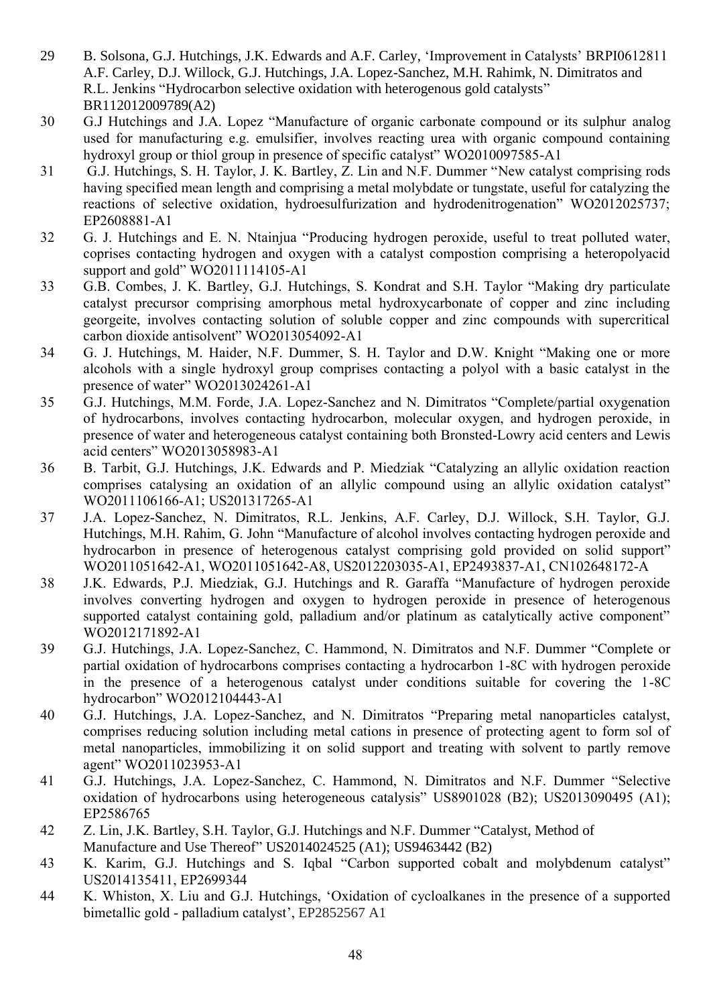- 29 B. Solsona, G.J. Hutchings, J.K. Edwards and A.F. Carley, 'Improvement in Catalysts' BRPI0612811 A.F. Carley, D.J. Willock, G.J. Hutchings, J.A. Lopez-Sanchez, M.H. Rahimk, N. Dimitratos and R.L. Jenkins "Hydrocarbon selective oxidation with heterogenous gold catalysts" BR112012009789(A2)
- 30 G.J Hutchings and J.A. Lopez "Manufacture of organic carbonate compound or its sulphur analog used for manufacturing e.g. emulsifier, involves reacting urea with organic compound containing hydroxyl group or thiol group in presence of specific catalyst" WO2010097585-A1
- 31 G.J. Hutchings, S. H. Taylor, J. K. Bartley, Z. Lin and N.F. Dummer "New catalyst comprising rods having specified mean length and comprising a metal molybdate or tungstate, useful for catalyzing the reactions of selective oxidation, hydroesulfurization and hydrodenitrogenation" WO2012025737; EP2608881-A1
- 32 G. J. Hutchings and E. N. Ntainjua "Producing hydrogen peroxide, useful to treat polluted water, coprises contacting hydrogen and oxygen with a catalyst compostion comprising a heteropolyacid support and gold" WO2011114105-A1
- 33 G.B. Combes, J. K. Bartley, G.J. Hutchings, S. Kondrat and S.H. Taylor "Making dry particulate catalyst precursor comprising amorphous metal hydroxycarbonate of copper and zinc including georgeite, involves contacting solution of soluble copper and zinc compounds with supercritical carbon dioxide antisolvent" WO2013054092-A1
- 34 G. J. Hutchings, M. Haider, N.F. Dummer, S. H. Taylor and D.W. Knight "Making one or more alcohols with a single hydroxyl group comprises contacting a polyol with a basic catalyst in the presence of water" WO2013024261-A1
- 35 G.J. Hutchings, M.M. Forde, J.A. Lopez-Sanchez and N. Dimitratos "Complete/partial oxygenation of hydrocarbons, involves contacting hydrocarbon, molecular oxygen, and hydrogen peroxide, in presence of water and heterogeneous catalyst containing both Bronsted-Lowry acid centers and Lewis acid centers" WO2013058983-A1
- 36 B. Tarbit, G.J. Hutchings, J.K. Edwards and P. Miedziak "Catalyzing an allylic oxidation reaction comprises catalysing an oxidation of an allylic compound using an allylic oxidation catalyst" WO2011106166-A1; US201317265-A1
- 37 J.A. Lopez-Sanchez, N. Dimitratos, R.L. Jenkins, A.F. Carley, D.J. Willock, S.H. Taylor, G.J. Hutchings, M.H. Rahim, G. John "Manufacture of alcohol involves contacting hydrogen peroxide and hydrocarbon in presence of heterogenous catalyst comprising gold provided on solid support" WO2011051642-A1, WO2011051642-A8, US2012203035-A1, EP2493837-A1, CN102648172-A
- 38 J.K. Edwards, P.J. Miedziak, G.J. Hutchings and R. Garaffa "Manufacture of hydrogen peroxide involves converting hydrogen and oxygen to hydrogen peroxide in presence of heterogenous supported catalyst containing gold, palladium and/or platinum as catalytically active component" WO2012171892-A1
- 39 G.J. Hutchings, J.A. Lopez-Sanchez, C. Hammond, N. Dimitratos and N.F. Dummer "Complete or partial oxidation of hydrocarbons comprises contacting a hydrocarbon 1-8C with hydrogen peroxide in the presence of a heterogenous catalyst under conditions suitable for covering the 1-8C hydrocarbon" WO2012104443-A1
- 40 G.J. Hutchings, J.A. Lopez-Sanchez, and N. Dimitratos "Preparing metal nanoparticles catalyst, comprises reducing solution including metal cations in presence of protecting agent to form sol of metal nanoparticles, immobilizing it on solid support and treating with solvent to partly remove agent" WO2011023953-A1
- 41 G.J. Hutchings, J.A. Lopez-Sanchez, C. Hammond, N. Dimitratos and N.F. Dummer "Selective oxidation of hydrocarbons using heterogeneous catalysis" US8901028 (B2); US2013090495 (A1); EP2586765
- 42 Z. Lin, J.K. Bartley, S.H. Taylor, G.J. Hutchings and N.F. Dummer "Catalyst, Method of Manufacture and Use Thereof" US2014024525 (A1); US9463442 (B2)
- 43 K. Karim, G.J. Hutchings and S. Iqbal "Carbon supported cobalt and molybdenum catalyst" US2014135411, EP2699344
- 44 K. Whiston, X. Liu and G.J. Hutchings, 'Oxidation of cycloalkanes in the presence of a supported bimetallic gold - palladium catalyst', EP2852567 A1